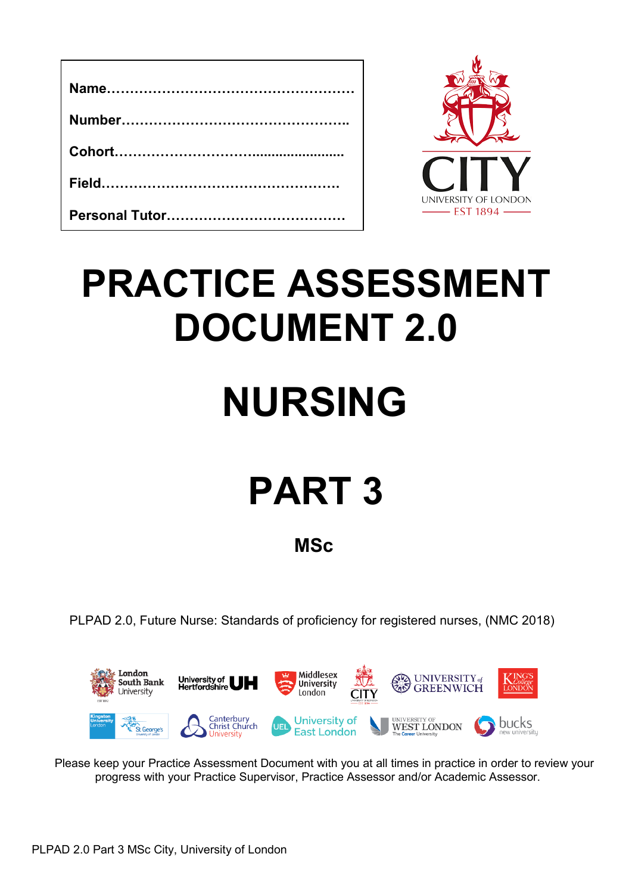

# **PRACTICE ASSESSMENT DOCUMENT 2.0**

# **NURSING**

# **PART 3**

**MSc**

PLPAD 2.0, Future Nurse: Standards of proficiency for registered nurses, (NMC 2018)



Please keep your Practice Assessment Document with you at all times in practice in order to review your progress with your Practice Supervisor, Practice Assessor and/or Academic Assessor.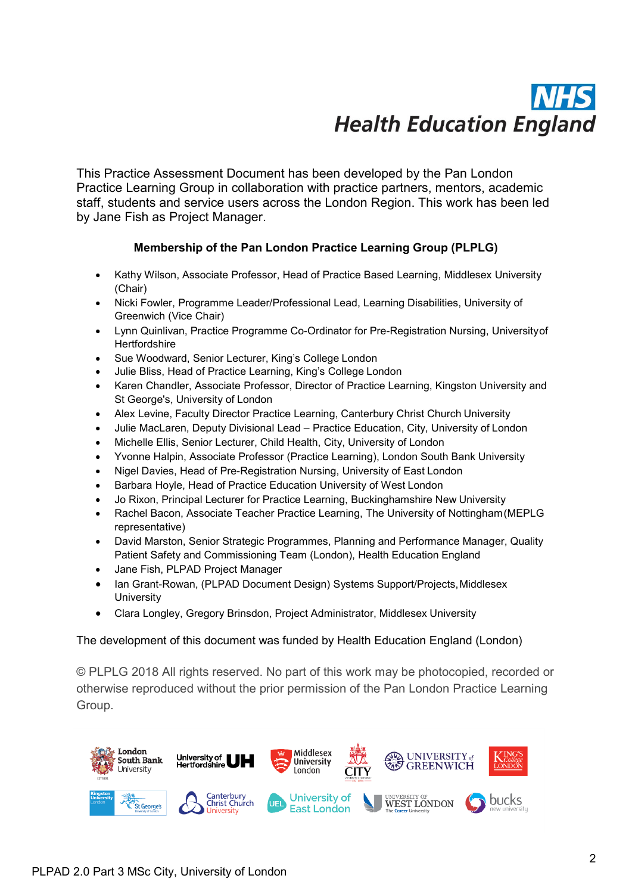# **Health Education England**

This Practice Assessment Document has been developed by the Pan London Practice Learning Group in collaboration with practice partners, mentors, academic staff, students and service users across the London Region. This work has been led by Jane Fish as Project Manager.

# **Membership of the Pan London Practice Learning Group (PLPLG)**

- Kathy Wilson, Associate Professor, Head of Practice Based Learning, Middlesex University (Chair)
- Nicki Fowler, Programme Leader/Professional Lead, Learning Disabilities, University of Greenwich (Vice Chair)
- Lynn Quinlivan, Practice Programme Co-Ordinator for Pre-Registration Nursing, Universityof **Hertfordshire**
- Sue Woodward, Senior Lecturer, King's College London
- Julie Bliss, Head of Practice Learning, King's College London
- Karen Chandler, Associate Professor, Director of Practice Learning, Kingston University and St George's, University of London
- Alex Levine, Faculty Director Practice Learning, Canterbury Christ Church University
- Julie MacLaren, Deputy Divisional Lead Practice Education, City, University of London
- Michelle Ellis, Senior Lecturer, Child Health, City, University of London
- Yvonne Halpin, Associate Professor (Practice Learning), London South Bank University
- Nigel Davies, Head of Pre-Registration Nursing, University of East London
- Barbara Hoyle, Head of Practice Education University of West London
- Jo Rixon, Principal Lecturer for Practice Learning, Buckinghamshire New University
- Rachel Bacon, Associate Teacher Practice Learning, The University of Nottingham(MEPLG representative)
- David Marston, Senior Strategic Programmes, Planning and Performance Manager, Quality Patient Safety and Commissioning Team (London), Health Education England
- Jane Fish, PLPAD Project Manager
- Ian Grant-Rowan, (PLPAD Document Design) Systems Support/Projects, Middlesex **University**
- Clara Longley, Gregory Brinsdon, Project Administrator, Middlesex University

## The development of this document was funded by Health Education England (London)

© PLPLG 2018 All rights reserved. No part of this work may be photocopied, recorded or otherwise reproduced without the prior permission of the Pan London Practice Learning Group.

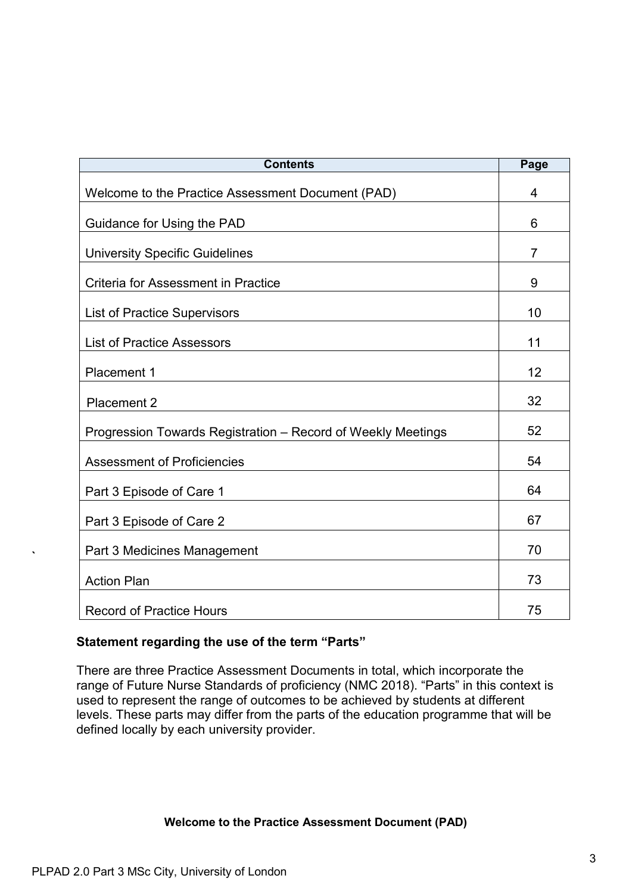| <b>Contents</b>                                              | Page           |
|--------------------------------------------------------------|----------------|
| Welcome to the Practice Assessment Document (PAD)            | 4              |
| Guidance for Using the PAD                                   | 6              |
| <b>University Specific Guidelines</b>                        | $\overline{7}$ |
| Criteria for Assessment in Practice                          | 9              |
| <b>List of Practice Supervisors</b>                          | 10             |
| <b>List of Practice Assessors</b>                            | 11             |
| Placement 1                                                  | 12             |
| <b>Placement 2</b>                                           | 32             |
| Progression Towards Registration – Record of Weekly Meetings | 52             |
| <b>Assessment of Proficiencies</b>                           | 54             |
| Part 3 Episode of Care 1                                     | 64             |
| Part 3 Episode of Care 2                                     | 67             |
| Part 3 Medicines Management                                  | 70             |
| <b>Action Plan</b>                                           | 73             |
| <b>Record of Practice Hours</b>                              | 75             |

# **Statement regarding the use of the term "Parts"**

There are three Practice Assessment Documents in total, which incorporate the range of Future Nurse Standards of proficiency (NMC 2018). "Parts" in this context is used to represent the range of outcomes to be achieved by students at different levels. These parts may differ from the parts of the education programme that will be defined locally by each university provider.

# **Welcome to the Practice Assessment Document (PAD)**

**`**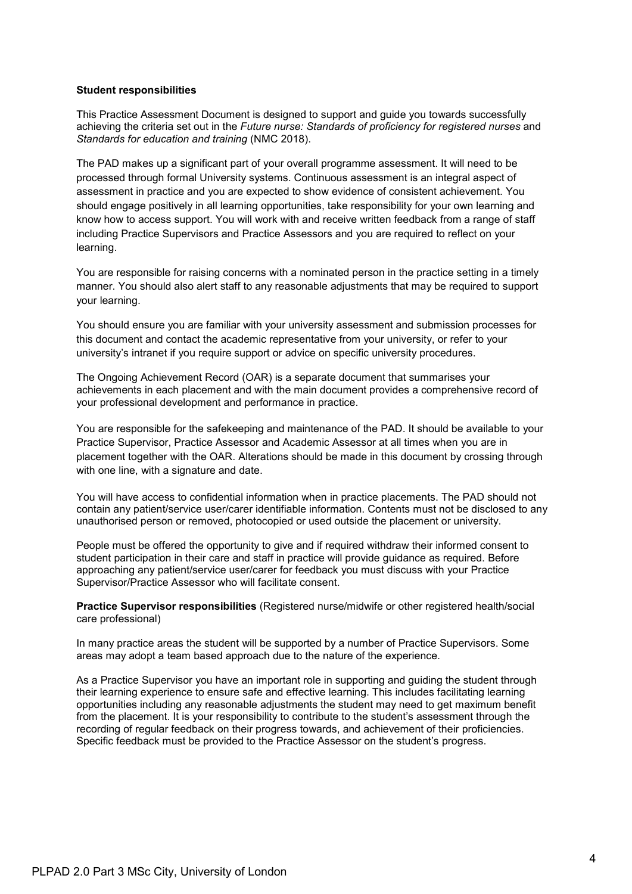#### **Student responsibilities**

This Practice Assessment Document is designed to support and guide you towards successfully achieving the criteria set out in the *Future nurse: Standards of proficiency for registered nurses* and *Standards for education and training* (NMC 2018).

The PAD makes up a significant part of your overall programme assessment. It will need to be processed through formal University systems. Continuous assessment is an integral aspect of assessment in practice and you are expected to show evidence of consistent achievement. You should engage positively in all learning opportunities, take responsibility for your own learning and know how to access support. You will work with and receive written feedback from a range of staff including Practice Supervisors and Practice Assessors and you are required to reflect on your learning.

You are responsible for raising concerns with a nominated person in the practice setting in a timely manner. You should also alert staff to any reasonable adjustments that may be required to support your learning.

You should ensure you are familiar with your university assessment and submission processes for this document and contact the academic representative from your university, or refer to your university's intranet if you require support or advice on specific university procedures.

The Ongoing Achievement Record (OAR) is a separate document that summarises your achievements in each placement and with the main document provides a comprehensive record of your professional development and performance in practice.

You are responsible for the safekeeping and maintenance of the PAD. It should be available to your Practice Supervisor, Practice Assessor and Academic Assessor at all times when you are in placement together with the OAR. Alterations should be made in this document by crossing through with one line, with a signature and date.

You will have access to confidential information when in practice placements. The PAD should not contain any patient/service user/carer identifiable information. Contents must not be disclosed to any unauthorised person or removed, photocopied or used outside the placement or university.

People must be offered the opportunity to give and if required withdraw their informed consent to student participation in their care and staff in practice will provide guidance as required. Before approaching any patient/service user/carer for feedback you must discuss with your Practice Supervisor/Practice Assessor who will facilitate consent.

**Practice Supervisor responsibilities** (Registered nurse/midwife or other registered health/social care professional)

In many practice areas the student will be supported by a number of Practice Supervisors. Some areas may adopt a team based approach due to the nature of the experience.

As a Practice Supervisor you have an important role in supporting and guiding the student through their learning experience to ensure safe and effective learning. This includes facilitating learning opportunities including any reasonable adjustments the student may need to get maximum benefit from the placement. It is your responsibility to contribute to the student's assessment through the recording of regular feedback on their progress towards, and achievement of their proficiencies. Specific feedback must be provided to the Practice Assessor on the student's progress.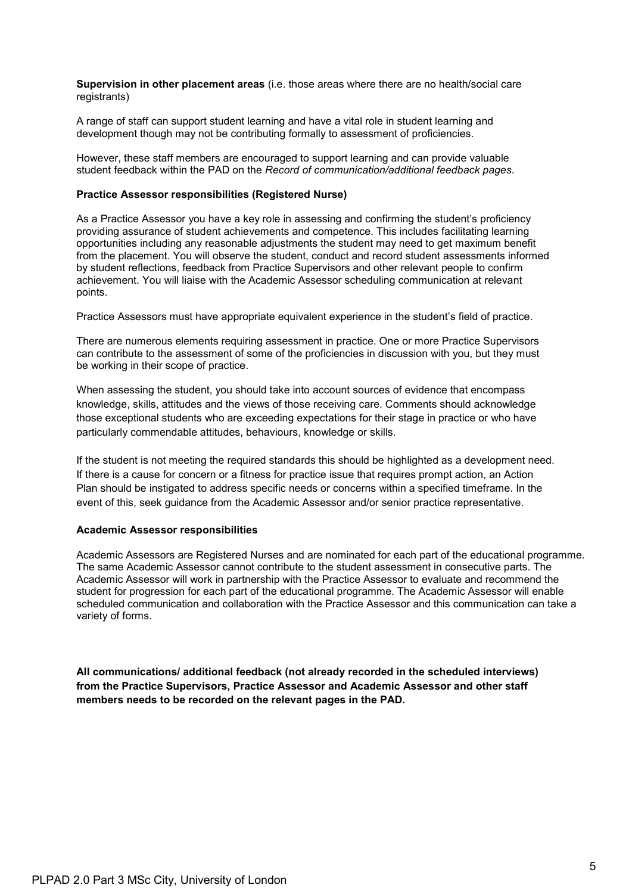**Supervision in other placement areas** (i.e. those areas where there are no health/social care registrants)

A range of staff can support student learning and have a vital role in student learning and development though may not be contributing formally to assessment of proficiencies.

However, these staff members are encouraged to support learning and can provide valuable student feedback within the PAD on the *Record of communication/additional feedback pages*.

#### **Practice Assessor responsibilities (Registered Nurse)**

As a Practice Assessor you have a key role in assessing and confirming the student's proficiency providing assurance of student achievements and competence. This includes facilitating learning opportunities including any reasonable adjustments the student may need to get maximum benefit from the placement. You will observe the student, conduct and record student assessments informed by student reflections, feedback from Practice Supervisors and other relevant people to confirm achievement. You will liaise with the Academic Assessor scheduling communication at relevant points.

Practice Assessors must have appropriate equivalent experience in the student's field of practice.

There are numerous elements requiring assessment in practice. One or more Practice Supervisors can contribute to the assessment of some of the proficiencies in discussion with you, but they must be working in their scope of practice.

When assessing the student, you should take into account sources of evidence that encompass knowledge, skills, attitudes and the views of those receiving care. Comments should acknowledge those exceptional students who are exceeding expectations for their stage in practice or who have particularly commendable attitudes, behaviours, knowledge or skills.

If the student is not meeting the required standards this should be highlighted as a development need. If there is a cause for concern or a fitness for practice issue that requires prompt action, an Action Plan should be instigated to address specific needs or concerns within a specified timeframe. In the event of this, seek guidance from the Academic Assessor and/or senior practice representative.

#### **Academic Assessor responsibilities**

Academic Assessors are Registered Nurses and are nominated for each part of the educational programme. The same Academic Assessor cannot contribute to the student assessment in consecutive parts. The Academic Assessor will work in partnership with the Practice Assessor to evaluate and recommend the student for progression for each part of the educational programme. The Academic Assessor will enable scheduled communication and collaboration with the Practice Assessor and this communication can take a variety of forms.

**All communications/ additional feedback (not already recorded in the scheduled interviews) from the Practice Supervisors, Practice Assessor and Academic Assessor and other staff members needs to be recorded on the relevant pages in the PAD.**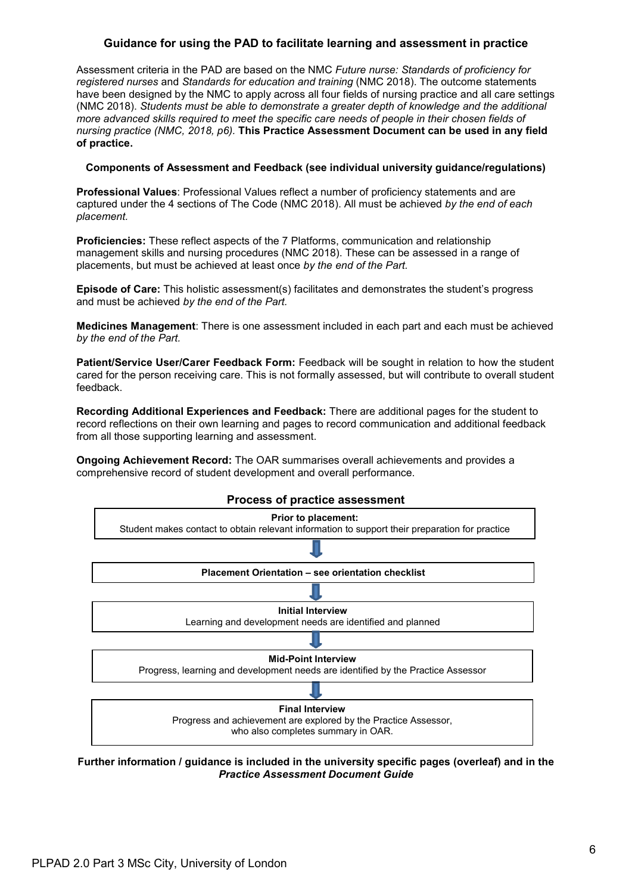## **Guidance for using the PAD to facilitate learning and assessment in practice**

Assessment criteria in the PAD are based on the NMC *Future nurse: Standards of proficiency for registered nurses* and *Standards for education and training* (NMC 2018). The outcome statements have been designed by the NMC to apply across all four fields of nursing practice and all care settings (NMC 2018). *Students must be able to demonstrate a greater depth of knowledge and the additional more advanced skills required to meet the specific care needs of people in their chosen fields of nursing practice (NMC, 2018, p6).* **This Practice Assessment Document can be used in any field of practice.**

#### **Components of Assessment and Feedback (see individual university guidance/regulations)**

**Professional Values**: Professional Values reflect a number of proficiency statements and are captured under the 4 sections of The Code (NMC 2018). All must be achieved *by the end of each placement.*

**Proficiencies:** These reflect aspects of the 7 Platforms, communication and relationship management skills and nursing procedures (NMC 2018). These can be assessed in a range of placements, but must be achieved at least once *by the end of the Part.*

**Episode of Care:** This holistic assessment(s) facilitates and demonstrates the student's progress and must be achieved *by the end of the Part.*

**Medicines Management**: There is one assessment included in each part and each must be achieved *by the end of the Part.*

Patient/Service User/Carer Feedback Form: Feedback will be sought in relation to how the student cared for the person receiving care. This is not formally assessed, but will contribute to overall student feedback.

**Recording Additional Experiences and Feedback:** There are additional pages for the student to record reflections on their own learning and pages to record communication and additional feedback from all those supporting learning and assessment.

**Ongoing Achievement Record:** The OAR summarises overall achievements and provides a comprehensive record of student development and overall performance.



**Further information / guidance is included in the university specific pages (overleaf) and in the** *Practice Assessment Document Guide*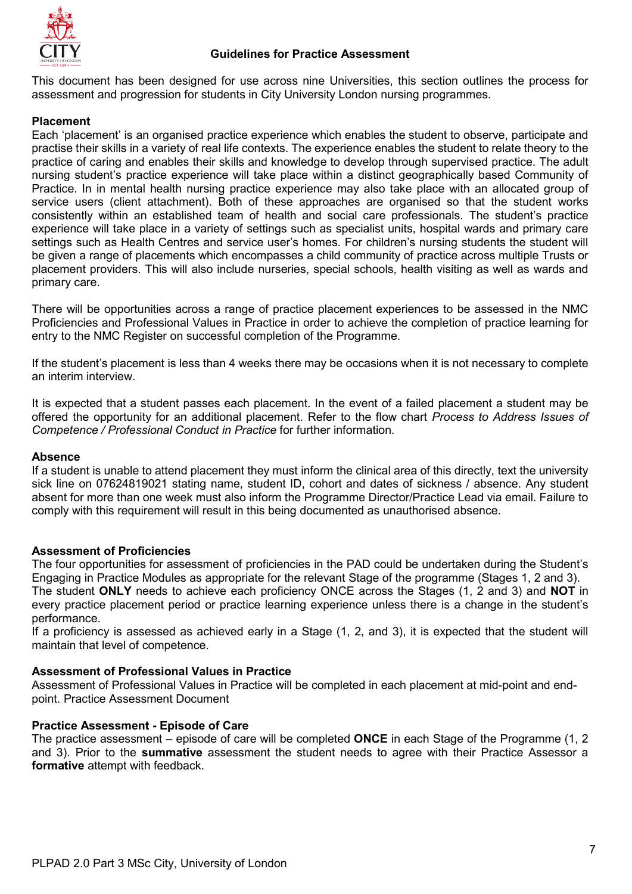

This document has been designed for use across nine Universities, this section outlines the process for assessment and progression for students in City University London nursing programmes.

# **Placement**

Each 'placement' is an organised practice experience which enables the student to observe, participate and practise their skills in a variety of real life contexts. The experience enables the student to relate theory to the practice of caring and enables their skills and knowledge to develop through supervised practice. The adult nursing student's practice experience will take place within a distinct geographically based Community of Practice. In in mental health nursing practice experience may also take place with an allocated group of service users (client attachment). Both of these approaches are organised so that the student works consistently within an established team of health and social care professionals. The student's practice experience will take place in a variety of settings such as specialist units, hospital wards and primary care settings such as Health Centres and service user's homes. For children's nursing students the student will be given a range of placements which encompasses a child community of practice across multiple Trusts or placement providers. This will also include nurseries, special schools, health visiting as well as wards and primary care.

There will be opportunities across a range of practice placement experiences to be assessed in the NMC Proficiencies and Professional Values in Practice in order to achieve the completion of practice learning for entry to the NMC Register on successful completion of the Programme.

If the student's placement is less than 4 weeks there may be occasions when it is not necessary to complete an interim interview.

It is expected that a student passes each placement. In the event of a failed placement a student may be offered the opportunity for an additional placement. Refer to the flow chart *Process to Address Issues of Competence / Professional Conduct in Practice* for further information.

## **Absence**

If a student is unable to attend placement they must inform the clinical area of this directly, text the university sick line on 07624819021 stating name, student ID, cohort and dates of sickness / absence. Any student absent for more than one week must also inform the Programme Director/Practice Lead via email. Failure to comply with this requirement will result in this being documented as unauthorised absence.

## **Assessment of Proficiencies**

The four opportunities for assessment of proficiencies in the PAD could be undertaken during the Student's Engaging in Practice Modules as appropriate for the relevant Stage of the programme (Stages 1, 2 and 3). The student **ONLY** needs to achieve each proficiency ONCE across the Stages (1, 2 and 3) and **NOT** in every practice placement period or practice learning experience unless there is a change in the student's performance.

If a proficiency is assessed as achieved early in a Stage (1, 2, and 3), it is expected that the student will maintain that level of competence.

## **Assessment of Professional Values in Practice**

Assessment of Professional Values in Practice will be completed in each placement at mid-point and endpoint. Practice Assessment Document

## **Practice Assessment - Episode of Care**

The practice assessment – episode of care will be completed **ONCE** in each Stage of the Programme (1, 2 and 3). Prior to the **summative** assessment the student needs to agree with their Practice Assessor a **formative** attempt with feedback.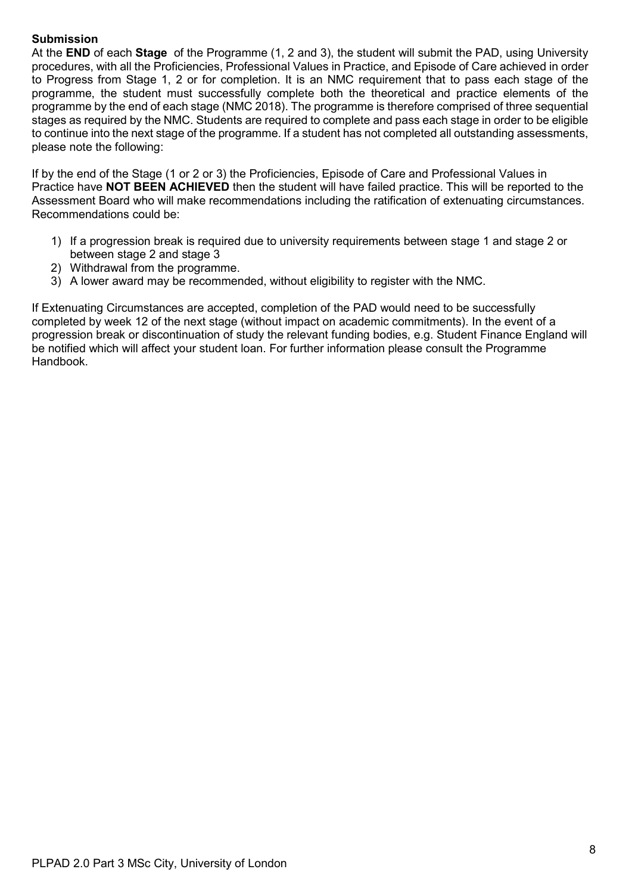# **Submission**

At the **END** of each **Stage** of the Programme (1, 2 and 3), the student will submit the PAD, using University procedures, with all the Proficiencies, Professional Values in Practice, and Episode of Care achieved in order to Progress from Stage 1, 2 or for completion. It is an NMC requirement that to pass each stage of the programme, the student must successfully complete both the theoretical and practice elements of the programme by the end of each stage (NMC 2018). The programme is therefore comprised of three sequential stages as required by the NMC. Students are required to complete and pass each stage in order to be eligible to continue into the next stage of the programme. If a student has not completed all outstanding assessments, please note the following:

If by the end of the Stage (1 or 2 or 3) the Proficiencies, Episode of Care and Professional Values in Practice have **NOT BEEN ACHIEVED** then the student will have failed practice. This will be reported to the Assessment Board who will make recommendations including the ratification of extenuating circumstances. Recommendations could be:

- 1) If a progression break is required due to university requirements between stage 1 and stage 2 or between stage 2 and stage 3
- 2) Withdrawal from the programme.
- 3) A lower award may be recommended, without eligibility to register with the NMC.

If Extenuating Circumstances are accepted, completion of the PAD would need to be successfully completed by week 12 of the next stage (without impact on academic commitments). In the event of a progression break or discontinuation of study the relevant funding bodies, e.g. Student Finance England will be notified which will affect your student loan. For further information please consult the Programme Handbook.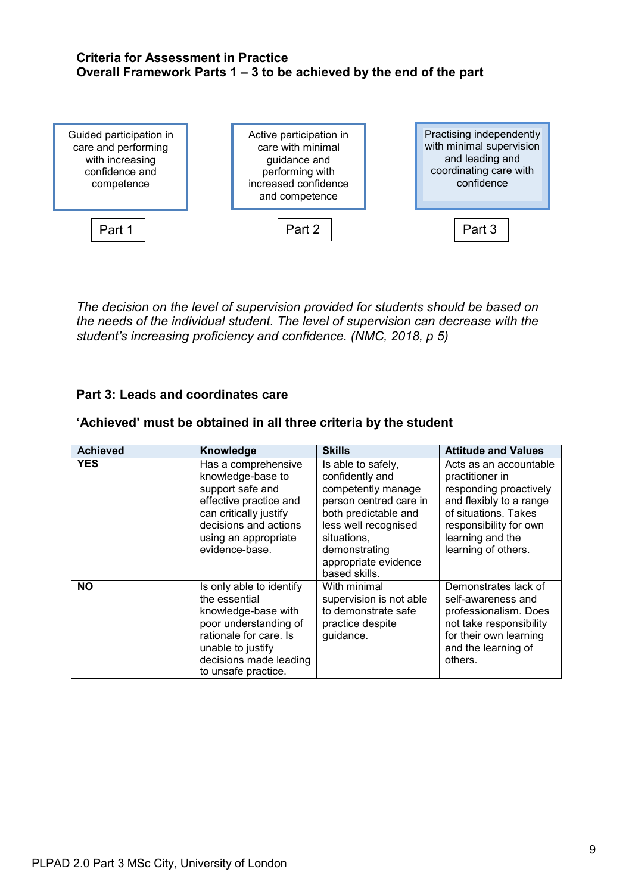# **Criteria for Assessment in Practice Overall Framework Parts 1 – 3 to be achieved by the end of the part**



*The decision on the level of supervision provided for students should be based on the needs of the individual student. The level of supervision can decrease with the student's increasing proficiency and confidence. (NMC, 2018, p 5)*

# **Part 3: Leads and coordinates care**

| <b>Achieved</b> | Knowledge                                                                                                                                                                                 | <b>Skills</b>                                                                                                                                                                                                  | <b>Attitude and Values</b>                                                                                                                                                                  |
|-----------------|-------------------------------------------------------------------------------------------------------------------------------------------------------------------------------------------|----------------------------------------------------------------------------------------------------------------------------------------------------------------------------------------------------------------|---------------------------------------------------------------------------------------------------------------------------------------------------------------------------------------------|
| <b>YES</b>      | Has a comprehensive<br>knowledge-base to<br>support safe and<br>effective practice and<br>can critically justify<br>decisions and actions<br>using an appropriate<br>evidence-base.       | Is able to safely,<br>confidently and<br>competently manage<br>person centred care in<br>both predictable and<br>less well recognised<br>situations.<br>demonstrating<br>appropriate evidence<br>based skills. | Acts as an accountable<br>practitioner in<br>responding proactively<br>and flexibly to a range<br>of situations. Takes<br>responsibility for own<br>learning and the<br>learning of others. |
| <b>NO</b>       | Is only able to identify<br>the essential<br>knowledge-base with<br>poor understanding of<br>rationale for care. Is<br>unable to justify<br>decisions made leading<br>to unsafe practice. | With minimal<br>supervision is not able<br>to demonstrate safe<br>practice despite<br>guidance.                                                                                                                | Demonstrates lack of<br>self-awareness and<br>professionalism. Does<br>not take responsibility<br>for their own learning<br>and the learning of<br>others.                                  |

# **'Achieved' must be obtained in all three criteria by the student**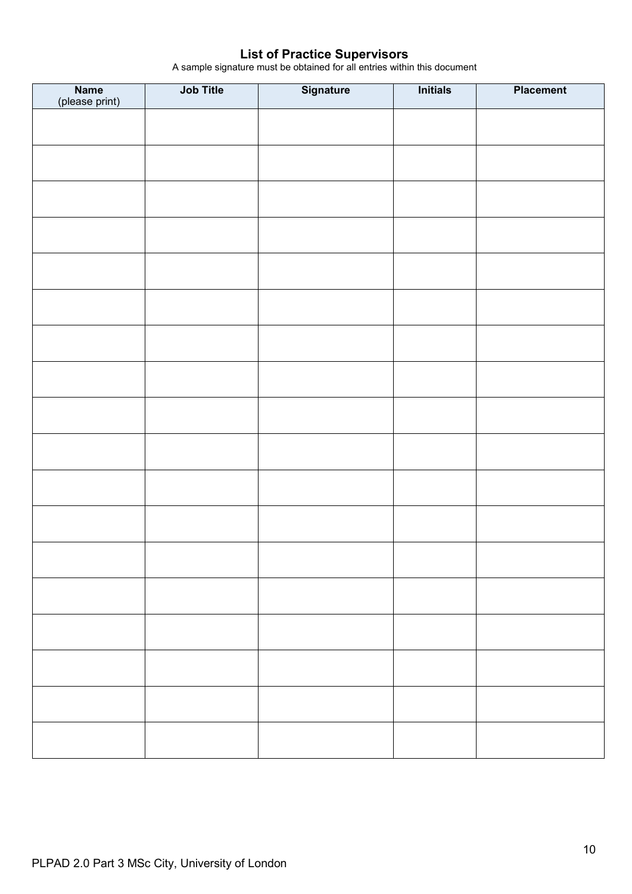# **List of Practice Supervisors**

A sample signature must be obtained for all entries within this document

| <b>Name</b><br>(please print) | Job Title | Signature | <b>Initials</b> | <b>Placement</b> |
|-------------------------------|-----------|-----------|-----------------|------------------|
|                               |           |           |                 |                  |
|                               |           |           |                 |                  |
|                               |           |           |                 |                  |
|                               |           |           |                 |                  |
|                               |           |           |                 |                  |
|                               |           |           |                 |                  |
|                               |           |           |                 |                  |
|                               |           |           |                 |                  |
|                               |           |           |                 |                  |
|                               |           |           |                 |                  |
|                               |           |           |                 |                  |
|                               |           |           |                 |                  |
|                               |           |           |                 |                  |
|                               |           |           |                 |                  |
|                               |           |           |                 |                  |
|                               |           |           |                 |                  |
|                               |           |           |                 |                  |
|                               |           |           |                 |                  |
|                               |           |           |                 |                  |
|                               |           |           |                 |                  |
|                               |           |           |                 |                  |
|                               |           |           |                 |                  |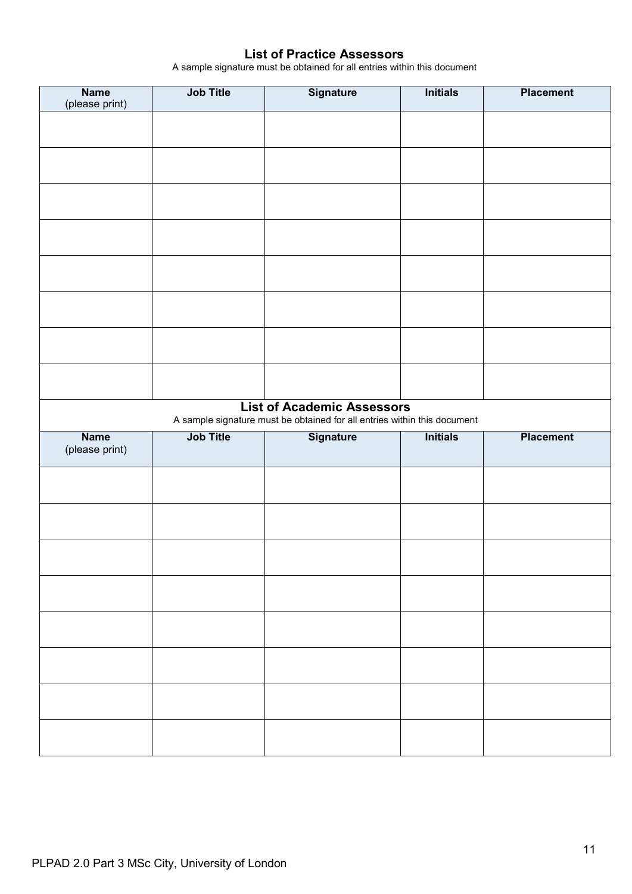# **List of Practice Assessors**

A sample signature must be obtained for all entries within this document

| <b>Name</b><br>(please print) | <b>Job Title</b> | Signature                                                                                    | <b>Initials</b> | <b>Placement</b> |
|-------------------------------|------------------|----------------------------------------------------------------------------------------------|-----------------|------------------|
|                               |                  |                                                                                              |                 |                  |
|                               |                  |                                                                                              |                 |                  |
|                               |                  |                                                                                              |                 |                  |
|                               |                  |                                                                                              |                 |                  |
|                               |                  |                                                                                              |                 |                  |
|                               |                  |                                                                                              |                 |                  |
|                               |                  |                                                                                              |                 |                  |
|                               |                  |                                                                                              |                 |                  |
|                               |                  |                                                                                              |                 |                  |
|                               |                  |                                                                                              |                 |                  |
|                               |                  |                                                                                              |                 |                  |
|                               |                  |                                                                                              |                 |                  |
|                               |                  |                                                                                              |                 |                  |
|                               |                  | <b>List of Academic Assessors</b>                                                            |                 |                  |
|                               |                  |                                                                                              |                 |                  |
| <b>Name</b>                   | <b>Job Title</b> | A sample signature must be obtained for all entries within this document<br><b>Signature</b> | <b>Initials</b> | <b>Placement</b> |
| (please print)                |                  |                                                                                              |                 |                  |
|                               |                  |                                                                                              |                 |                  |
|                               |                  |                                                                                              |                 |                  |
|                               |                  |                                                                                              |                 |                  |
|                               |                  |                                                                                              |                 |                  |
|                               |                  |                                                                                              |                 |                  |
|                               |                  |                                                                                              |                 |                  |
|                               |                  |                                                                                              |                 |                  |
|                               |                  |                                                                                              |                 |                  |
|                               |                  |                                                                                              |                 |                  |
|                               |                  |                                                                                              |                 |                  |
|                               |                  |                                                                                              |                 |                  |
|                               |                  |                                                                                              |                 |                  |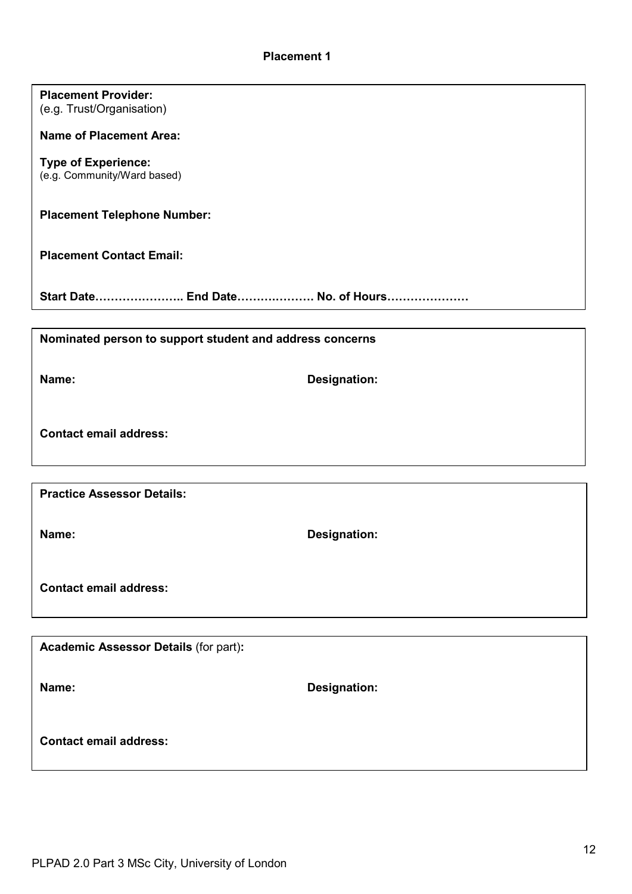| <b>Placement Provider:</b><br>(e.g. Trust/Organisation)   |                     |
|-----------------------------------------------------------|---------------------|
| <b>Name of Placement Area:</b>                            |                     |
| <b>Type of Experience:</b><br>(e.g. Community/Ward based) |                     |
| <b>Placement Telephone Number:</b>                        |                     |
| <b>Placement Contact Email:</b>                           |                     |
| Start Date End Date No. of Hours                          |                     |
|                                                           |                     |
| Nominated person to support student and address concerns  |                     |
| Name:                                                     | <b>Designation:</b> |
| <b>Contact email address:</b>                             |                     |
|                                                           |                     |
| <b>Practice Assessor Details:</b>                         |                     |
| Name:                                                     | <b>Designation:</b> |
| <b>Contact email address:</b>                             |                     |
|                                                           |                     |
| <b>Academic Assessor Details (for part):</b>              |                     |
| Name:                                                     | <b>Designation:</b> |

**Contact email address:**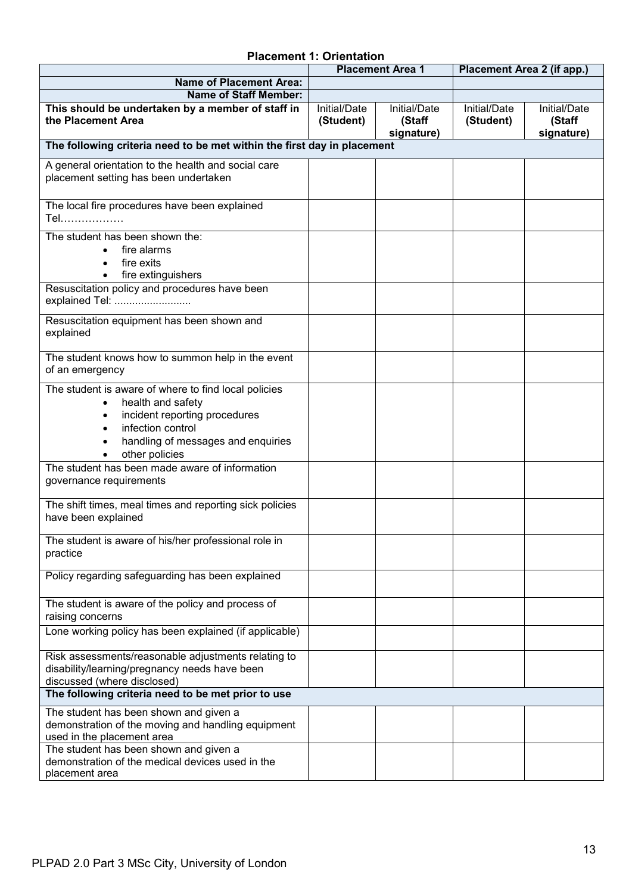# **Placement 1: Orientation**

|                                                                                                                                                                                                      |                           | <b>Placement Area 1</b>              | Placement Area 2 (if app.) |                                      |
|------------------------------------------------------------------------------------------------------------------------------------------------------------------------------------------------------|---------------------------|--------------------------------------|----------------------------|--------------------------------------|
| <b>Name of Placement Area:</b>                                                                                                                                                                       |                           |                                      |                            |                                      |
| <b>Name of Staff Member:</b>                                                                                                                                                                         |                           |                                      |                            |                                      |
| This should be undertaken by a member of staff in<br>the Placement Area                                                                                                                              | Initial/Date<br>(Student) | Initial/Date<br>(Staff<br>signature) | Initial/Date<br>(Student)  | Initial/Date<br>(Staff<br>signature) |
| The following criteria need to be met within the first day in placement                                                                                                                              |                           |                                      |                            |                                      |
| A general orientation to the health and social care<br>placement setting has been undertaken                                                                                                         |                           |                                      |                            |                                      |
| The local fire procedures have been explained<br>Tel………………                                                                                                                                           |                           |                                      |                            |                                      |
| The student has been shown the:<br>fire alarms<br>fire exits<br>fire extinguishers                                                                                                                   |                           |                                      |                            |                                      |
| Resuscitation policy and procedures have been<br>explained Tel:                                                                                                                                      |                           |                                      |                            |                                      |
| Resuscitation equipment has been shown and<br>explained                                                                                                                                              |                           |                                      |                            |                                      |
| The student knows how to summon help in the event<br>of an emergency                                                                                                                                 |                           |                                      |                            |                                      |
| The student is aware of where to find local policies<br>health and safety<br>$\bullet$<br>incident reporting procedures<br>infection control<br>handling of messages and enquiries<br>other policies |                           |                                      |                            |                                      |
| The student has been made aware of information<br>governance requirements                                                                                                                            |                           |                                      |                            |                                      |
| The shift times, meal times and reporting sick policies<br>have been explained                                                                                                                       |                           |                                      |                            |                                      |
| The student is aware of his/her professional role in<br>practice                                                                                                                                     |                           |                                      |                            |                                      |
| Policy regarding safeguarding has been explained                                                                                                                                                     |                           |                                      |                            |                                      |
| The student is aware of the policy and process of<br>raising concerns                                                                                                                                |                           |                                      |                            |                                      |
| Lone working policy has been explained (if applicable)                                                                                                                                               |                           |                                      |                            |                                      |
| Risk assessments/reasonable adjustments relating to<br>disability/learning/pregnancy needs have been<br>discussed (where disclosed)                                                                  |                           |                                      |                            |                                      |
| The following criteria need to be met prior to use                                                                                                                                                   |                           |                                      |                            |                                      |
| The student has been shown and given a<br>demonstration of the moving and handling equipment<br>used in the placement area                                                                           |                           |                                      |                            |                                      |
| The student has been shown and given a<br>demonstration of the medical devices used in the<br>placement area                                                                                         |                           |                                      |                            |                                      |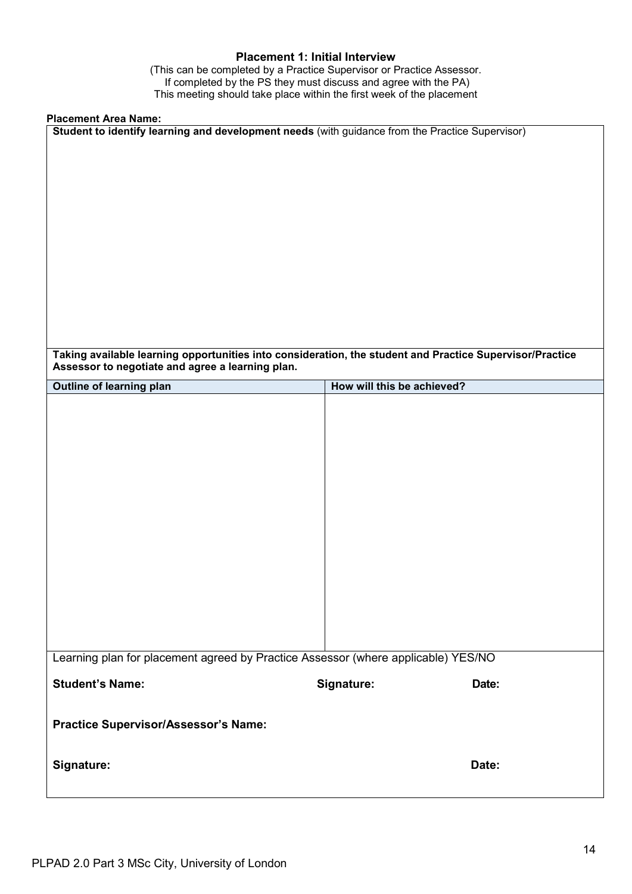## **Placement 1: Initial Interview**

(This can be completed by a Practice Supervisor or Practice Assessor. If completed by the PS they must discuss and agree with the PA) This meeting should take place within the first week of the placement

# **Placement Area Name:**

| Placement Area Name:                                                                                                                                         |                            |
|--------------------------------------------------------------------------------------------------------------------------------------------------------------|----------------------------|
| Student to identify learning and development needs (with guidance from the Practice Supervisor)                                                              |                            |
|                                                                                                                                                              |                            |
|                                                                                                                                                              |                            |
|                                                                                                                                                              |                            |
|                                                                                                                                                              |                            |
|                                                                                                                                                              |                            |
|                                                                                                                                                              |                            |
| Taking available learning opportunities into consideration, the student and Practice Supervisor/Practice<br>Assessor to negotiate and agree a learning plan. |                            |
| <b>Outline of learning plan</b>                                                                                                                              | How will this be achieved? |
|                                                                                                                                                              |                            |
|                                                                                                                                                              |                            |
|                                                                                                                                                              |                            |
|                                                                                                                                                              |                            |
|                                                                                                                                                              |                            |
|                                                                                                                                                              |                            |
|                                                                                                                                                              |                            |
|                                                                                                                                                              |                            |
|                                                                                                                                                              |                            |
|                                                                                                                                                              |                            |
| Learning plan for placement agreed by Practice Assessor (where applicable) YES/NO                                                                            |                            |
| <b>Student's Name:</b>                                                                                                                                       | Signature:<br>Date:        |
| Practice Supervisor/Assessor's Name:                                                                                                                         |                            |
| Signature:                                                                                                                                                   | Date:                      |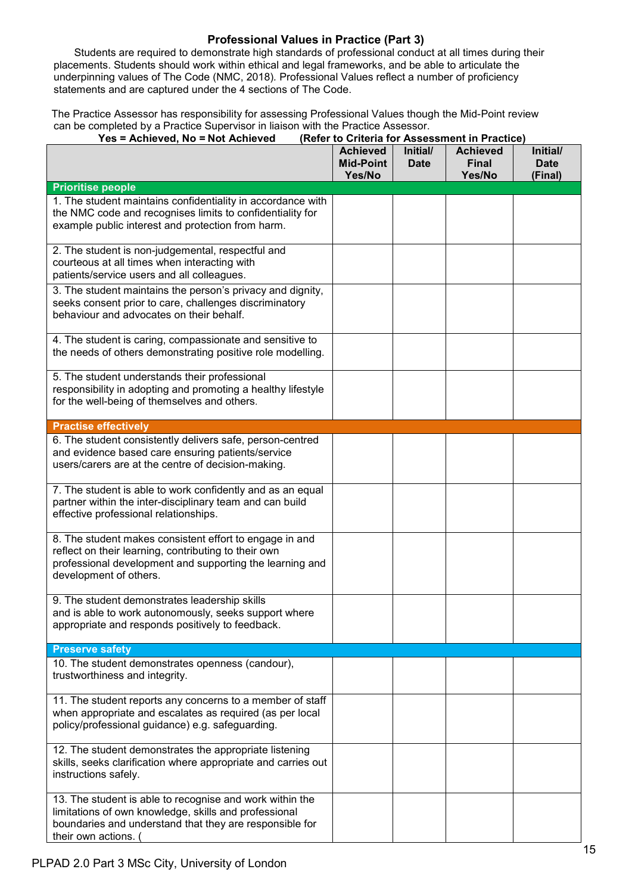# **Professional Values in Practice (Part 3)**

Students are required to demonstrate high standards of professional conduct at all times during their placements. Students should work within ethical and legal frameworks, and be able to articulate the underpinning values of The Code (NMC, 2018)*.* Professional Values reflect a number of proficiency statements and are captured under the 4 sections of The Code.

The Practice Assessor has responsibility for assessing Professional Values though the Mid-Point review can be completed by a Practice Supervisor in liaison with the Practice Assessor.

| Yes = Achieved, No = Not Achieved                                                                                                                                                                     |                                               |                         | (Refer to Criteria for Assessment in Practice) |                                    |
|-------------------------------------------------------------------------------------------------------------------------------------------------------------------------------------------------------|-----------------------------------------------|-------------------------|------------------------------------------------|------------------------------------|
|                                                                                                                                                                                                       | <b>Achieved</b><br><b>Mid-Point</b><br>Yes/No | Initial/<br><b>Date</b> | <b>Achieved</b><br><b>Final</b><br>Yes/No      | Initial/<br><b>Date</b><br>(Final) |
| <b>Prioritise people</b>                                                                                                                                                                              |                                               |                         |                                                |                                    |
| 1. The student maintains confidentiality in accordance with<br>the NMC code and recognises limits to confidentiality for<br>example public interest and protection from harm.                         |                                               |                         |                                                |                                    |
| 2. The student is non-judgemental, respectful and<br>courteous at all times when interacting with<br>patients/service users and all colleagues.                                                       |                                               |                         |                                                |                                    |
| 3. The student maintains the person's privacy and dignity,<br>seeks consent prior to care, challenges discriminatory<br>behaviour and advocates on their behalf.                                      |                                               |                         |                                                |                                    |
| 4. The student is caring, compassionate and sensitive to<br>the needs of others demonstrating positive role modelling.                                                                                |                                               |                         |                                                |                                    |
| 5. The student understands their professional<br>responsibility in adopting and promoting a healthy lifestyle<br>for the well-being of themselves and others.                                         |                                               |                         |                                                |                                    |
| <b>Practise effectively</b>                                                                                                                                                                           |                                               |                         |                                                |                                    |
| 6. The student consistently delivers safe, person-centred<br>and evidence based care ensuring patients/service<br>users/carers are at the centre of decision-making.                                  |                                               |                         |                                                |                                    |
| 7. The student is able to work confidently and as an equal<br>partner within the inter-disciplinary team and can build<br>effective professional relationships.                                       |                                               |                         |                                                |                                    |
| 8. The student makes consistent effort to engage in and<br>reflect on their learning, contributing to their own<br>professional development and supporting the learning and<br>development of others. |                                               |                         |                                                |                                    |
| 9. The student demonstrates leadership skills<br>and is able to work autonomously, seeks support where<br>appropriate and responds positively to feedback.                                            |                                               |                         |                                                |                                    |
| <b>Preserve safety</b>                                                                                                                                                                                |                                               |                         |                                                |                                    |
| 10. The student demonstrates openness (candour),<br>trustworthiness and integrity.                                                                                                                    |                                               |                         |                                                |                                    |
| 11. The student reports any concerns to a member of staff<br>when appropriate and escalates as required (as per local<br>policy/professional guidance) e.g. safeguarding.                             |                                               |                         |                                                |                                    |
| 12. The student demonstrates the appropriate listening<br>skills, seeks clarification where appropriate and carries out<br>instructions safely.                                                       |                                               |                         |                                                |                                    |
| 13. The student is able to recognise and work within the<br>limitations of own knowledge, skills and professional<br>boundaries and understand that they are responsible for<br>their own actions. (  |                                               |                         |                                                |                                    |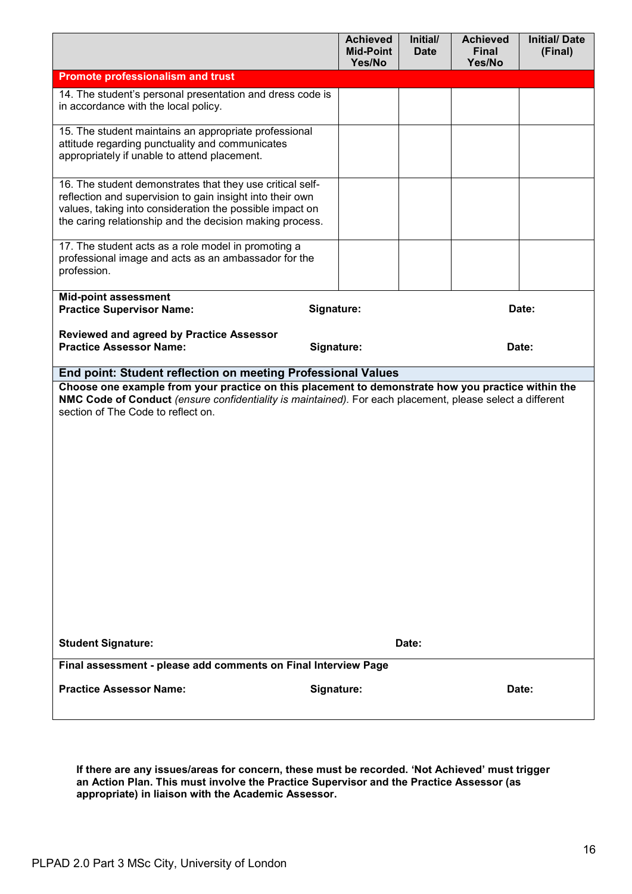|                                                                                                                                                                                                                                                       | <b>Achieved</b><br><b>Mid-Point</b><br>Yes/No | Initial/<br><b>Date</b> | <b>Achieved</b><br><b>Final</b><br>Yes/No | <b>Initial/Date</b><br>(Final) |
|-------------------------------------------------------------------------------------------------------------------------------------------------------------------------------------------------------------------------------------------------------|-----------------------------------------------|-------------------------|-------------------------------------------|--------------------------------|
| <b>Promote professionalism and trust</b>                                                                                                                                                                                                              |                                               |                         |                                           |                                |
| 14. The student's personal presentation and dress code is<br>in accordance with the local policy.                                                                                                                                                     |                                               |                         |                                           |                                |
| 15. The student maintains an appropriate professional<br>attitude regarding punctuality and communicates<br>appropriately if unable to attend placement.                                                                                              |                                               |                         |                                           |                                |
| 16. The student demonstrates that they use critical self-<br>reflection and supervision to gain insight into their own<br>values, taking into consideration the possible impact on<br>the caring relationship and the decision making process.        |                                               |                         |                                           |                                |
| 17. The student acts as a role model in promoting a<br>professional image and acts as an ambassador for the<br>profession.                                                                                                                            |                                               |                         |                                           |                                |
| <b>Mid-point assessment</b><br><b>Practice Supervisor Name:</b>                                                                                                                                                                                       | Signature:                                    |                         |                                           | Date:                          |
| <b>Reviewed and agreed by Practice Assessor</b><br><b>Practice Assessor Name:</b>                                                                                                                                                                     | Signature:                                    |                         |                                           | Date:                          |
| End point: Student reflection on meeting Professional Values                                                                                                                                                                                          |                                               |                         |                                           |                                |
| Choose one example from your practice on this placement to demonstrate how you practice within the<br>NMC Code of Conduct (ensure confidentiality is maintained). For each placement, please select a different<br>section of The Code to reflect on. |                                               |                         |                                           |                                |
| <b>Student Signature:</b><br>Final assessment - please add comments on Final Interview Page                                                                                                                                                           |                                               | Date:                   |                                           |                                |
|                                                                                                                                                                                                                                                       |                                               |                         |                                           |                                |
| <b>Practice Assessor Name:</b>                                                                                                                                                                                                                        | Signature:                                    |                         |                                           | Date:                          |

**If there are any issues/areas for concern, these must be recorded. 'Not Achieved' must trigger an Action Plan. This must involve the Practice Supervisor and the Practice Assessor (as appropriate) in liaison with the Academic Assessor.**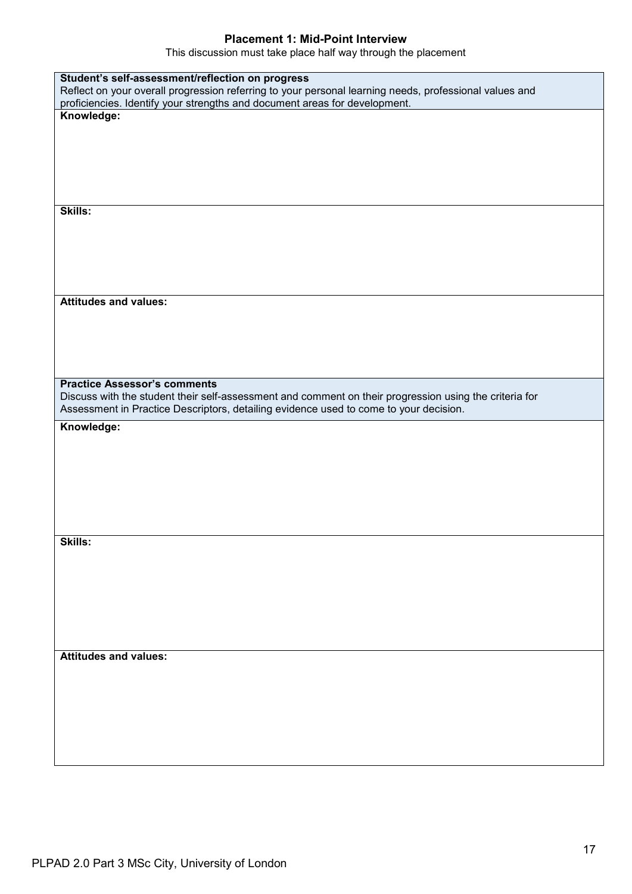### **Placement 1: Mid-Point Interview**

This discussion must take place half way through the placement

| Student's self-assessment/reflection on progress                                                       |
|--------------------------------------------------------------------------------------------------------|
| Reflect on your overall progression referring to your personal learning needs, professional values and |
| proficiencies. Identify your strengths and document areas for development.                             |
| Knowledge:                                                                                             |
|                                                                                                        |
|                                                                                                        |
|                                                                                                        |
|                                                                                                        |
|                                                                                                        |
|                                                                                                        |
|                                                                                                        |
| Skills:                                                                                                |
|                                                                                                        |
|                                                                                                        |
|                                                                                                        |
|                                                                                                        |
|                                                                                                        |
|                                                                                                        |
|                                                                                                        |
| <b>Attitudes and values:</b>                                                                           |
|                                                                                                        |
|                                                                                                        |
|                                                                                                        |
|                                                                                                        |
|                                                                                                        |
|                                                                                                        |
| <b>Practice Assessor's comments</b>                                                                    |
| Discuss with the student their self-assessment and comment on their progression using the criteria for |
|                                                                                                        |
|                                                                                                        |
| Assessment in Practice Descriptors, detailing evidence used to come to your decision.                  |
| Knowledge:                                                                                             |
|                                                                                                        |
|                                                                                                        |
|                                                                                                        |
|                                                                                                        |
|                                                                                                        |
|                                                                                                        |
|                                                                                                        |
|                                                                                                        |
|                                                                                                        |
| Skills:                                                                                                |
|                                                                                                        |
|                                                                                                        |
|                                                                                                        |
|                                                                                                        |
|                                                                                                        |
|                                                                                                        |
|                                                                                                        |
|                                                                                                        |
|                                                                                                        |
| <b>Attitudes and values:</b>                                                                           |
|                                                                                                        |
|                                                                                                        |
|                                                                                                        |
|                                                                                                        |
|                                                                                                        |
|                                                                                                        |
|                                                                                                        |
|                                                                                                        |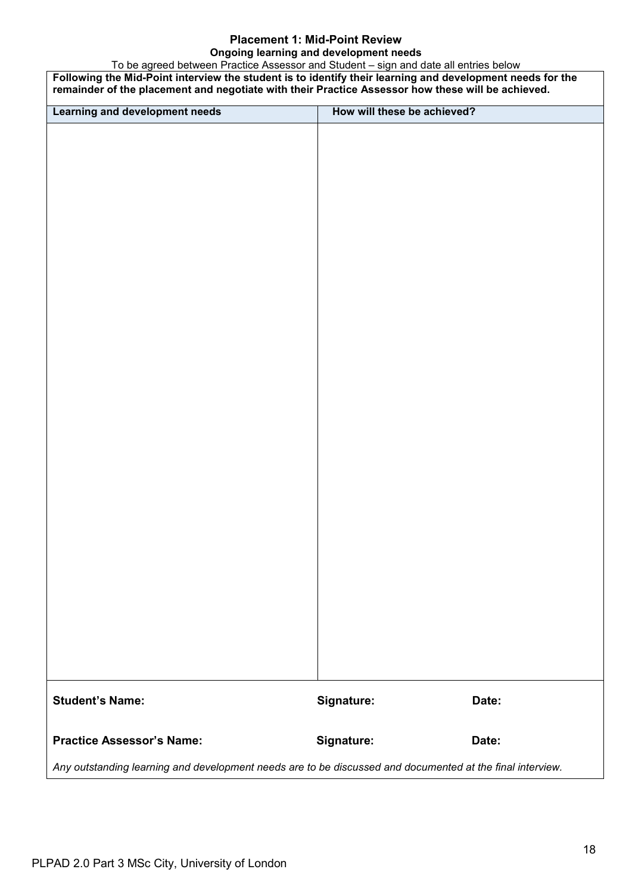### **Placement 1: Mid-Point Review Ongoing learning and development needs**

To be agreed between Practice Assessor and Student – sign and date all entries below **Following the Mid-Point interview the student is to identify their learning and development needs for the remainder of the placement and negotiate with their Practice Assessor how these will be achieved. Learning and development needs How will these be achieved? Student's Name: Signature: Date: Practice Assessor's Name: Signature: Date:** *Any outstanding learning and development needs are to be discussed and documented at the final interview.*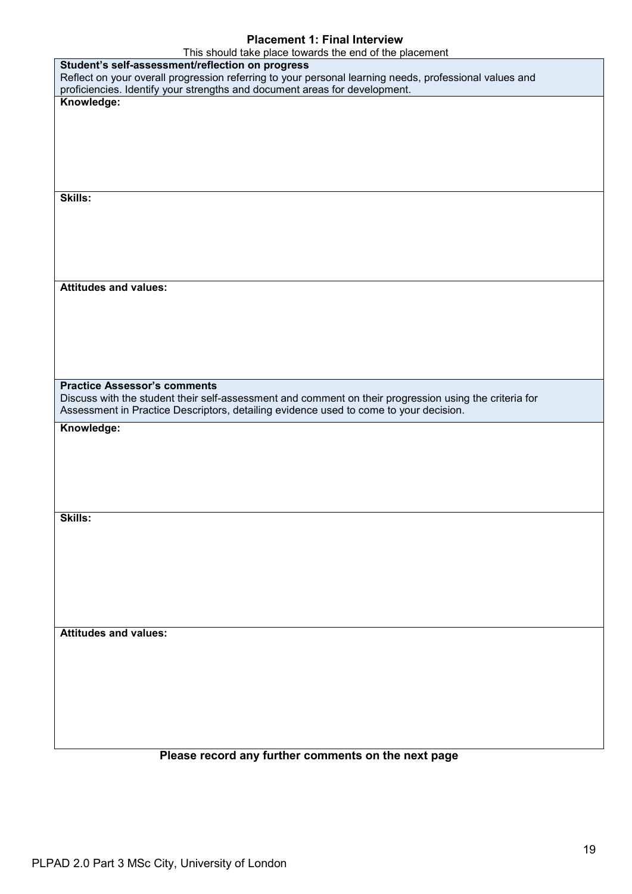# **Placement 1: Final Interview**

| This should take place towards the end of the placement                                                                                       |
|-----------------------------------------------------------------------------------------------------------------------------------------------|
| Student's self-assessment/reflection on progress                                                                                              |
| Reflect on your overall progression referring to your personal learning needs, professional values and                                        |
| proficiencies. Identify your strengths and document areas for development.                                                                    |
| Knowledge:                                                                                                                                    |
|                                                                                                                                               |
|                                                                                                                                               |
|                                                                                                                                               |
|                                                                                                                                               |
|                                                                                                                                               |
| Skills:                                                                                                                                       |
|                                                                                                                                               |
|                                                                                                                                               |
|                                                                                                                                               |
|                                                                                                                                               |
|                                                                                                                                               |
|                                                                                                                                               |
| <b>Attitudes and values:</b>                                                                                                                  |
|                                                                                                                                               |
|                                                                                                                                               |
|                                                                                                                                               |
|                                                                                                                                               |
|                                                                                                                                               |
|                                                                                                                                               |
| <b>Practice Assessor's comments</b><br>Discuss with the student their self-assessment and comment on their progression using the criteria for |
|                                                                                                                                               |
|                                                                                                                                               |
| Assessment in Practice Descriptors, detailing evidence used to come to your decision.                                                         |
| Knowledge:                                                                                                                                    |
|                                                                                                                                               |
|                                                                                                                                               |
|                                                                                                                                               |
|                                                                                                                                               |
|                                                                                                                                               |
| <b>Skills:</b>                                                                                                                                |
|                                                                                                                                               |
|                                                                                                                                               |
|                                                                                                                                               |
|                                                                                                                                               |
|                                                                                                                                               |
|                                                                                                                                               |
|                                                                                                                                               |
| <b>Attitudes and values:</b>                                                                                                                  |
|                                                                                                                                               |
|                                                                                                                                               |
|                                                                                                                                               |
|                                                                                                                                               |
|                                                                                                                                               |
|                                                                                                                                               |
|                                                                                                                                               |

# **Please record any further comments on the next page**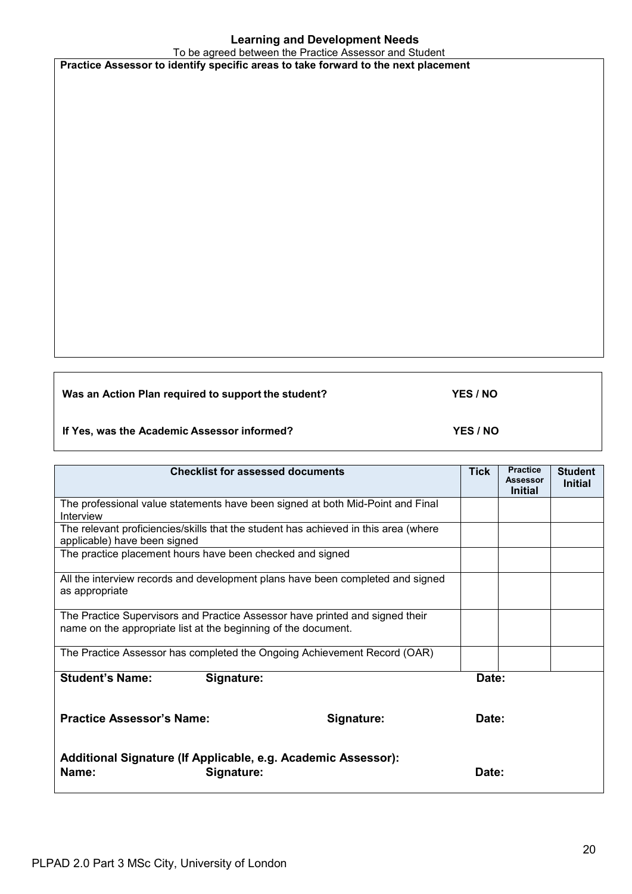# **Learning and Development Needs**

To be agreed between the Practice Assessor and Student **Practice Assessor to identify specific areas to take forward to the next placement**

**Was an Action Plan required to support the student? YES / NO**

**If Yes, was the Academic Assessor informed? YES / NO**

**Checklist for assessed documents** Tick | Practice **Assessor Initial Student Initial** The professional value statements have been signed at both Mid-Point and Final Interview The relevant proficiencies/skills that the student has achieved in this area (where applicable) have been signed The practice placement hours have been checked and signed All the interview records and development plans have been completed and signed as appropriate The Practice Supervisors and Practice Assessor have printed and signed their name on the appropriate list at the beginning of the document. The Practice Assessor has completed the Ongoing Achievement Record (OAR) **Student's Name: Signature: Date: Practice Assessor's Name: Signature: Date: Additional Signature (If Applicable, e.g. Academic Assessor): Name: Signature: CONSIDENTS**  $\bullet$  **Date: Date: Date:**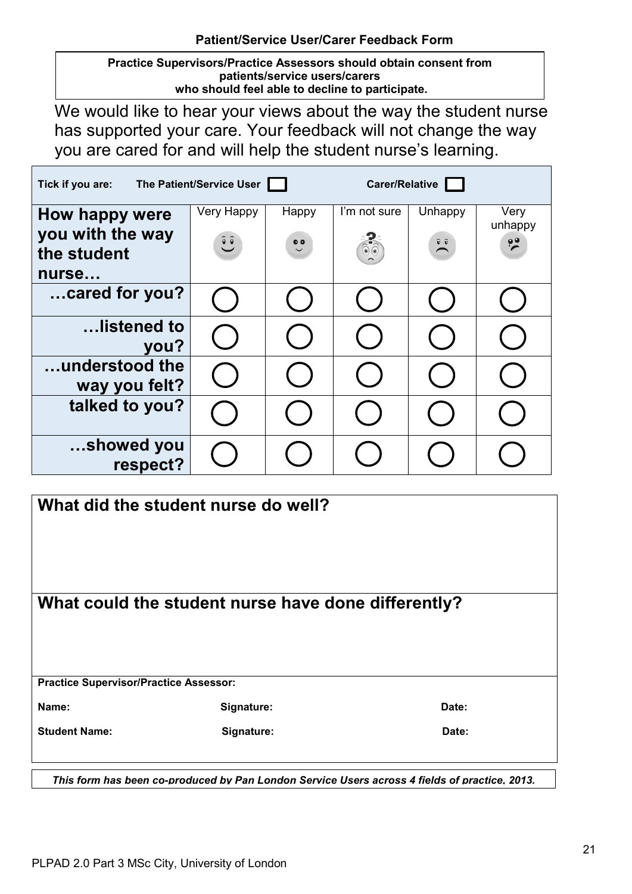**Practice Supervisors/Practice Assessors should obtain consent from patients/service users/carers who should feel able to decline to participate.** 

We would like to hear your views about the way the student nurse has supported your care. Your feedback will not change the way you are cared for and will help the student nurse's learning.

| Tick if you are:                                           | The Patient/Service User |                           | Carer/Relative                 |                             |                                  |
|------------------------------------------------------------|--------------------------|---------------------------|--------------------------------|-----------------------------|----------------------------------|
| How happy were<br>you with the way<br>the student<br>nurse | Very Happy<br>$\hat{c}$  | Happy<br>$\ddot{\bullet}$ | I'm not sure<br>$\circledcirc$ | Unhappy<br>$\sum_{i=1}^{n}$ | Very<br>unhappy<br>$\frac{1}{2}$ |
| cared for you?                                             |                          |                           |                                |                             |                                  |
| listened to<br>you?                                        |                          |                           |                                |                             |                                  |
| understood the<br>way you felt?                            |                          |                           |                                |                             |                                  |
| talked to you?                                             |                          |                           |                                |                             |                                  |
| showed you<br>respect?                                     |                          |                           |                                |                             |                                  |

| What did the student nurse do well?           |                                                                                               |       |  |
|-----------------------------------------------|-----------------------------------------------------------------------------------------------|-------|--|
|                                               | What could the student nurse have done differently?                                           |       |  |
| <b>Practice Supervisor/Practice Assessor:</b> |                                                                                               |       |  |
| Name:                                         | Signature:                                                                                    | Date: |  |
| <b>Student Name:</b>                          | Signature:                                                                                    | Date: |  |
|                                               | This form has been co-produced by Pan London Service Users across 4 fields of practice, 2013. |       |  |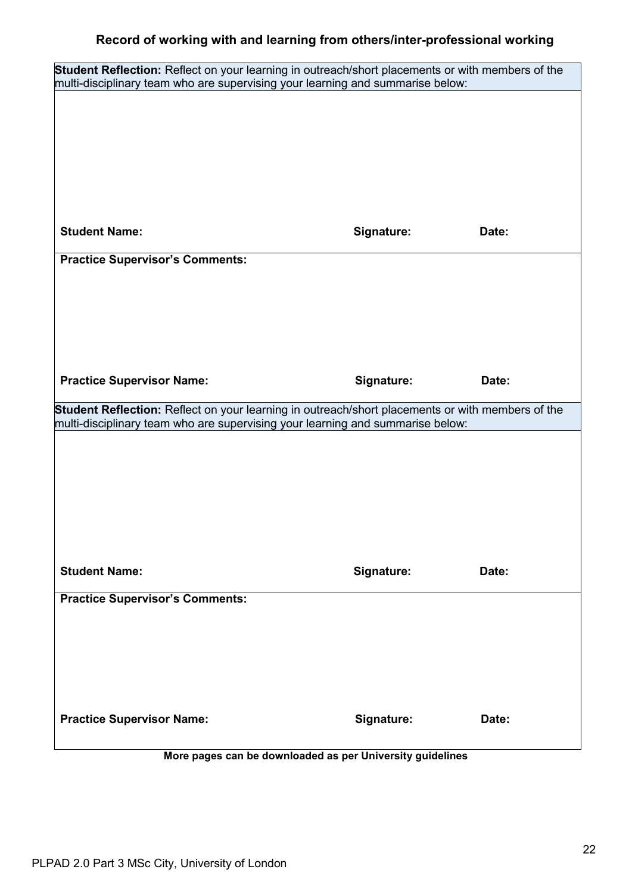| Student Reflection: Reflect on your learning in outreach/short placements or with members of the<br>multi-disciplinary team who are supervising your learning and summarise below: |            |       |
|------------------------------------------------------------------------------------------------------------------------------------------------------------------------------------|------------|-------|
|                                                                                                                                                                                    |            |       |
|                                                                                                                                                                                    |            |       |
|                                                                                                                                                                                    |            |       |
|                                                                                                                                                                                    |            |       |
|                                                                                                                                                                                    |            |       |
|                                                                                                                                                                                    |            |       |
| <b>Student Name:</b>                                                                                                                                                               | Signature: | Date: |
| <b>Practice Supervisor's Comments:</b>                                                                                                                                             |            |       |
|                                                                                                                                                                                    |            |       |
|                                                                                                                                                                                    |            |       |
|                                                                                                                                                                                    |            |       |
|                                                                                                                                                                                    |            |       |
| <b>Practice Supervisor Name:</b>                                                                                                                                                   | Signature: | Date: |
| Student Reflection: Reflect on your learning in outreach/short placements or with members of the                                                                                   |            |       |
| multi-disciplinary team who are supervising your learning and summarise below:                                                                                                     |            |       |
|                                                                                                                                                                                    |            |       |
|                                                                                                                                                                                    |            |       |
|                                                                                                                                                                                    |            |       |
|                                                                                                                                                                                    |            |       |
|                                                                                                                                                                                    |            |       |
| <b>Student Name:</b>                                                                                                                                                               | Signature: | Date: |
| <b>Practice Supervisor's Comments:</b>                                                                                                                                             |            |       |
|                                                                                                                                                                                    |            |       |
|                                                                                                                                                                                    |            |       |
|                                                                                                                                                                                    |            |       |
|                                                                                                                                                                                    |            |       |
| <b>Practice Supervisor Name:</b>                                                                                                                                                   | Signature: | Date: |
|                                                                                                                                                                                    |            |       |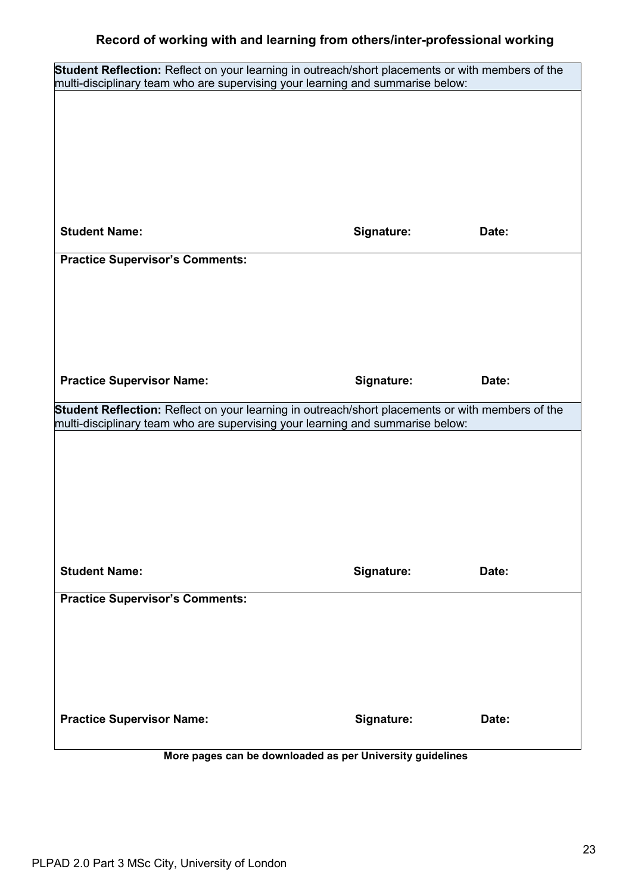| Student Reflection: Reflect on your learning in outreach/short placements or with members of the |            |       |
|--------------------------------------------------------------------------------------------------|------------|-------|
| multi-disciplinary team who are supervising your learning and summarise below:                   |            |       |
|                                                                                                  |            |       |
|                                                                                                  |            |       |
|                                                                                                  |            |       |
|                                                                                                  |            |       |
| <b>Student Name:</b>                                                                             | Signature: | Date: |
| <b>Practice Supervisor's Comments:</b>                                                           |            |       |
|                                                                                                  |            |       |
|                                                                                                  |            |       |
|                                                                                                  |            |       |
|                                                                                                  |            |       |
| <b>Practice Supervisor Name:</b>                                                                 | Signature: | Date: |
| Student Reflection: Reflect on your learning in outreach/short placements or with members of the |            |       |
|                                                                                                  |            |       |
| multi-disciplinary team who are supervising your learning and summarise below:                   |            |       |
|                                                                                                  |            |       |
|                                                                                                  |            |       |
|                                                                                                  |            |       |
|                                                                                                  |            |       |
| <b>Student Name:</b>                                                                             | Signature: | Date: |
| <b>Practice Supervisor's Comments:</b>                                                           |            |       |
|                                                                                                  |            |       |
|                                                                                                  |            |       |
|                                                                                                  |            |       |
|                                                                                                  |            |       |
| <b>Practice Supervisor Name:</b>                                                                 | Signature: | Date: |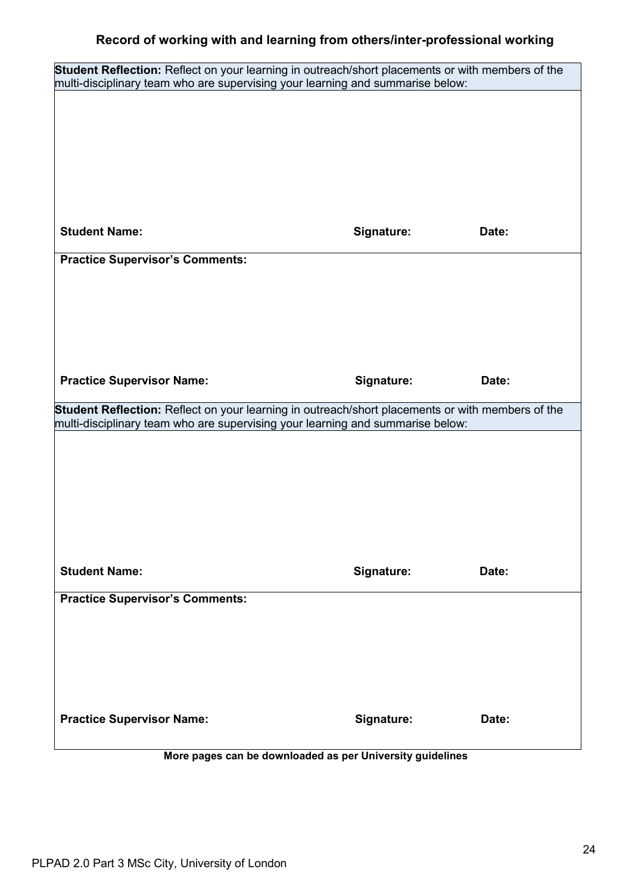| Student Reflection: Reflect on your learning in outreach/short placements or with members of the<br>multi-disciplinary team who are supervising your learning and summarise below: |            |       |
|------------------------------------------------------------------------------------------------------------------------------------------------------------------------------------|------------|-------|
|                                                                                                                                                                                    |            |       |
|                                                                                                                                                                                    |            |       |
|                                                                                                                                                                                    |            |       |
|                                                                                                                                                                                    |            |       |
|                                                                                                                                                                                    |            |       |
|                                                                                                                                                                                    |            |       |
| <b>Student Name:</b>                                                                                                                                                               | Signature: | Date: |
| <b>Practice Supervisor's Comments:</b>                                                                                                                                             |            |       |
|                                                                                                                                                                                    |            |       |
|                                                                                                                                                                                    |            |       |
|                                                                                                                                                                                    |            |       |
|                                                                                                                                                                                    |            |       |
| <b>Practice Supervisor Name:</b>                                                                                                                                                   | Signature: | Date: |
| Student Reflection: Reflect on your learning in outreach/short placements or with members of the                                                                                   |            |       |
| multi-disciplinary team who are supervising your learning and summarise below:                                                                                                     |            |       |
|                                                                                                                                                                                    |            |       |
|                                                                                                                                                                                    |            |       |
|                                                                                                                                                                                    |            |       |
|                                                                                                                                                                                    |            |       |
|                                                                                                                                                                                    |            |       |
| <b>Student Name:</b>                                                                                                                                                               | Signature: | Date: |
| <b>Practice Supervisor's Comments:</b>                                                                                                                                             |            |       |
|                                                                                                                                                                                    |            |       |
|                                                                                                                                                                                    |            |       |
|                                                                                                                                                                                    |            |       |
|                                                                                                                                                                                    |            |       |
| <b>Practice Supervisor Name:</b>                                                                                                                                                   | Signature: | Date: |
|                                                                                                                                                                                    |            |       |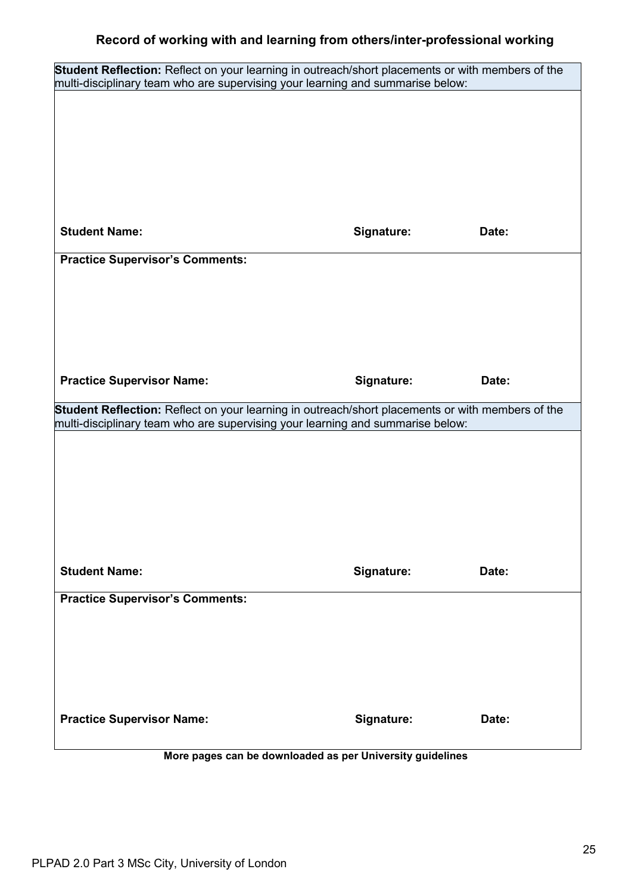| Student Reflection: Reflect on your learning in outreach/short placements or with members of the |            |       |
|--------------------------------------------------------------------------------------------------|------------|-------|
| multi-disciplinary team who are supervising your learning and summarise below:                   |            |       |
|                                                                                                  |            |       |
|                                                                                                  |            |       |
|                                                                                                  |            |       |
|                                                                                                  |            |       |
| <b>Student Name:</b>                                                                             | Signature: | Date: |
| <b>Practice Supervisor's Comments:</b>                                                           |            |       |
|                                                                                                  |            |       |
|                                                                                                  |            |       |
|                                                                                                  |            |       |
|                                                                                                  |            |       |
| <b>Practice Supervisor Name:</b>                                                                 | Signature: | Date: |
| Student Reflection: Reflect on your learning in outreach/short placements or with members of the |            |       |
|                                                                                                  |            |       |
| multi-disciplinary team who are supervising your learning and summarise below:                   |            |       |
|                                                                                                  |            |       |
|                                                                                                  |            |       |
|                                                                                                  |            |       |
|                                                                                                  |            |       |
| <b>Student Name:</b>                                                                             | Signature: | Date: |
| <b>Practice Supervisor's Comments:</b>                                                           |            |       |
|                                                                                                  |            |       |
|                                                                                                  |            |       |
|                                                                                                  |            |       |
|                                                                                                  |            |       |
| <b>Practice Supervisor Name:</b>                                                                 | Signature: | Date: |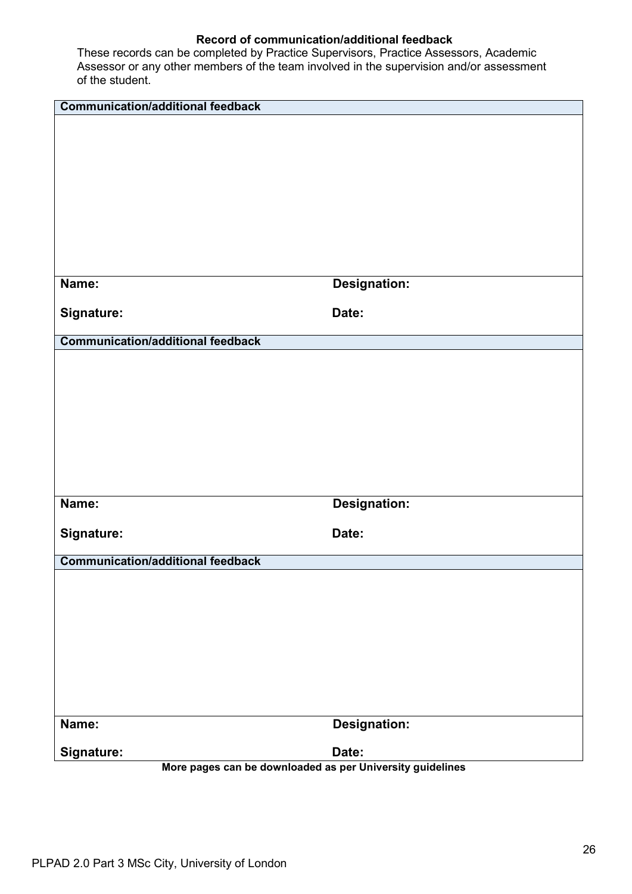| <b>Communication/additional feedback</b>                  |                     |
|-----------------------------------------------------------|---------------------|
|                                                           |                     |
|                                                           |                     |
|                                                           |                     |
|                                                           |                     |
|                                                           |                     |
|                                                           |                     |
|                                                           |                     |
|                                                           |                     |
|                                                           |                     |
| Name:                                                     | <b>Designation:</b> |
|                                                           |                     |
| Signature:                                                | Date:               |
| <b>Communication/additional feedback</b>                  |                     |
|                                                           |                     |
|                                                           |                     |
|                                                           |                     |
|                                                           |                     |
|                                                           |                     |
|                                                           |                     |
|                                                           |                     |
|                                                           |                     |
| Name:                                                     | <b>Designation:</b> |
|                                                           |                     |
| Signature:                                                | Date:               |
|                                                           |                     |
| <b>Communication/additional feedback</b>                  |                     |
|                                                           |                     |
|                                                           |                     |
|                                                           |                     |
|                                                           |                     |
|                                                           |                     |
|                                                           |                     |
|                                                           |                     |
|                                                           |                     |
| Name:                                                     | <b>Designation:</b> |
| Signature:                                                | Date:               |
| More pages can be downloaded as per University guidelines |                     |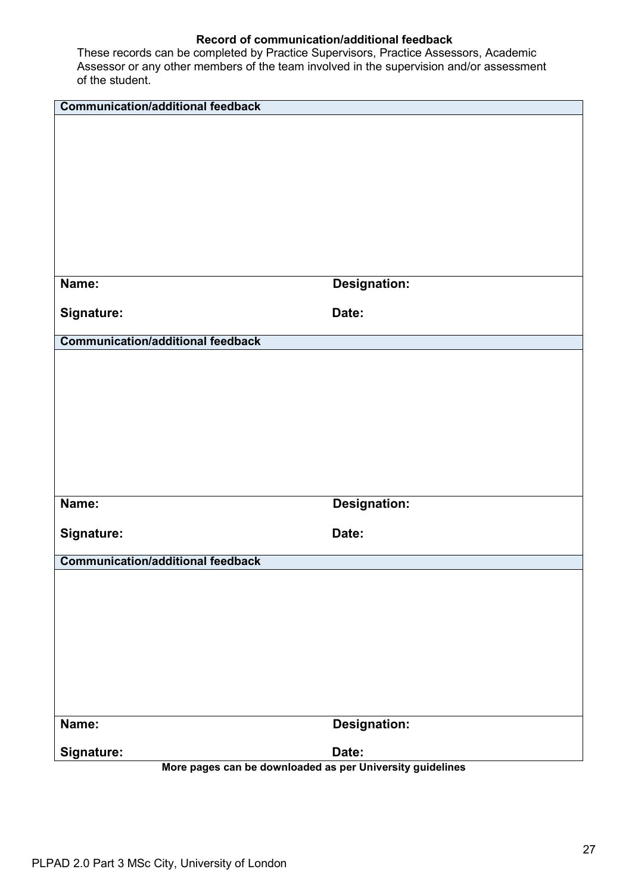| <b>Communication/additional feedback</b>                                |                     |
|-------------------------------------------------------------------------|---------------------|
|                                                                         |                     |
|                                                                         |                     |
|                                                                         |                     |
|                                                                         |                     |
|                                                                         |                     |
|                                                                         |                     |
|                                                                         |                     |
|                                                                         |                     |
| Name:                                                                   | <b>Designation:</b> |
| Signature:                                                              | Date:               |
|                                                                         |                     |
| <b>Communication/additional feedback</b>                                |                     |
|                                                                         |                     |
|                                                                         |                     |
|                                                                         |                     |
|                                                                         |                     |
|                                                                         |                     |
|                                                                         |                     |
|                                                                         |                     |
| Name:                                                                   | <b>Designation:</b> |
|                                                                         |                     |
| Signature:                                                              | Date:               |
|                                                                         |                     |
| <b>Communication/additional feedback</b>                                |                     |
|                                                                         |                     |
|                                                                         |                     |
|                                                                         |                     |
|                                                                         |                     |
|                                                                         |                     |
|                                                                         |                     |
|                                                                         |                     |
| Name:                                                                   | <b>Designation:</b> |
|                                                                         |                     |
| Signature:<br>More pages can be downloaded as per University guidelines | Date:               |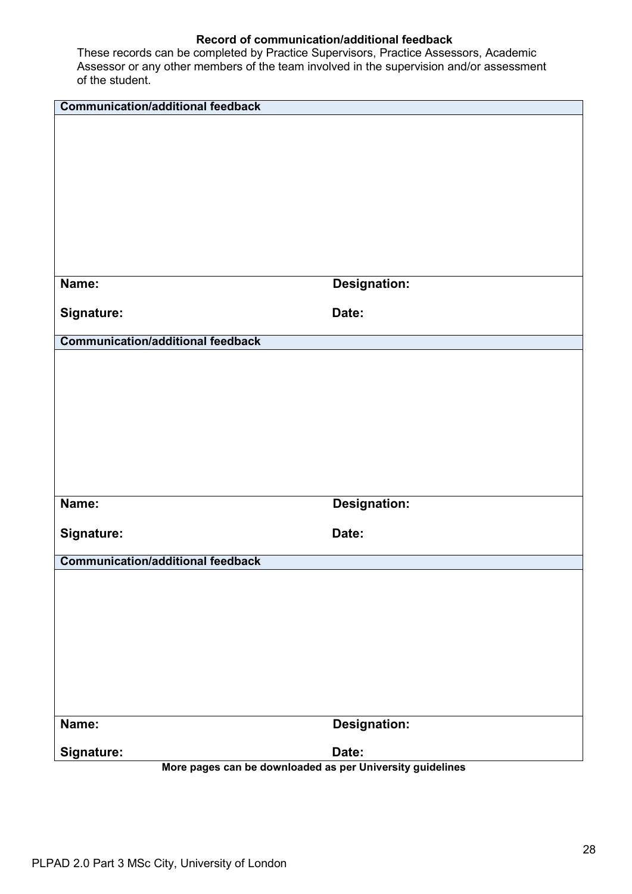| <b>Communication/additional feedback</b>                                |                     |
|-------------------------------------------------------------------------|---------------------|
|                                                                         |                     |
|                                                                         |                     |
|                                                                         |                     |
|                                                                         |                     |
|                                                                         |                     |
|                                                                         |                     |
|                                                                         |                     |
|                                                                         |                     |
| Name:                                                                   | <b>Designation:</b> |
| Signature:                                                              | Date:               |
|                                                                         |                     |
| <b>Communication/additional feedback</b>                                |                     |
|                                                                         |                     |
|                                                                         |                     |
|                                                                         |                     |
|                                                                         |                     |
|                                                                         |                     |
|                                                                         |                     |
|                                                                         |                     |
| Name:                                                                   | <b>Designation:</b> |
|                                                                         |                     |
| Signature:                                                              | Date:               |
|                                                                         |                     |
| <b>Communication/additional feedback</b>                                |                     |
|                                                                         |                     |
|                                                                         |                     |
|                                                                         |                     |
|                                                                         |                     |
|                                                                         |                     |
|                                                                         |                     |
|                                                                         |                     |
| Name:                                                                   | <b>Designation:</b> |
|                                                                         |                     |
| Signature:<br>More pages can be downloaded as per University guidelines | Date:               |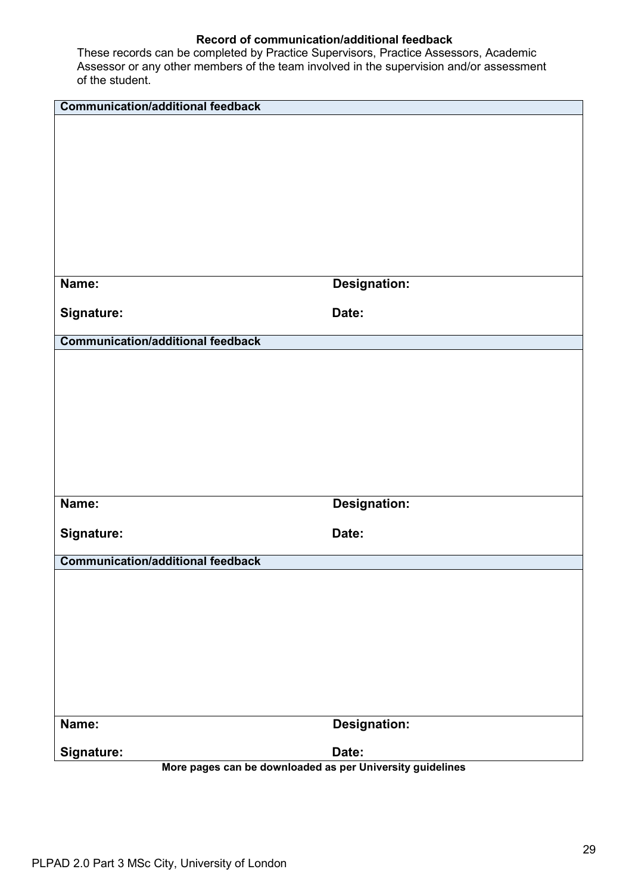| <b>Communication/additional feedback</b>                                |                     |
|-------------------------------------------------------------------------|---------------------|
|                                                                         |                     |
|                                                                         |                     |
|                                                                         |                     |
|                                                                         |                     |
|                                                                         |                     |
|                                                                         |                     |
|                                                                         |                     |
|                                                                         |                     |
| Name:                                                                   | <b>Designation:</b> |
| Signature:                                                              | Date:               |
|                                                                         |                     |
| <b>Communication/additional feedback</b>                                |                     |
|                                                                         |                     |
|                                                                         |                     |
|                                                                         |                     |
|                                                                         |                     |
|                                                                         |                     |
|                                                                         |                     |
|                                                                         |                     |
| Name:                                                                   | <b>Designation:</b> |
|                                                                         |                     |
| Signature:                                                              | Date:               |
| <b>Communication/additional feedback</b>                                |                     |
|                                                                         |                     |
|                                                                         |                     |
|                                                                         |                     |
|                                                                         |                     |
|                                                                         |                     |
|                                                                         |                     |
|                                                                         |                     |
|                                                                         |                     |
| Name:                                                                   | <b>Designation:</b> |
|                                                                         | Date:               |
| Signature:<br>More pages can be downloaded as per University guidelines |                     |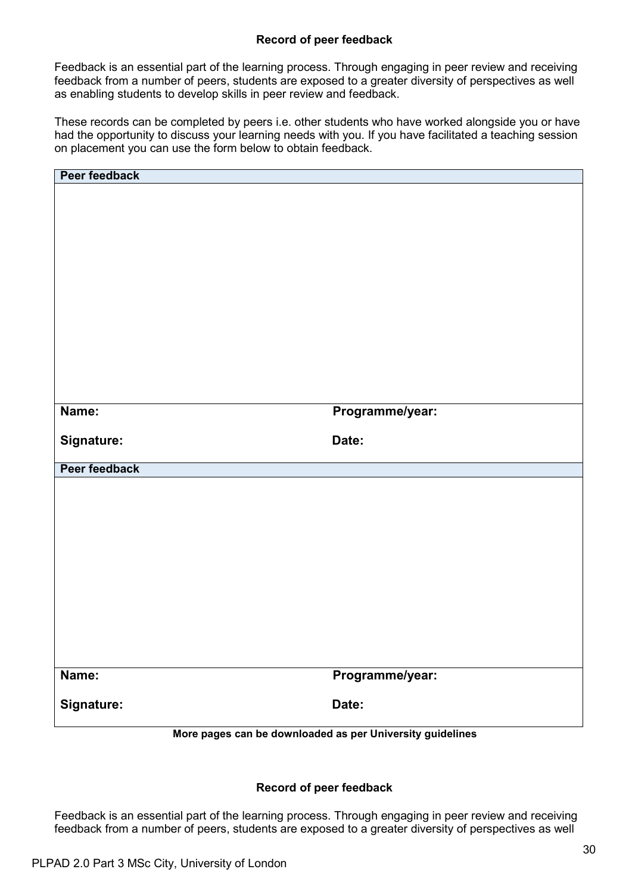# **Record of peer feedback**

Feedback is an essential part of the learning process. Through engaging in peer review and receiving feedback from a number of peers, students are exposed to a greater diversity of perspectives as well as enabling students to develop skills in peer review and feedback.

These records can be completed by peers i.e. other students who have worked alongside you or have had the opportunity to discuss your learning needs with you. If you have facilitated a teaching session on placement you can use the form below to obtain feedback.

| Peer feedback |                                                           |
|---------------|-----------------------------------------------------------|
|               |                                                           |
|               |                                                           |
|               |                                                           |
|               |                                                           |
|               |                                                           |
|               |                                                           |
|               |                                                           |
|               |                                                           |
|               |                                                           |
|               |                                                           |
|               |                                                           |
|               |                                                           |
|               |                                                           |
|               |                                                           |
| Name:         | Programme/year:                                           |
|               |                                                           |
| Signature:    | Date:                                                     |
|               |                                                           |
| Peer feedback |                                                           |
|               |                                                           |
|               |                                                           |
|               |                                                           |
|               |                                                           |
|               |                                                           |
|               |                                                           |
|               |                                                           |
|               |                                                           |
|               |                                                           |
|               |                                                           |
|               |                                                           |
|               |                                                           |
|               |                                                           |
| Name:         | Programme/year:                                           |
|               |                                                           |
| Signature:    | Date:                                                     |
|               | More pages can be downloaded as per University guidelines |

## **Record of peer feedback**

Feedback is an essential part of the learning process. Through engaging in peer review and receiving feedback from a number of peers, students are exposed to a greater diversity of perspectives as well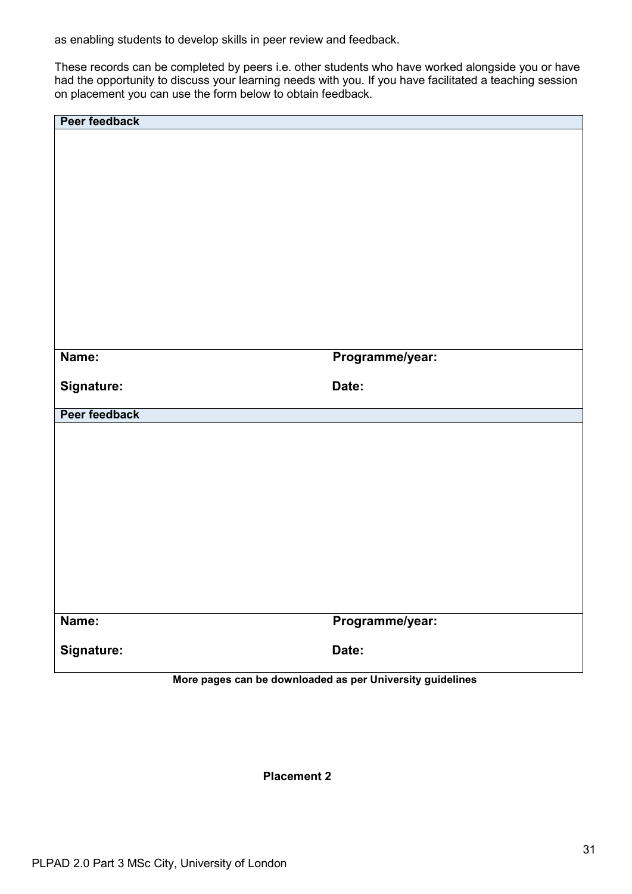as enabling students to develop skills in peer review and feedback.

These records can be completed by peers i.e. other students who have worked alongside you or have had the opportunity to discuss your learning needs with you. If you have facilitated a teaching session on placement you can use the form below to obtain feedback.

| Peer feedback |                                                           |
|---------------|-----------------------------------------------------------|
|               |                                                           |
|               |                                                           |
|               |                                                           |
|               |                                                           |
|               |                                                           |
|               |                                                           |
|               |                                                           |
|               |                                                           |
|               |                                                           |
|               |                                                           |
|               |                                                           |
|               |                                                           |
| Name:         | Programme/year:                                           |
|               |                                                           |
| Signature:    | Date:                                                     |
| Peer feedback |                                                           |
|               |                                                           |
|               |                                                           |
|               |                                                           |
|               |                                                           |
|               |                                                           |
|               |                                                           |
|               |                                                           |
|               |                                                           |
|               |                                                           |
|               |                                                           |
| Name:         |                                                           |
|               | Programme/year:                                           |
| Signature:    | Date:                                                     |
|               | More pages can be downloaded as per University guidelines |
|               |                                                           |

**Placement 2**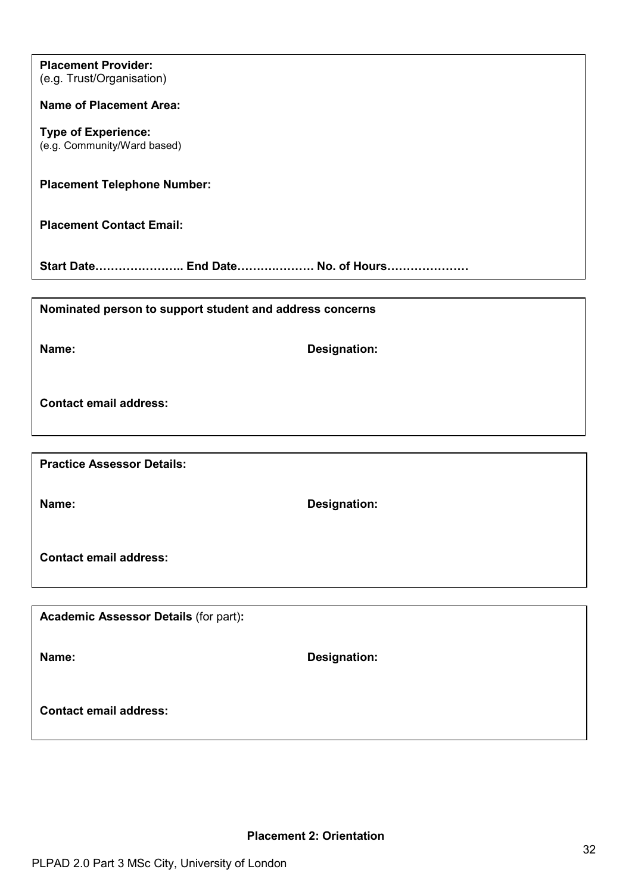| <b>Placement Provider:</b><br>(e.g. Trust/Organisation)   |                     |
|-----------------------------------------------------------|---------------------|
| <b>Name of Placement Area:</b>                            |                     |
| <b>Type of Experience:</b><br>(e.g. Community/Ward based) |                     |
| <b>Placement Telephone Number:</b>                        |                     |
| <b>Placement Contact Email:</b>                           |                     |
| Start Date End Date No. of Hours                          |                     |
|                                                           |                     |
| Nominated person to support student and address concerns  |                     |
| Name:                                                     | <b>Designation:</b> |
| <b>Contact email address:</b>                             |                     |
|                                                           |                     |
| <b>Practice Assessor Details:</b>                         |                     |
| Name:                                                     | Designation:        |
| <b>Contact email address:</b>                             |                     |

**Academic Assessor Details** (for part)**:**

**Name: Designation:**

**Contact email address:**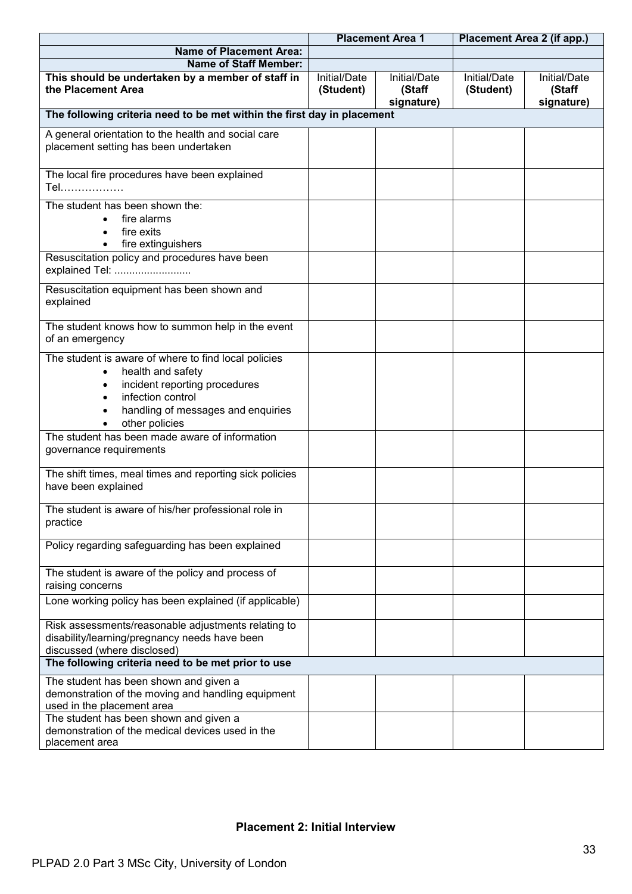|                                                                                                                                                                                         | <b>Placement Area 1</b>   |                                      | Placement Area 2 (if app.) |                                      |
|-----------------------------------------------------------------------------------------------------------------------------------------------------------------------------------------|---------------------------|--------------------------------------|----------------------------|--------------------------------------|
| <b>Name of Placement Area:</b>                                                                                                                                                          |                           |                                      |                            |                                      |
| <b>Name of Staff Member:</b>                                                                                                                                                            |                           |                                      |                            |                                      |
| This should be undertaken by a member of staff in<br>the Placement Area                                                                                                                 | Initial/Date<br>(Student) | Initial/Date<br>(Staff<br>signature) | Initial/Date<br>(Student)  | Initial/Date<br>(Staff<br>signature) |
| The following criteria need to be met within the first day in placement                                                                                                                 |                           |                                      |                            |                                      |
| A general orientation to the health and social care<br>placement setting has been undertaken                                                                                            |                           |                                      |                            |                                      |
| The local fire procedures have been explained<br>Tel                                                                                                                                    |                           |                                      |                            |                                      |
| The student has been shown the:<br>fire alarms<br>fire exits<br>fire extinguishers                                                                                                      |                           |                                      |                            |                                      |
| Resuscitation policy and procedures have been<br>explained Tel:                                                                                                                         |                           |                                      |                            |                                      |
| Resuscitation equipment has been shown and<br>explained                                                                                                                                 |                           |                                      |                            |                                      |
| The student knows how to summon help in the event<br>of an emergency                                                                                                                    |                           |                                      |                            |                                      |
| The student is aware of where to find local policies<br>health and safety<br>incident reporting procedures<br>infection control<br>handling of messages and enquiries<br>other policies |                           |                                      |                            |                                      |
| The student has been made aware of information<br>governance requirements                                                                                                               |                           |                                      |                            |                                      |
| The shift times, meal times and reporting sick policies<br>have been explained                                                                                                          |                           |                                      |                            |                                      |
| The student is aware of his/her professional role in<br>practice                                                                                                                        |                           |                                      |                            |                                      |
| Policy regarding safeguarding has been explained                                                                                                                                        |                           |                                      |                            |                                      |
| The student is aware of the policy and process of<br>raising concerns                                                                                                                   |                           |                                      |                            |                                      |
| Lone working policy has been explained (if applicable)                                                                                                                                  |                           |                                      |                            |                                      |
| Risk assessments/reasonable adjustments relating to<br>disability/learning/pregnancy needs have been<br>discussed (where disclosed)                                                     |                           |                                      |                            |                                      |
| The following criteria need to be met prior to use                                                                                                                                      |                           |                                      |                            |                                      |
| The student has been shown and given a<br>demonstration of the moving and handling equipment<br>used in the placement area                                                              |                           |                                      |                            |                                      |
| The student has been shown and given a<br>demonstration of the medical devices used in the<br>placement area                                                                            |                           |                                      |                            |                                      |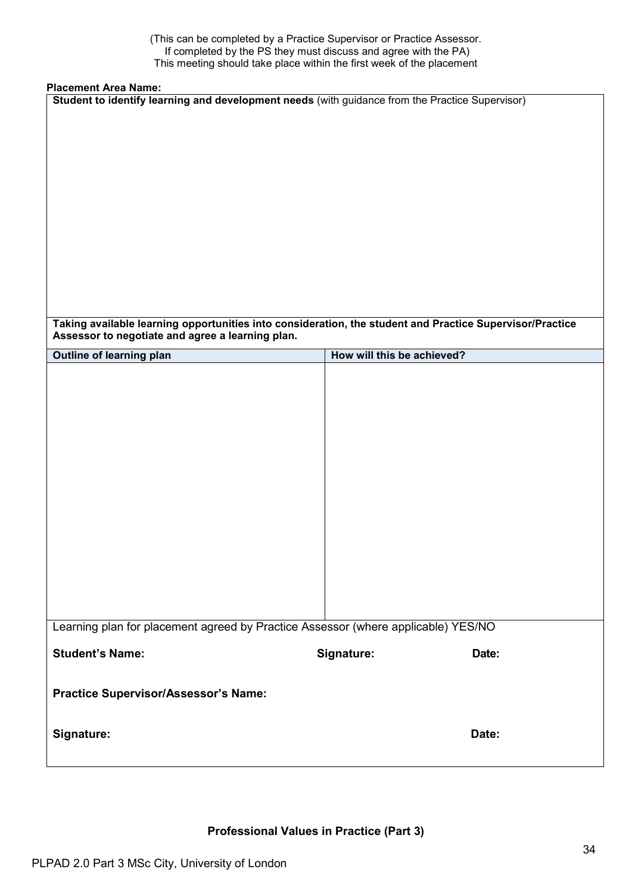(This can be completed by a Practice Supervisor or Practice Assessor. If completed by the PS they must discuss and agree with the PA) This meeting should take place within the first week of the placement

### **Placement Area Name:**

| Student to identify learning and development needs (with guidance from the Practice Supervisor) |                                                                                                          |
|-------------------------------------------------------------------------------------------------|----------------------------------------------------------------------------------------------------------|
|                                                                                                 |                                                                                                          |
|                                                                                                 | Taking available learning opportunities into consideration, the student and Practice Supervisor/Practice |
|                                                                                                 |                                                                                                          |
|                                                                                                 |                                                                                                          |
|                                                                                                 |                                                                                                          |
|                                                                                                 |                                                                                                          |
|                                                                                                 |                                                                                                          |
|                                                                                                 |                                                                                                          |
|                                                                                                 |                                                                                                          |
|                                                                                                 |                                                                                                          |
|                                                                                                 |                                                                                                          |
|                                                                                                 |                                                                                                          |
|                                                                                                 |                                                                                                          |
|                                                                                                 |                                                                                                          |
|                                                                                                 |                                                                                                          |
| Learning plan for placement agreed by Practice Assessor (where applicable) YES/NO               |                                                                                                          |
|                                                                                                 | Date:                                                                                                    |
|                                                                                                 |                                                                                                          |
|                                                                                                 |                                                                                                          |
|                                                                                                 | Date:                                                                                                    |
|                                                                                                 | How will this be achieved?<br>Signature:                                                                 |

**Professional Values in Practice (Part 3)**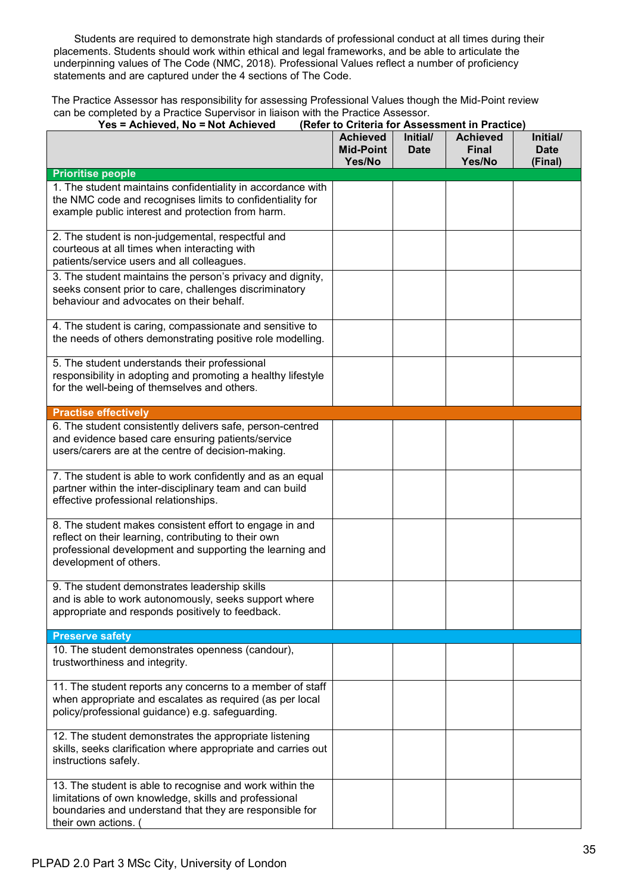Students are required to demonstrate high standards of professional conduct at all times during their placements. Students should work within ethical and legal frameworks, and be able to articulate the underpinning values of The Code (NMC, 2018)*.* Professional Values reflect a number of proficiency statements and are captured under the 4 sections of The Code.

The Practice Assessor has responsibility for assessing Professional Values though the Mid-Point review can be completed by a Practice Supervisor in liaison with the Practice Assessor.

| (Refer to Criteria for Assessment in Practice)<br>Yes = Achieved, No = Not Achieved                                                                                                                   |                                               |                         |                                           |                                    |
|-------------------------------------------------------------------------------------------------------------------------------------------------------------------------------------------------------|-----------------------------------------------|-------------------------|-------------------------------------------|------------------------------------|
|                                                                                                                                                                                                       | <b>Achieved</b><br><b>Mid-Point</b><br>Yes/No | Initial/<br><b>Date</b> | <b>Achieved</b><br><b>Final</b><br>Yes/No | Initial/<br><b>Date</b><br>(Final) |
| <b>Prioritise people</b>                                                                                                                                                                              |                                               |                         |                                           |                                    |
| 1. The student maintains confidentiality in accordance with<br>the NMC code and recognises limits to confidentiality for<br>example public interest and protection from harm.                         |                                               |                         |                                           |                                    |
| 2. The student is non-judgemental, respectful and<br>courteous at all times when interacting with<br>patients/service users and all colleagues.                                                       |                                               |                         |                                           |                                    |
| 3. The student maintains the person's privacy and dignity,<br>seeks consent prior to care, challenges discriminatory<br>behaviour and advocates on their behalf.                                      |                                               |                         |                                           |                                    |
| 4. The student is caring, compassionate and sensitive to<br>the needs of others demonstrating positive role modelling.                                                                                |                                               |                         |                                           |                                    |
| 5. The student understands their professional<br>responsibility in adopting and promoting a healthy lifestyle<br>for the well-being of themselves and others.                                         |                                               |                         |                                           |                                    |
| <b>Practise effectively</b>                                                                                                                                                                           |                                               |                         |                                           |                                    |
| 6. The student consistently delivers safe, person-centred<br>and evidence based care ensuring patients/service<br>users/carers are at the centre of decision-making.                                  |                                               |                         |                                           |                                    |
| 7. The student is able to work confidently and as an equal<br>partner within the inter-disciplinary team and can build<br>effective professional relationships.                                       |                                               |                         |                                           |                                    |
| 8. The student makes consistent effort to engage in and<br>reflect on their learning, contributing to their own<br>professional development and supporting the learning and<br>development of others. |                                               |                         |                                           |                                    |
| 9. The student demonstrates leadership skills<br>and is able to work autonomously, seeks support where<br>appropriate and responds positively to feedback.                                            |                                               |                         |                                           |                                    |
| <b>Preserve safety</b>                                                                                                                                                                                |                                               |                         |                                           |                                    |
| 10. The student demonstrates openness (candour),<br>trustworthiness and integrity.                                                                                                                    |                                               |                         |                                           |                                    |
| 11. The student reports any concerns to a member of staff<br>when appropriate and escalates as required (as per local<br>policy/professional guidance) e.g. safeguarding.                             |                                               |                         |                                           |                                    |
| 12. The student demonstrates the appropriate listening<br>skills, seeks clarification where appropriate and carries out<br>instructions safely.                                                       |                                               |                         |                                           |                                    |
| 13. The student is able to recognise and work within the<br>limitations of own knowledge, skills and professional<br>boundaries and understand that they are responsible for<br>their own actions. (  |                                               |                         |                                           |                                    |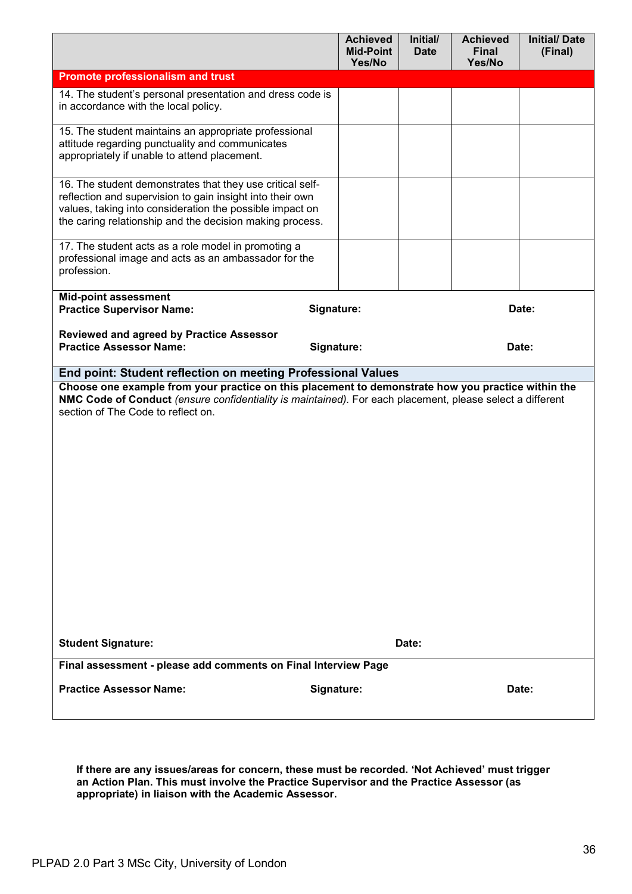|                                                                                                                                                                                                                                                       | <b>Achieved</b><br><b>Mid-Point</b><br>Yes/No | Initial/<br><b>Date</b> | <b>Achieved</b><br><b>Final</b><br>Yes/No | <b>Initial/Date</b><br>(Final) |
|-------------------------------------------------------------------------------------------------------------------------------------------------------------------------------------------------------------------------------------------------------|-----------------------------------------------|-------------------------|-------------------------------------------|--------------------------------|
| <b>Promote professionalism and trust</b>                                                                                                                                                                                                              |                                               |                         |                                           |                                |
| 14. The student's personal presentation and dress code is<br>in accordance with the local policy.                                                                                                                                                     |                                               |                         |                                           |                                |
| 15. The student maintains an appropriate professional<br>attitude regarding punctuality and communicates<br>appropriately if unable to attend placement.                                                                                              |                                               |                         |                                           |                                |
| 16. The student demonstrates that they use critical self-<br>reflection and supervision to gain insight into their own<br>values, taking into consideration the possible impact on<br>the caring relationship and the decision making process.        |                                               |                         |                                           |                                |
| 17. The student acts as a role model in promoting a<br>professional image and acts as an ambassador for the<br>profession.                                                                                                                            |                                               |                         |                                           |                                |
| <b>Mid-point assessment</b><br><b>Practice Supervisor Name:</b>                                                                                                                                                                                       | Signature:                                    |                         |                                           | Date:                          |
| <b>Reviewed and agreed by Practice Assessor</b><br><b>Practice Assessor Name:</b>                                                                                                                                                                     | Signature:                                    |                         |                                           | Date:                          |
| End point: Student reflection on meeting Professional Values                                                                                                                                                                                          |                                               |                         |                                           |                                |
| Choose one example from your practice on this placement to demonstrate how you practice within the<br>NMC Code of Conduct (ensure confidentiality is maintained). For each placement, please select a different<br>section of The Code to reflect on. |                                               |                         |                                           |                                |
| <b>Student Signature:</b><br>Final assessment - please add comments on Final Interview Page                                                                                                                                                           |                                               | Date:                   |                                           |                                |
| <b>Practice Assessor Name:</b>                                                                                                                                                                                                                        | Signature:                                    |                         |                                           | Date:                          |

**If there are any issues/areas for concern, these must be recorded. 'Not Achieved' must trigger an Action Plan. This must involve the Practice Supervisor and the Practice Assessor (as appropriate) in liaison with the Academic Assessor.**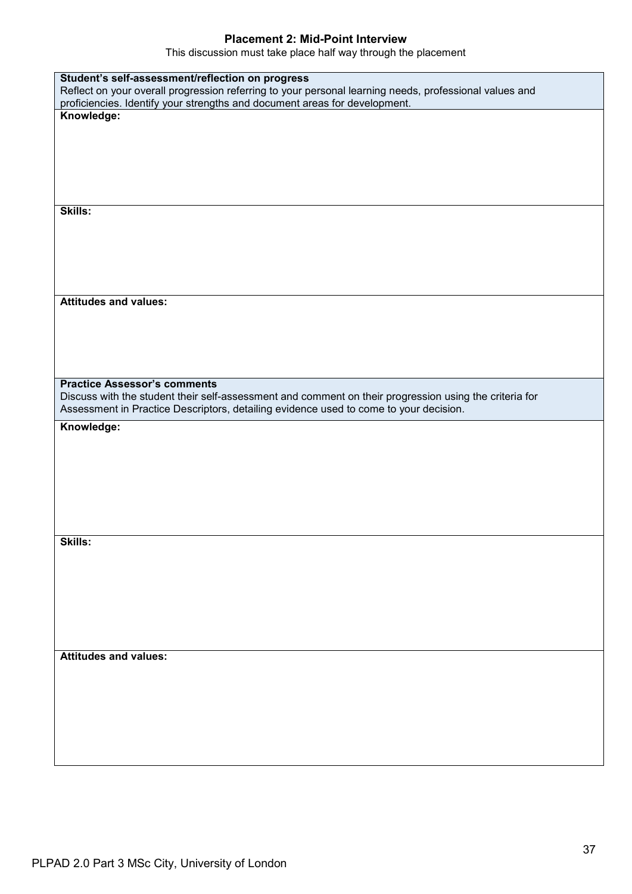## **Placement 2: Mid-Point Interview**

This discussion must take place half way through the placement

| Student's self-assessment/reflection on progress                                                       |
|--------------------------------------------------------------------------------------------------------|
| Reflect on your overall progression referring to your personal learning needs, professional values and |
| proficiencies. Identify your strengths and document areas for development.                             |
| Knowledge:                                                                                             |
|                                                                                                        |
|                                                                                                        |
|                                                                                                        |
|                                                                                                        |
|                                                                                                        |
|                                                                                                        |
|                                                                                                        |
| Skills:                                                                                                |
|                                                                                                        |
|                                                                                                        |
|                                                                                                        |
|                                                                                                        |
|                                                                                                        |
|                                                                                                        |
| <b>Attitudes and values:</b>                                                                           |
|                                                                                                        |
|                                                                                                        |
|                                                                                                        |
|                                                                                                        |
|                                                                                                        |
|                                                                                                        |
| <b>Practice Assessor's comments</b>                                                                    |
| Discuss with the student their self-assessment and comment on their progression using the criteria for |
| Assessment in Practice Descriptors, detailing evidence used to come to your decision.                  |
|                                                                                                        |
|                                                                                                        |
| Knowledge:                                                                                             |
|                                                                                                        |
|                                                                                                        |
|                                                                                                        |
|                                                                                                        |
|                                                                                                        |
|                                                                                                        |
|                                                                                                        |
|                                                                                                        |
|                                                                                                        |
| Skills:                                                                                                |
|                                                                                                        |
|                                                                                                        |
|                                                                                                        |
|                                                                                                        |
|                                                                                                        |
|                                                                                                        |
|                                                                                                        |
|                                                                                                        |
| <b>Attitudes and values:</b>                                                                           |
|                                                                                                        |
|                                                                                                        |
|                                                                                                        |
|                                                                                                        |
|                                                                                                        |
|                                                                                                        |
|                                                                                                        |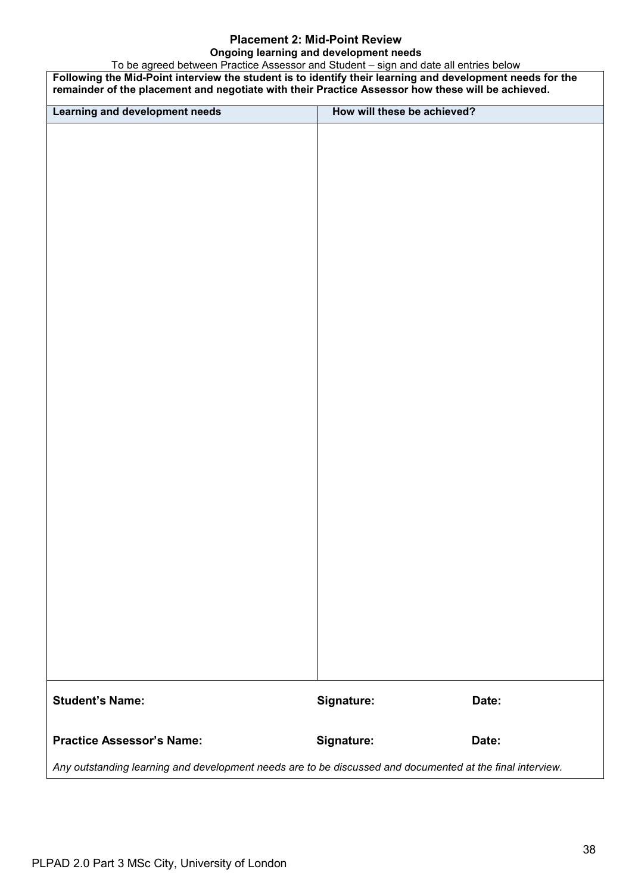### **Placement 2: Mid-Point Review Ongoing learning and development needs**

To be agreed between Practice Assessor and Student – sign and date all entries below **Following the Mid-Point interview the student is to identify their learning and development needs for the remainder of the placement and negotiate with their Practice Assessor how these will be achieved. Learning and development needs How will these be achieved? Student's Name: Signature: Date: Practice Assessor's Name: Signature: Date:** *Any outstanding learning and development needs are to be discussed and documented at the final interview.*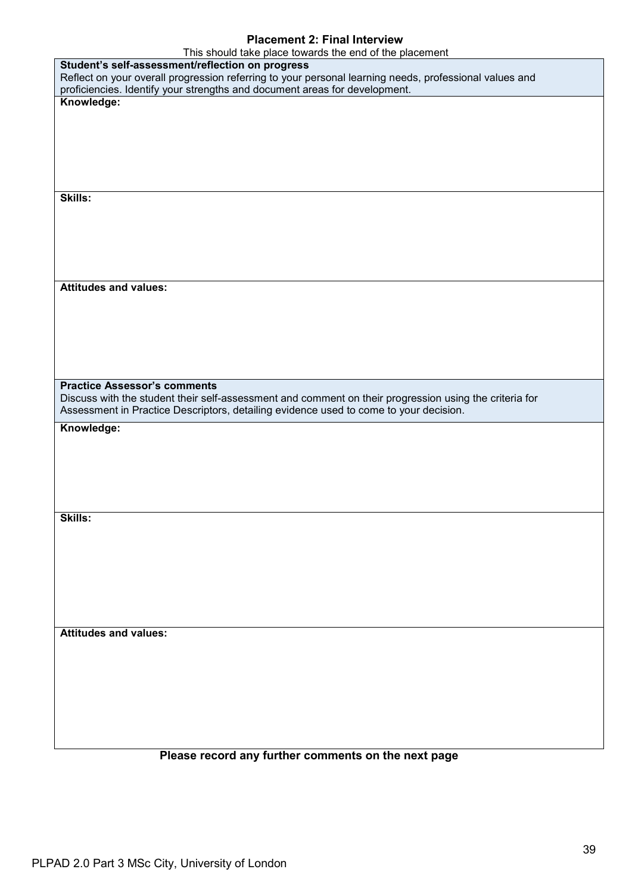# **Placement 2: Final Interview**

| This should take place towards the end of the placement                                                                                                                                         |
|-------------------------------------------------------------------------------------------------------------------------------------------------------------------------------------------------|
| Student's self-assessment/reflection on progress                                                                                                                                                |
| Reflect on your overall progression referring to your personal learning needs, professional values and                                                                                          |
| proficiencies. Identify your strengths and document areas for development.                                                                                                                      |
| Knowledge:                                                                                                                                                                                      |
|                                                                                                                                                                                                 |
|                                                                                                                                                                                                 |
|                                                                                                                                                                                                 |
|                                                                                                                                                                                                 |
|                                                                                                                                                                                                 |
| Skills:                                                                                                                                                                                         |
|                                                                                                                                                                                                 |
|                                                                                                                                                                                                 |
|                                                                                                                                                                                                 |
|                                                                                                                                                                                                 |
|                                                                                                                                                                                                 |
|                                                                                                                                                                                                 |
| <b>Attitudes and values:</b>                                                                                                                                                                    |
|                                                                                                                                                                                                 |
|                                                                                                                                                                                                 |
|                                                                                                                                                                                                 |
|                                                                                                                                                                                                 |
|                                                                                                                                                                                                 |
|                                                                                                                                                                                                 |
| <b>Practice Assessor's comments</b>                                                                                                                                                             |
| Discuss with the student their self-assessment and comment on their progression using the criteria for<br>Assessment in Practice Descriptors, detailing evidence used to come to your decision. |
|                                                                                                                                                                                                 |
| Knowledge:                                                                                                                                                                                      |
|                                                                                                                                                                                                 |
|                                                                                                                                                                                                 |
|                                                                                                                                                                                                 |
|                                                                                                                                                                                                 |
|                                                                                                                                                                                                 |
| <b>Skills:</b>                                                                                                                                                                                  |
|                                                                                                                                                                                                 |
|                                                                                                                                                                                                 |
|                                                                                                                                                                                                 |
|                                                                                                                                                                                                 |
|                                                                                                                                                                                                 |
|                                                                                                                                                                                                 |
|                                                                                                                                                                                                 |
|                                                                                                                                                                                                 |
| <b>Attitudes and values:</b>                                                                                                                                                                    |
|                                                                                                                                                                                                 |
|                                                                                                                                                                                                 |
|                                                                                                                                                                                                 |
|                                                                                                                                                                                                 |
|                                                                                                                                                                                                 |
|                                                                                                                                                                                                 |
|                                                                                                                                                                                                 |

# **Please record any further comments on the next page**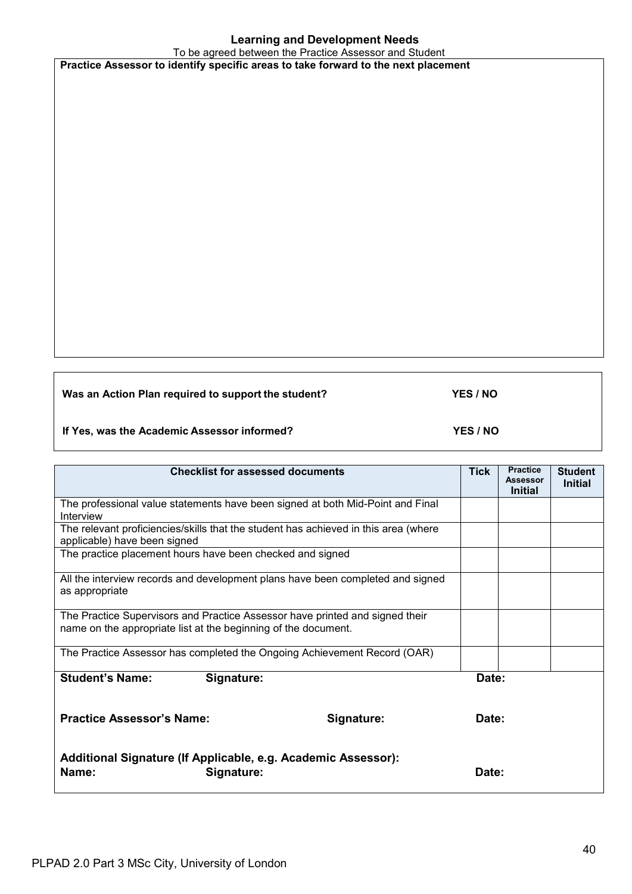# **Learning and Development Needs**

To be agreed between the Practice Assessor and Student **Practice Assessor to identify specific areas to take forward to the next placement**

**Was an Action Plan required to support the student? YES / NO**

**If Yes, was the Academic Assessor informed? YES / NO**

**Checklist for assessed documents** Tick | Practice **Assessor Initial Student Initial** The professional value statements have been signed at both Mid-Point and Final Interview The relevant proficiencies/skills that the student has achieved in this area (where applicable) have been signed The practice placement hours have been checked and signed All the interview records and development plans have been completed and signed as appropriate The Practice Supervisors and Practice Assessor have printed and signed their name on the appropriate list at the beginning of the document. The Practice Assessor has completed the Ongoing Achievement Record (OAR) **Student's Name: Signature: Date: Practice Assessor's Name: Signature: Date: Additional Signature (If Applicable, e.g. Academic Assessor): Name: Signature: CONSIDENTS**  $\bullet$  **Date: Date: Date:**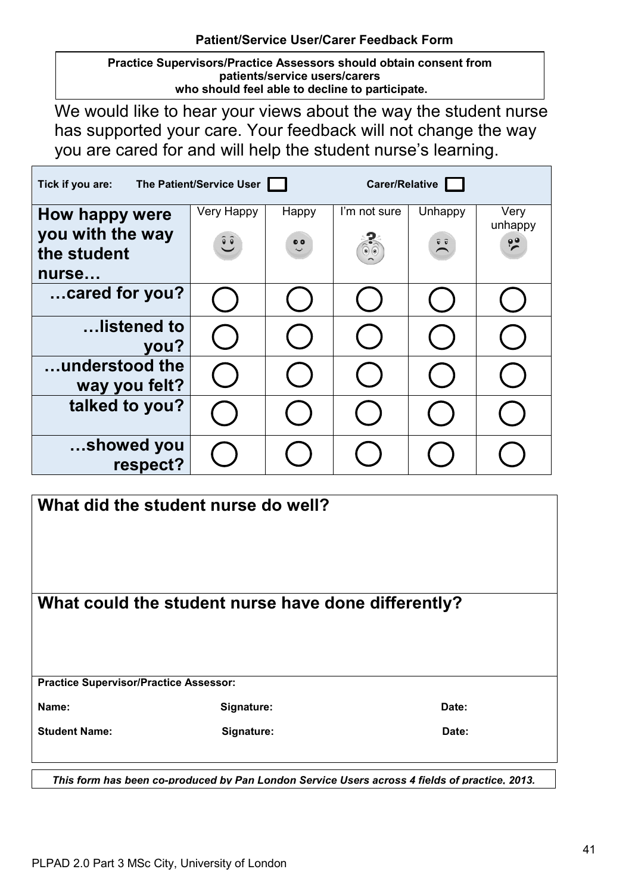**Practice Supervisors/Practice Assessors should obtain consent from patients/service users/carers who should feel able to decline to participate.** 

We would like to hear your views about the way the student nurse has supported your care. Your feedback will not change the way you are cared for and will help the student nurse's learning.

| Tick if you are:                                           | The Patient/Service User |                      | <b>Carer/Relative</b>          |                             |                                  |
|------------------------------------------------------------|--------------------------|----------------------|--------------------------------|-----------------------------|----------------------------------|
| How happy were<br>you with the way<br>the student<br>nurse | Very Happy<br>$\hat{c}$  | Happy<br>$\ddot{\ }$ | I'm not sure<br>$\circledcirc$ | Unhappy<br>$\sum_{i=1}^{n}$ | Very<br>unhappy<br>$\frac{1}{2}$ |
| cared for you?                                             |                          |                      |                                |                             |                                  |
| listened to<br>you?                                        |                          |                      |                                |                             |                                  |
| understood the<br>way you felt?                            |                          |                      |                                |                             |                                  |
| talked to you?                                             |                          |                      |                                |                             |                                  |
| showed you<br>respect?                                     |                          |                      |                                |                             |                                  |

| What did the student nurse do well?           |                                                                                               |       |  |
|-----------------------------------------------|-----------------------------------------------------------------------------------------------|-------|--|
|                                               | What could the student nurse have done differently?                                           |       |  |
|                                               |                                                                                               |       |  |
|                                               |                                                                                               |       |  |
| <b>Practice Supervisor/Practice Assessor:</b> |                                                                                               |       |  |
| Name:                                         | Signature:                                                                                    | Date: |  |
| <b>Student Name:</b>                          | Signature:                                                                                    | Date: |  |
|                                               |                                                                                               |       |  |
|                                               | This form has been co-produced by Pan London Service Users across 4 fields of practice, 2013. |       |  |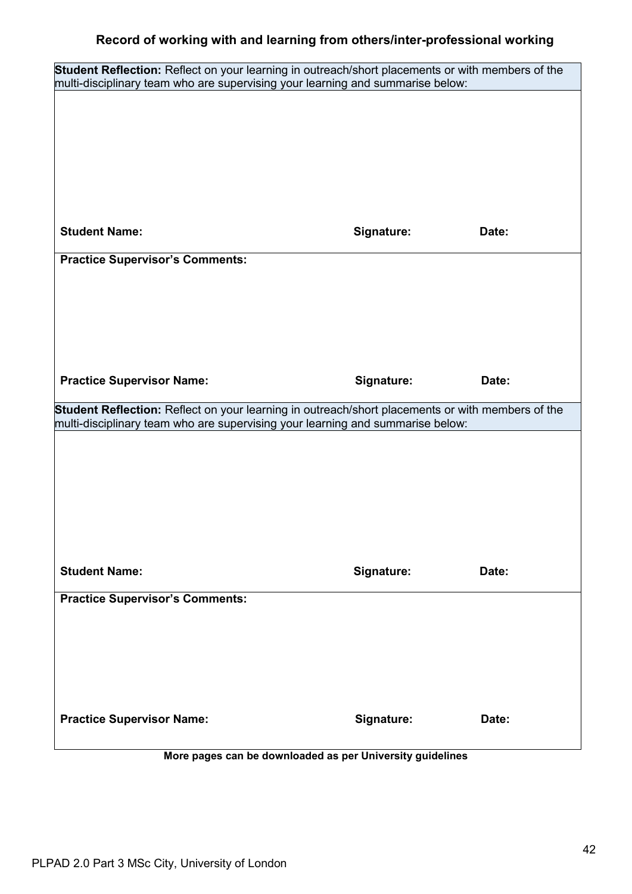| Student Reflection: Reflect on your learning in outreach/short placements or with members of the |            |       |
|--------------------------------------------------------------------------------------------------|------------|-------|
| multi-disciplinary team who are supervising your learning and summarise below:                   |            |       |
|                                                                                                  |            |       |
|                                                                                                  |            |       |
|                                                                                                  |            |       |
|                                                                                                  |            |       |
|                                                                                                  |            |       |
| <b>Student Name:</b>                                                                             | Signature: | Date: |
| <b>Practice Supervisor's Comments:</b>                                                           |            |       |
|                                                                                                  |            |       |
|                                                                                                  |            |       |
|                                                                                                  |            |       |
|                                                                                                  |            |       |
| <b>Practice Supervisor Name:</b>                                                                 | Signature: | Date: |
| Student Reflection: Reflect on your learning in outreach/short placements or with members of the |            |       |
|                                                                                                  |            |       |
| multi-disciplinary team who are supervising your learning and summarise below:                   |            |       |
|                                                                                                  |            |       |
|                                                                                                  |            |       |
|                                                                                                  |            |       |
|                                                                                                  |            |       |
|                                                                                                  |            |       |
|                                                                                                  |            |       |
| <b>Student Name:</b>                                                                             | Signature: | Date: |
| <b>Practice Supervisor's Comments:</b>                                                           |            |       |
|                                                                                                  |            |       |
|                                                                                                  |            |       |
|                                                                                                  |            |       |
|                                                                                                  |            |       |
| <b>Practice Supervisor Name:</b>                                                                 | Signature: | Date: |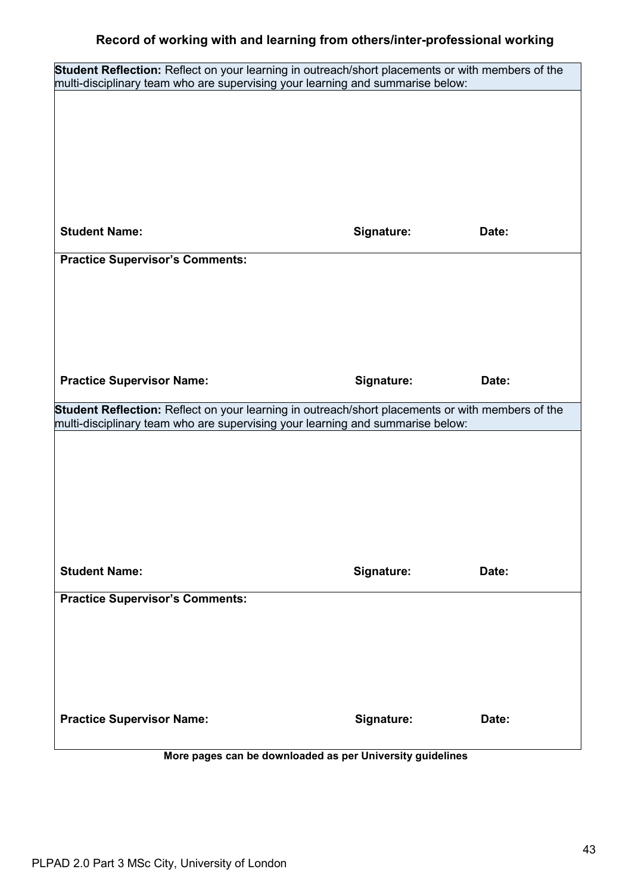| Student Reflection: Reflect on your learning in outreach/short placements or with members of the |            |       |
|--------------------------------------------------------------------------------------------------|------------|-------|
| multi-disciplinary team who are supervising your learning and summarise below:                   |            |       |
|                                                                                                  |            |       |
|                                                                                                  |            |       |
|                                                                                                  |            |       |
|                                                                                                  |            |       |
|                                                                                                  |            |       |
| <b>Student Name:</b>                                                                             | Signature: | Date: |
| <b>Practice Supervisor's Comments:</b>                                                           |            |       |
|                                                                                                  |            |       |
|                                                                                                  |            |       |
|                                                                                                  |            |       |
|                                                                                                  |            |       |
| <b>Practice Supervisor Name:</b>                                                                 | Signature: | Date: |
| Student Reflection: Reflect on your learning in outreach/short placements or with members of the |            |       |
| multi-disciplinary team who are supervising your learning and summarise below:                   |            |       |
|                                                                                                  |            |       |
|                                                                                                  |            |       |
|                                                                                                  |            |       |
|                                                                                                  |            |       |
|                                                                                                  |            |       |
|                                                                                                  |            |       |
| <b>Student Name:</b>                                                                             | Signature: | Date: |
| <b>Practice Supervisor's Comments:</b>                                                           |            |       |
|                                                                                                  |            |       |
|                                                                                                  |            |       |
|                                                                                                  |            |       |
|                                                                                                  |            |       |
| <b>Practice Supervisor Name:</b>                                                                 | Signature: | Date: |
| More pages can be downloaded as per University guidelines                                        |            |       |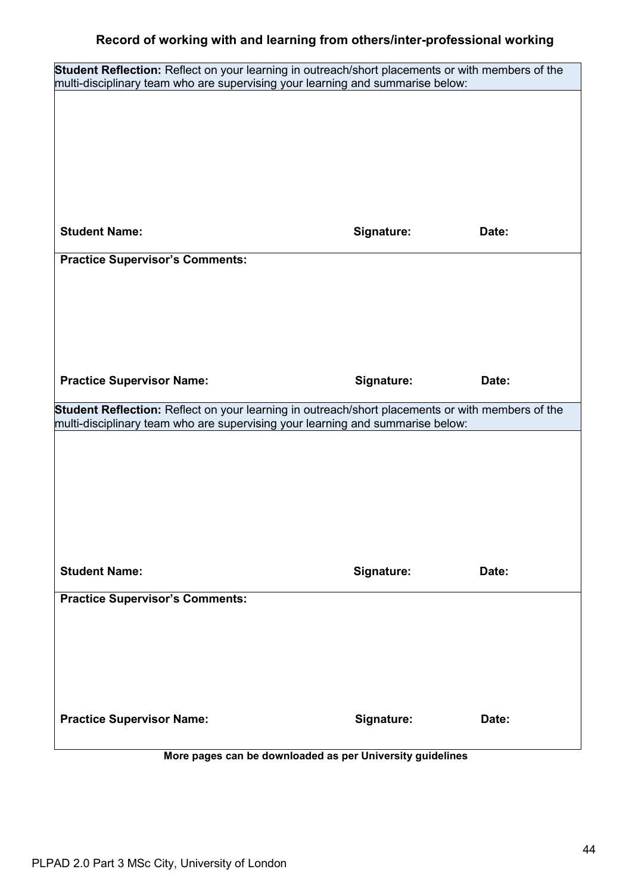| Student Reflection: Reflect on your learning in outreach/short placements or with members of the<br>multi-disciplinary team who are supervising your learning and summarise below: |            |       |  |
|------------------------------------------------------------------------------------------------------------------------------------------------------------------------------------|------------|-------|--|
|                                                                                                                                                                                    |            |       |  |
|                                                                                                                                                                                    |            |       |  |
|                                                                                                                                                                                    |            |       |  |
|                                                                                                                                                                                    |            |       |  |
|                                                                                                                                                                                    |            |       |  |
| <b>Student Name:</b>                                                                                                                                                               | Signature: | Date: |  |
| <b>Practice Supervisor's Comments:</b>                                                                                                                                             |            |       |  |
|                                                                                                                                                                                    |            |       |  |
|                                                                                                                                                                                    |            |       |  |
|                                                                                                                                                                                    |            |       |  |
|                                                                                                                                                                                    |            |       |  |
| <b>Practice Supervisor Name:</b>                                                                                                                                                   | Signature: | Date: |  |
| Student Reflection: Reflect on your learning in outreach/short placements or with members of the                                                                                   |            |       |  |
|                                                                                                                                                                                    |            |       |  |
| multi-disciplinary team who are supervising your learning and summarise below:                                                                                                     |            |       |  |
|                                                                                                                                                                                    |            |       |  |
|                                                                                                                                                                                    |            |       |  |
|                                                                                                                                                                                    |            |       |  |
|                                                                                                                                                                                    |            |       |  |
| <b>Student Name:</b>                                                                                                                                                               | Signature: | Date: |  |
| <b>Practice Supervisor's Comments:</b>                                                                                                                                             |            |       |  |
|                                                                                                                                                                                    |            |       |  |
|                                                                                                                                                                                    |            |       |  |
|                                                                                                                                                                                    |            |       |  |
|                                                                                                                                                                                    |            |       |  |
| <b>Practice Supervisor Name:</b>                                                                                                                                                   | Signature: | Date: |  |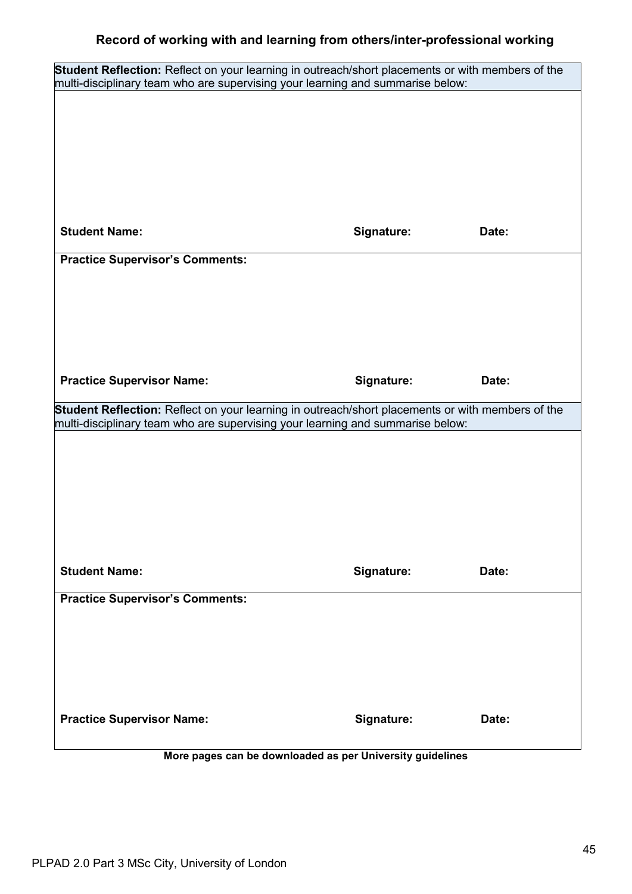| Student Reflection: Reflect on your learning in outreach/short placements or with members of the |            |       |
|--------------------------------------------------------------------------------------------------|------------|-------|
| multi-disciplinary team who are supervising your learning and summarise below:                   |            |       |
|                                                                                                  |            |       |
|                                                                                                  |            |       |
|                                                                                                  |            |       |
|                                                                                                  |            |       |
|                                                                                                  |            |       |
| <b>Student Name:</b>                                                                             | Signature: | Date: |
| <b>Practice Supervisor's Comments:</b>                                                           |            |       |
|                                                                                                  |            |       |
|                                                                                                  |            |       |
|                                                                                                  |            |       |
|                                                                                                  |            |       |
| <b>Practice Supervisor Name:</b>                                                                 | Signature: | Date: |
| Student Reflection: Reflect on your learning in outreach/short placements or with members of the |            |       |
| multi-disciplinary team who are supervising your learning and summarise below:                   |            |       |
|                                                                                                  |            |       |
|                                                                                                  |            |       |
|                                                                                                  |            |       |
|                                                                                                  |            |       |
|                                                                                                  |            |       |
|                                                                                                  |            |       |
| <b>Student Name:</b>                                                                             | Signature: | Date: |
| <b>Practice Supervisor's Comments:</b>                                                           |            |       |
|                                                                                                  |            |       |
|                                                                                                  |            |       |
|                                                                                                  |            |       |
|                                                                                                  |            |       |
| <b>Practice Supervisor Name:</b>                                                                 | Signature: | Date: |
| More pages can be downloaded as per University guidelines                                        |            |       |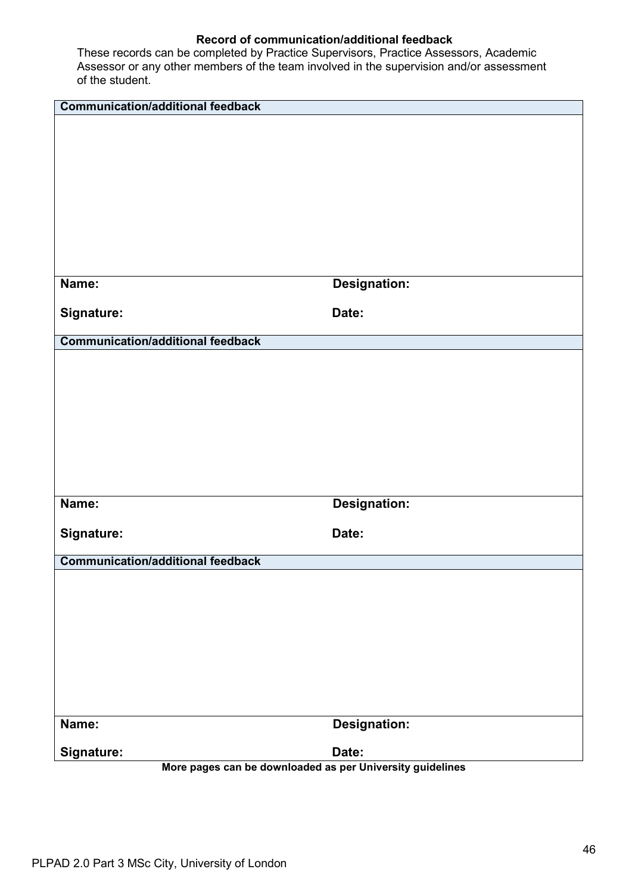| <b>Communication/additional feedback</b>                                |                     |
|-------------------------------------------------------------------------|---------------------|
|                                                                         |                     |
|                                                                         |                     |
|                                                                         |                     |
|                                                                         |                     |
|                                                                         |                     |
|                                                                         |                     |
|                                                                         |                     |
|                                                                         |                     |
| Name:                                                                   | <b>Designation:</b> |
| Signature:                                                              | Date:               |
|                                                                         |                     |
| <b>Communication/additional feedback</b>                                |                     |
|                                                                         |                     |
|                                                                         |                     |
|                                                                         |                     |
|                                                                         |                     |
|                                                                         |                     |
|                                                                         |                     |
|                                                                         |                     |
| Name:                                                                   | <b>Designation:</b> |
|                                                                         |                     |
| Signature:                                                              | Date:               |
|                                                                         |                     |
| <b>Communication/additional feedback</b>                                |                     |
|                                                                         |                     |
|                                                                         |                     |
|                                                                         |                     |
|                                                                         |                     |
|                                                                         |                     |
|                                                                         |                     |
|                                                                         |                     |
| Name:                                                                   | <b>Designation:</b> |
|                                                                         |                     |
| Signature:<br>More pages can be downloaded as per University guidelines | Date:               |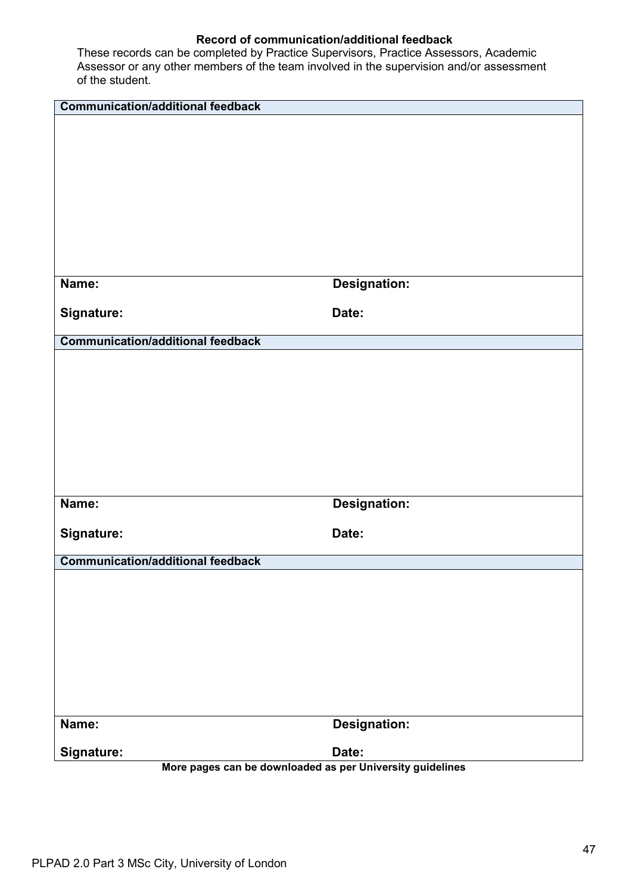| <b>Communication/additional feedback</b>                  |                     |
|-----------------------------------------------------------|---------------------|
|                                                           |                     |
|                                                           |                     |
|                                                           |                     |
|                                                           |                     |
|                                                           |                     |
|                                                           |                     |
|                                                           |                     |
|                                                           |                     |
|                                                           |                     |
| Name:                                                     | <b>Designation:</b> |
|                                                           |                     |
| Signature:                                                | Date:               |
| <b>Communication/additional feedback</b>                  |                     |
|                                                           |                     |
|                                                           |                     |
|                                                           |                     |
|                                                           |                     |
|                                                           |                     |
|                                                           |                     |
|                                                           |                     |
|                                                           |                     |
| Name:                                                     | <b>Designation:</b> |
|                                                           |                     |
| Signature:                                                | Date:               |
| <b>Communication/additional feedback</b>                  |                     |
|                                                           |                     |
|                                                           |                     |
|                                                           |                     |
|                                                           |                     |
|                                                           |                     |
|                                                           |                     |
|                                                           |                     |
|                                                           |                     |
|                                                           |                     |
| Name:                                                     | <b>Designation:</b> |
| Signature:                                                | Date:               |
| More pages can be downloaded as per University guidelines |                     |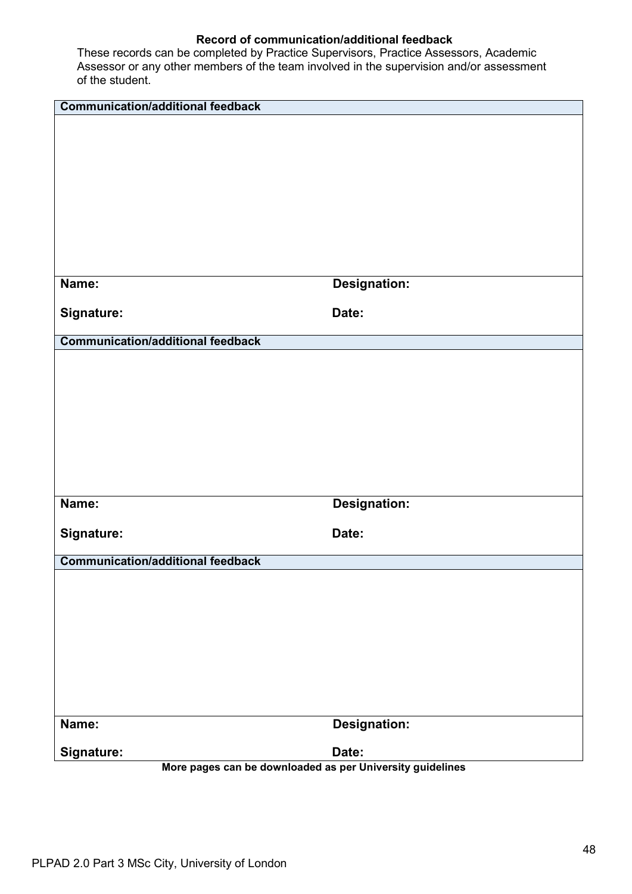| <b>Communication/additional feedback</b>                  |                     |
|-----------------------------------------------------------|---------------------|
|                                                           |                     |
|                                                           |                     |
|                                                           |                     |
|                                                           |                     |
|                                                           |                     |
|                                                           |                     |
|                                                           |                     |
|                                                           |                     |
|                                                           |                     |
| Name:                                                     | <b>Designation:</b> |
|                                                           |                     |
| Signature:                                                | Date:               |
| <b>Communication/additional feedback</b>                  |                     |
|                                                           |                     |
|                                                           |                     |
|                                                           |                     |
|                                                           |                     |
|                                                           |                     |
|                                                           |                     |
|                                                           |                     |
|                                                           |                     |
| Name:                                                     | <b>Designation:</b> |
|                                                           |                     |
| Signature:                                                | Date:               |
|                                                           |                     |
| <b>Communication/additional feedback</b>                  |                     |
|                                                           |                     |
|                                                           |                     |
|                                                           |                     |
|                                                           |                     |
|                                                           |                     |
|                                                           |                     |
|                                                           |                     |
|                                                           |                     |
| Name:                                                     | <b>Designation:</b> |
| Signature:                                                | Date:               |
| More pages can be downloaded as per University guidelines |                     |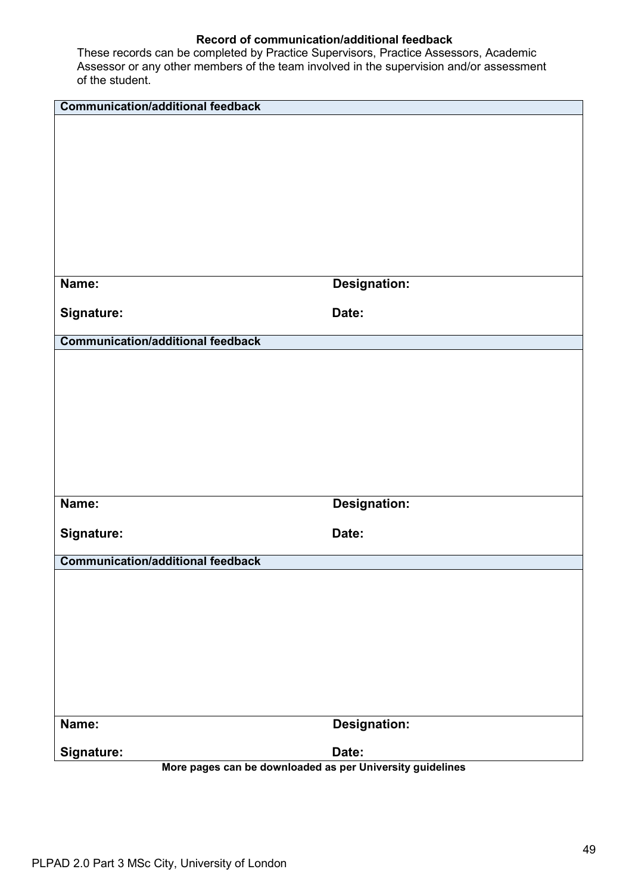| <b>Communication/additional feedback</b>                  |                     |
|-----------------------------------------------------------|---------------------|
|                                                           |                     |
|                                                           |                     |
|                                                           |                     |
|                                                           |                     |
|                                                           |                     |
|                                                           |                     |
|                                                           |                     |
|                                                           |                     |
| Name:                                                     | <b>Designation:</b> |
| Signature:                                                | Date:               |
| <b>Communication/additional feedback</b>                  |                     |
|                                                           |                     |
|                                                           |                     |
|                                                           |                     |
|                                                           |                     |
|                                                           |                     |
|                                                           |                     |
|                                                           |                     |
|                                                           |                     |
| Name:                                                     | <b>Designation:</b> |
| Signature:                                                | Date:               |
| <b>Communication/additional feedback</b>                  |                     |
|                                                           |                     |
|                                                           |                     |
|                                                           |                     |
|                                                           |                     |
|                                                           |                     |
|                                                           |                     |
|                                                           |                     |
|                                                           |                     |
| Name:                                                     | <b>Designation:</b> |
| Signature:                                                | Date:               |
| More pages can be downloaded as per University guidelines |                     |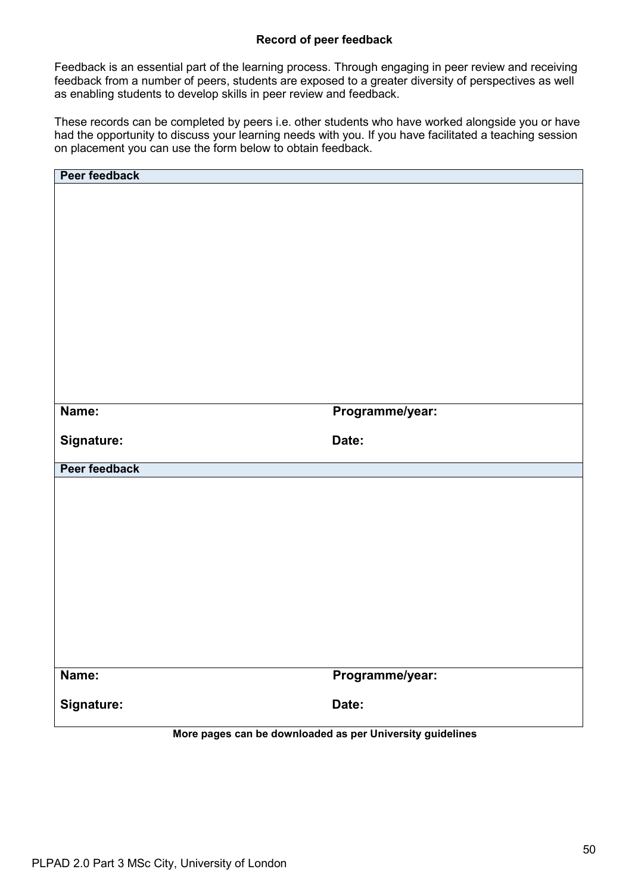# **Record of peer feedback**

Feedback is an essential part of the learning process. Through engaging in peer review and receiving feedback from a number of peers, students are exposed to a greater diversity of perspectives as well as enabling students to develop skills in peer review and feedback.

These records can be completed by peers i.e. other students who have worked alongside you or have had the opportunity to discuss your learning needs with you. If you have facilitated a teaching session on placement you can use the form below to obtain feedback.

| Peer feedback                                             |                 |  |  |  |  |  |
|-----------------------------------------------------------|-----------------|--|--|--|--|--|
|                                                           |                 |  |  |  |  |  |
|                                                           |                 |  |  |  |  |  |
|                                                           |                 |  |  |  |  |  |
|                                                           |                 |  |  |  |  |  |
|                                                           |                 |  |  |  |  |  |
|                                                           |                 |  |  |  |  |  |
|                                                           |                 |  |  |  |  |  |
|                                                           |                 |  |  |  |  |  |
|                                                           |                 |  |  |  |  |  |
|                                                           |                 |  |  |  |  |  |
|                                                           |                 |  |  |  |  |  |
|                                                           |                 |  |  |  |  |  |
|                                                           |                 |  |  |  |  |  |
|                                                           |                 |  |  |  |  |  |
| Name:                                                     | Programme/year: |  |  |  |  |  |
|                                                           |                 |  |  |  |  |  |
| Signature:                                                | Date:           |  |  |  |  |  |
|                                                           |                 |  |  |  |  |  |
| Peer feedback                                             |                 |  |  |  |  |  |
|                                                           |                 |  |  |  |  |  |
|                                                           |                 |  |  |  |  |  |
|                                                           |                 |  |  |  |  |  |
|                                                           |                 |  |  |  |  |  |
|                                                           |                 |  |  |  |  |  |
|                                                           |                 |  |  |  |  |  |
|                                                           |                 |  |  |  |  |  |
|                                                           |                 |  |  |  |  |  |
|                                                           |                 |  |  |  |  |  |
|                                                           |                 |  |  |  |  |  |
|                                                           |                 |  |  |  |  |  |
|                                                           |                 |  |  |  |  |  |
|                                                           |                 |  |  |  |  |  |
| Name:                                                     | Programme/year: |  |  |  |  |  |
|                                                           |                 |  |  |  |  |  |
| Signature:                                                | Date:           |  |  |  |  |  |
|                                                           |                 |  |  |  |  |  |
| More pages can be downloaded as per University guidelines |                 |  |  |  |  |  |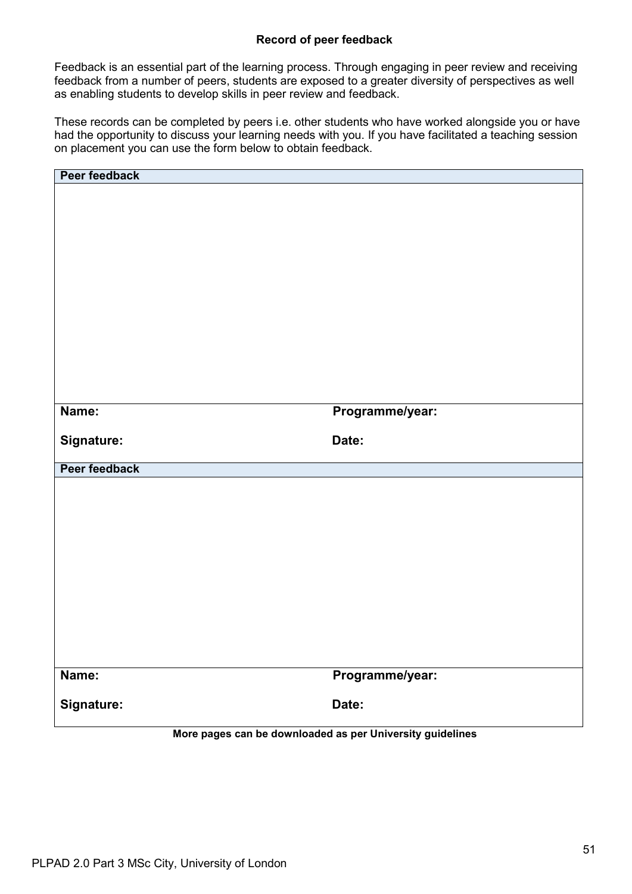# **Record of peer feedback**

Feedback is an essential part of the learning process. Through engaging in peer review and receiving feedback from a number of peers, students are exposed to a greater diversity of perspectives as well as enabling students to develop skills in peer review and feedback.

These records can be completed by peers i.e. other students who have worked alongside you or have had the opportunity to discuss your learning needs with you. If you have facilitated a teaching session on placement you can use the form below to obtain feedback.

| Peer feedback                                             |                 |  |  |  |  |  |
|-----------------------------------------------------------|-----------------|--|--|--|--|--|
|                                                           |                 |  |  |  |  |  |
|                                                           |                 |  |  |  |  |  |
|                                                           |                 |  |  |  |  |  |
|                                                           |                 |  |  |  |  |  |
|                                                           |                 |  |  |  |  |  |
|                                                           |                 |  |  |  |  |  |
|                                                           |                 |  |  |  |  |  |
|                                                           |                 |  |  |  |  |  |
|                                                           |                 |  |  |  |  |  |
|                                                           |                 |  |  |  |  |  |
|                                                           |                 |  |  |  |  |  |
|                                                           |                 |  |  |  |  |  |
|                                                           |                 |  |  |  |  |  |
|                                                           |                 |  |  |  |  |  |
| Name:                                                     | Programme/year: |  |  |  |  |  |
|                                                           |                 |  |  |  |  |  |
| Signature:                                                | Date:           |  |  |  |  |  |
|                                                           |                 |  |  |  |  |  |
| Peer feedback                                             |                 |  |  |  |  |  |
|                                                           |                 |  |  |  |  |  |
|                                                           |                 |  |  |  |  |  |
|                                                           |                 |  |  |  |  |  |
|                                                           |                 |  |  |  |  |  |
|                                                           |                 |  |  |  |  |  |
|                                                           |                 |  |  |  |  |  |
|                                                           |                 |  |  |  |  |  |
|                                                           |                 |  |  |  |  |  |
|                                                           |                 |  |  |  |  |  |
|                                                           |                 |  |  |  |  |  |
|                                                           |                 |  |  |  |  |  |
|                                                           |                 |  |  |  |  |  |
|                                                           |                 |  |  |  |  |  |
| Name:                                                     | Programme/year: |  |  |  |  |  |
|                                                           |                 |  |  |  |  |  |
| Signature:                                                | Date:           |  |  |  |  |  |
|                                                           |                 |  |  |  |  |  |
| More pages can be downloaded as per University guidelines |                 |  |  |  |  |  |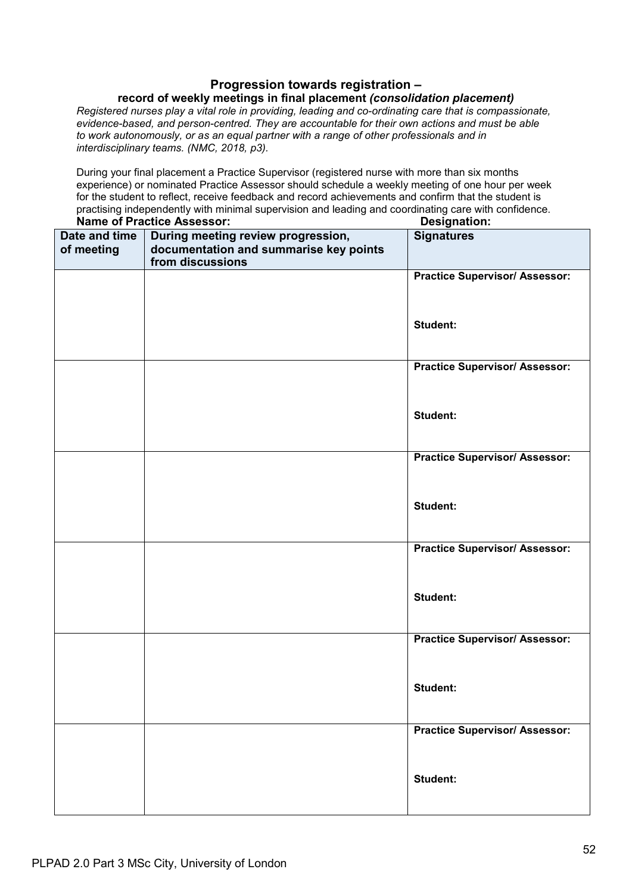## **Progression towards registration –**

## **record of weekly meetings in final placement** *(consolidation placement)*

*Registered nurses play a vital role in providing, leading and co-ordinating care that is compassionate, evidence-based, and person-centred. They are accountable for their own actions and must be able to work autonomously, or as an equal partner with a range of other professionals and in interdisciplinary teams. (NMC, 2018, p3).*

During your final placement a Practice Supervisor (registered nurse with more than six months experience) or nominated Practice Assessor should schedule a weekly meeting of one hour per week for the student to reflect, receive feedback and record achievements and confirm that the student is practising independently with minimal supervision and leading and coordinating care with confidence.

|                             | <b>Name of Practice Assessor:</b>                                            | <b>Designation:</b>                   |
|-----------------------------|------------------------------------------------------------------------------|---------------------------------------|
| Date and time<br>of meeting | During meeting review progression,<br>documentation and summarise key points | <b>Signatures</b>                     |
|                             | from discussions                                                             |                                       |
|                             |                                                                              | <b>Practice Supervisor/ Assessor:</b> |
|                             |                                                                              | Student:                              |
|                             |                                                                              | <b>Practice Supervisor/ Assessor:</b> |
|                             |                                                                              | Student:                              |
|                             |                                                                              | <b>Practice Supervisor/ Assessor:</b> |
|                             |                                                                              | <b>Student:</b>                       |
|                             |                                                                              | <b>Practice Supervisor/ Assessor:</b> |
|                             |                                                                              | Student:                              |
|                             |                                                                              | <b>Practice Supervisor/ Assessor:</b> |
|                             |                                                                              | <b>Student:</b>                       |
|                             |                                                                              | <b>Practice Supervisor/ Assessor:</b> |
|                             |                                                                              | Student:                              |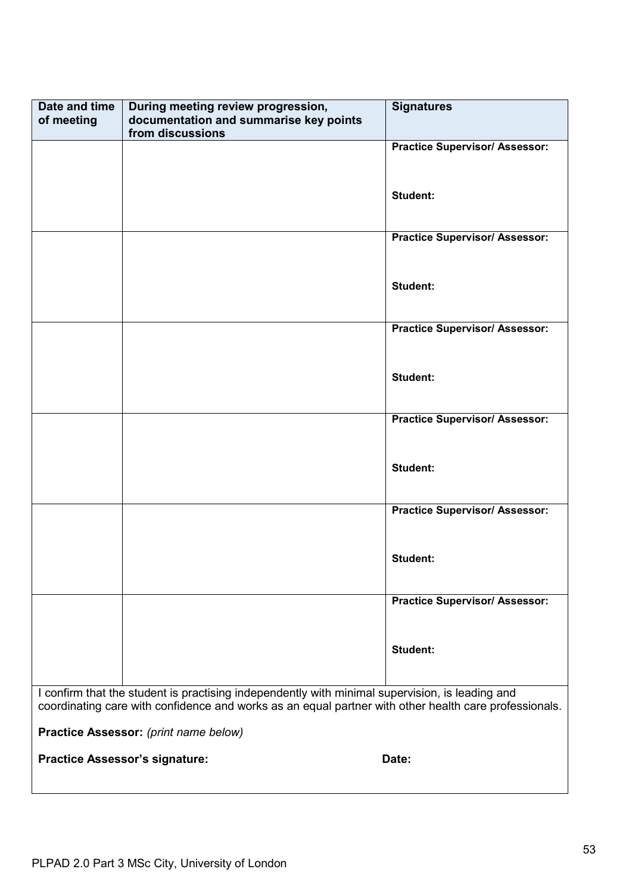| Date and time<br>of meeting | During meeting review progression,<br>documentation and summarise key points<br>from discussions                                                                                                         | <b>Signatures</b>                     |  |  |  |  |  |
|-----------------------------|----------------------------------------------------------------------------------------------------------------------------------------------------------------------------------------------------------|---------------------------------------|--|--|--|--|--|
|                             |                                                                                                                                                                                                          | <b>Practice Supervisor/ Assessor:</b> |  |  |  |  |  |
|                             |                                                                                                                                                                                                          | <b>Student:</b>                       |  |  |  |  |  |
|                             |                                                                                                                                                                                                          | <b>Practice Supervisor/ Assessor:</b> |  |  |  |  |  |
|                             |                                                                                                                                                                                                          | <b>Student:</b>                       |  |  |  |  |  |
|                             |                                                                                                                                                                                                          | <b>Practice Supervisor/ Assessor:</b> |  |  |  |  |  |
|                             |                                                                                                                                                                                                          | <b>Student:</b>                       |  |  |  |  |  |
|                             |                                                                                                                                                                                                          | <b>Practice Supervisor/ Assessor:</b> |  |  |  |  |  |
|                             |                                                                                                                                                                                                          | Student:                              |  |  |  |  |  |
|                             |                                                                                                                                                                                                          | <b>Practice Supervisor/ Assessor:</b> |  |  |  |  |  |
|                             |                                                                                                                                                                                                          | <b>Student:</b>                       |  |  |  |  |  |
|                             |                                                                                                                                                                                                          | <b>Practice Supervisor/ Assessor:</b> |  |  |  |  |  |
|                             |                                                                                                                                                                                                          | <b>Student:</b>                       |  |  |  |  |  |
|                             | I confirm that the student is practising independently with minimal supervision, is leading and<br>coordinating care with confidence and works as an equal partner with other health care professionals. |                                       |  |  |  |  |  |
|                             | Practice Assessor: (print name below)<br><b>Practice Assessor's signature:</b>                                                                                                                           | Date:                                 |  |  |  |  |  |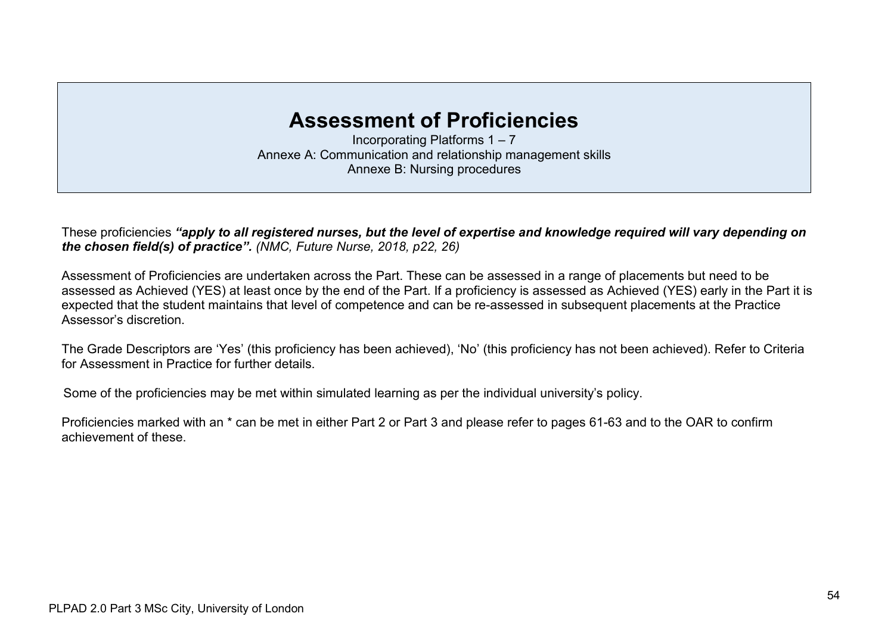# **Assessment of Proficiencies**

Incorporating Platforms 1 – 7 Annexe A: Communication and relationship management skills Annexe B: Nursing procedures

These proficiencies *"apply to all registered nurses, but the level of expertise and knowledge required will vary depending on the chosen field(s) of practice". (NMC, Future Nurse, 2018, p22, 26)*

Assessment of Proficiencies are undertaken across the Part. These can be assessed in a range of placements but need to be assessed as Achieved (YES) at least once by the end of the Part. If a proficiency is assessed as Achieved (YES) early in the Part it is expected that the student maintains that level of competence and can be re-assessed in subsequent placements at the Practice Assessor's discretion.

The Grade Descriptors are 'Yes' (this proficiency has been achieved), 'No' (this proficiency has not been achieved). Refer to Criteria for Assessment in Practice for further details.

Some of the proficiencies may be met within simulated learning as per the individual university's policy.

Proficiencies marked with an \* can be met in either Part 2 or Part 3 and please refer to pages 61-63 and to the OAR to confirm achievement of these.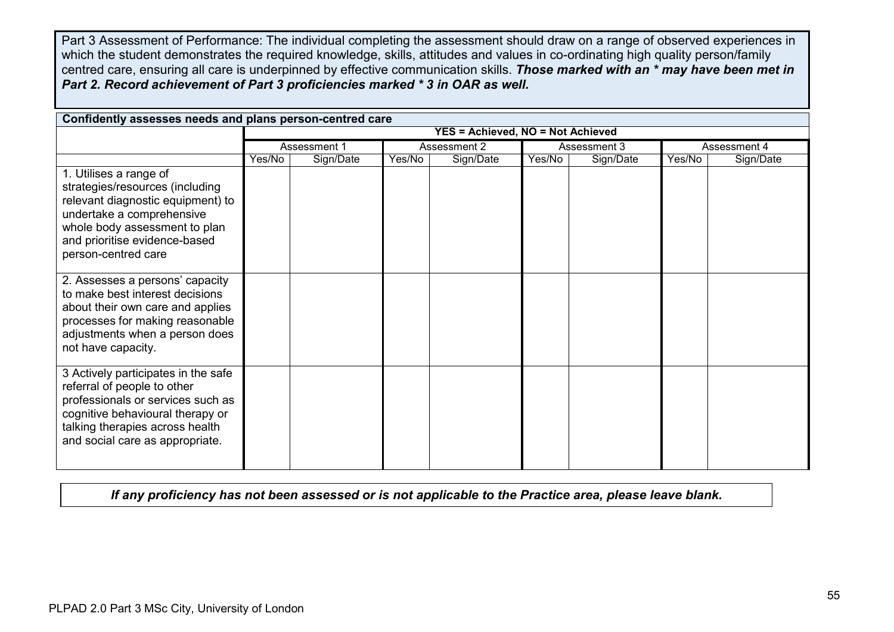Part 3 Assessment of Performance: The individual completing the assessment should draw on a range of observed experiences in which the student demonstrates the required knowledge, skills, attitudes and values in co-ordinating high quality person/family centred care, ensuring all care is underpinned by effective communication skills. *Those marked with an \* may have been met in Part 2. Record achievement of Part 3 proficiencies marked \* 3 in OAR as well.*

| Confidently assesses needs and plans person-centred care                                                                                                                                                             |        |              |        |                                          |        |              |        |              |  |
|----------------------------------------------------------------------------------------------------------------------------------------------------------------------------------------------------------------------|--------|--------------|--------|------------------------------------------|--------|--------------|--------|--------------|--|
|                                                                                                                                                                                                                      |        |              |        | <b>YES = Achieved, NO = Not Achieved</b> |        |              |        |              |  |
|                                                                                                                                                                                                                      |        | Assessment 1 |        | Assessment 2                             |        | Assessment 3 |        | Assessment 4 |  |
|                                                                                                                                                                                                                      | Yes/No | Sign/Date    | Yes/No | Sign/Date                                | Yes/No | Sign/Date    | Yes/No | Sign/Date    |  |
| 1. Utilises a range of<br>strategies/resources (including<br>relevant diagnostic equipment) to<br>undertake a comprehensive<br>whole body assessment to plan<br>and prioritise evidence-based<br>person-centred care |        |              |        |                                          |        |              |        |              |  |
| 2. Assesses a persons' capacity<br>to make best interest decisions<br>about their own care and applies<br>processes for making reasonable<br>adjustments when a person does<br>not have capacity.                    |        |              |        |                                          |        |              |        |              |  |
| 3 Actively participates in the safe<br>referral of people to other<br>professionals or services such as<br>cognitive behavioural therapy or<br>talking therapies across health<br>and social care as appropriate.    |        |              |        |                                          |        |              |        |              |  |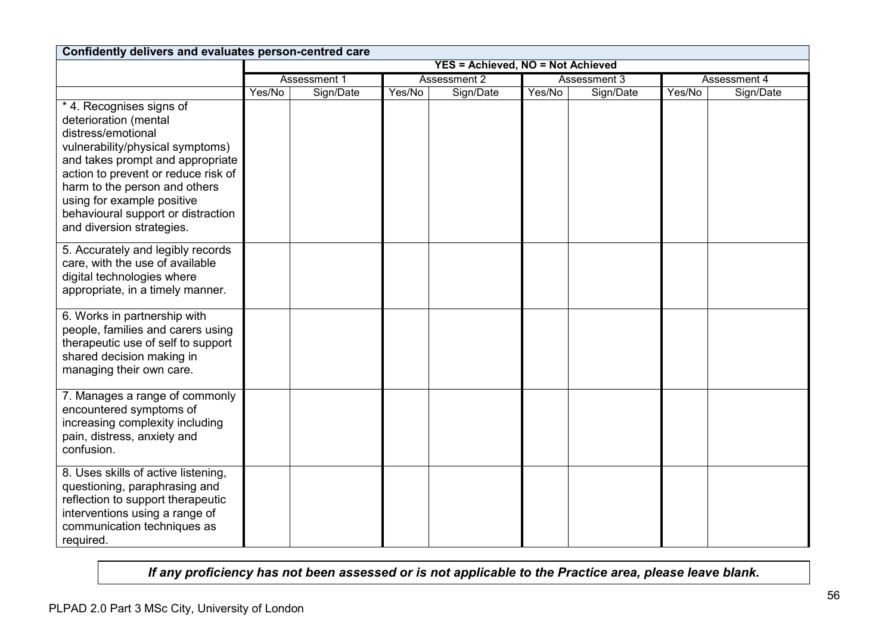| Confidently delivers and evaluates person-centred care                                                                                                                                                                                                                                                                   |                                          |              |              |           |              |           |              |           |
|--------------------------------------------------------------------------------------------------------------------------------------------------------------------------------------------------------------------------------------------------------------------------------------------------------------------------|------------------------------------------|--------------|--------------|-----------|--------------|-----------|--------------|-----------|
|                                                                                                                                                                                                                                                                                                                          | <b>YES = Achieved, NO = Not Achieved</b> |              |              |           |              |           |              |           |
|                                                                                                                                                                                                                                                                                                                          |                                          | Assessment 1 | Assessment 2 |           | Assessment 3 |           | Assessment 4 |           |
|                                                                                                                                                                                                                                                                                                                          | Yes/No                                   | Sign/Date    | Yes/No       | Sign/Date | Yes/No       | Sign/Date | Yes/No       | Sign/Date |
| * 4. Recognises signs of<br>deterioration (mental<br>distress/emotional<br>vulnerability/physical symptoms)<br>and takes prompt and appropriate<br>action to prevent or reduce risk of<br>harm to the person and others<br>using for example positive<br>behavioural support or distraction<br>and diversion strategies. |                                          |              |              |           |              |           |              |           |
| 5. Accurately and legibly records<br>care, with the use of available<br>digital technologies where<br>appropriate, in a timely manner.                                                                                                                                                                                   |                                          |              |              |           |              |           |              |           |
| 6. Works in partnership with<br>people, families and carers using<br>therapeutic use of self to support<br>shared decision making in<br>managing their own care.                                                                                                                                                         |                                          |              |              |           |              |           |              |           |
| 7. Manages a range of commonly<br>encountered symptoms of<br>increasing complexity including<br>pain, distress, anxiety and<br>confusion.                                                                                                                                                                                |                                          |              |              |           |              |           |              |           |
| 8. Uses skills of active listening,<br>questioning, paraphrasing and<br>reflection to support therapeutic<br>interventions using a range of<br>communication techniques as<br>required.                                                                                                                                  |                                          |              |              |           |              |           |              |           |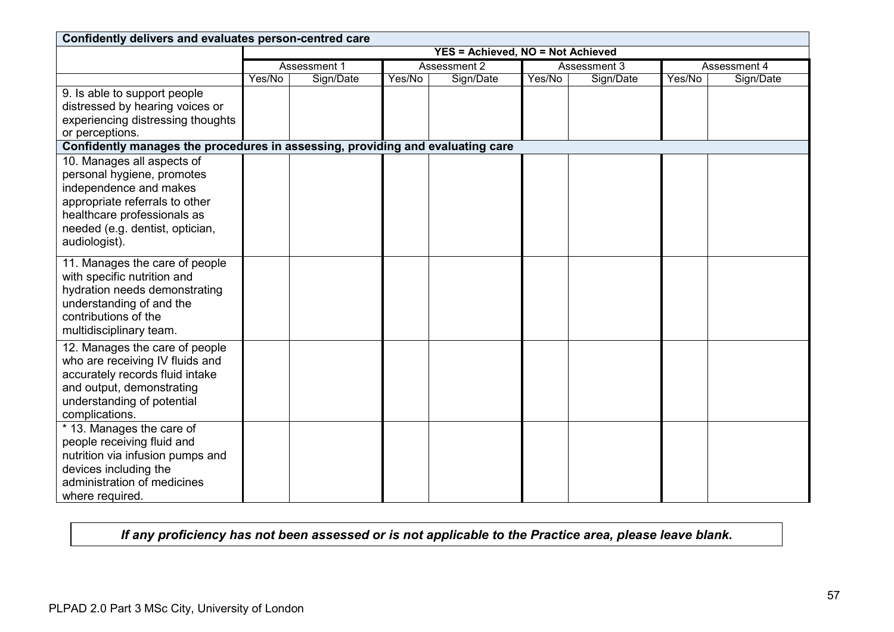| Confidently delivers and evaluates person-centred care                                                                                                                                                  |                                          |              |              |           |              |           |        |              |
|---------------------------------------------------------------------------------------------------------------------------------------------------------------------------------------------------------|------------------------------------------|--------------|--------------|-----------|--------------|-----------|--------|--------------|
|                                                                                                                                                                                                         | <b>YES = Achieved, NO = Not Achieved</b> |              |              |           |              |           |        |              |
|                                                                                                                                                                                                         |                                          | Assessment 1 | Assessment 2 |           | Assessment 3 |           |        | Assessment 4 |
|                                                                                                                                                                                                         | Yes/No                                   | Sign/Date    | Yes/No       | Sign/Date | Yes/No       | Sign/Date | Yes/No | Sign/Date    |
| 9. Is able to support people<br>distressed by hearing voices or<br>experiencing distressing thoughts<br>or perceptions.                                                                                 |                                          |              |              |           |              |           |        |              |
| Confidently manages the procedures in assessing, providing and evaluating care                                                                                                                          |                                          |              |              |           |              |           |        |              |
| 10. Manages all aspects of<br>personal hygiene, promotes<br>independence and makes<br>appropriate referrals to other<br>healthcare professionals as<br>needed (e.g. dentist, optician,<br>audiologist). |                                          |              |              |           |              |           |        |              |
| 11. Manages the care of people<br>with specific nutrition and<br>hydration needs demonstrating<br>understanding of and the<br>contributions of the<br>multidisciplinary team.                           |                                          |              |              |           |              |           |        |              |
| 12. Manages the care of people<br>who are receiving IV fluids and<br>accurately records fluid intake<br>and output, demonstrating<br>understanding of potential<br>complications.                       |                                          |              |              |           |              |           |        |              |
| * 13. Manages the care of<br>people receiving fluid and<br>nutrition via infusion pumps and<br>devices including the<br>administration of medicines<br>where required.                                  |                                          |              |              |           |              |           |        |              |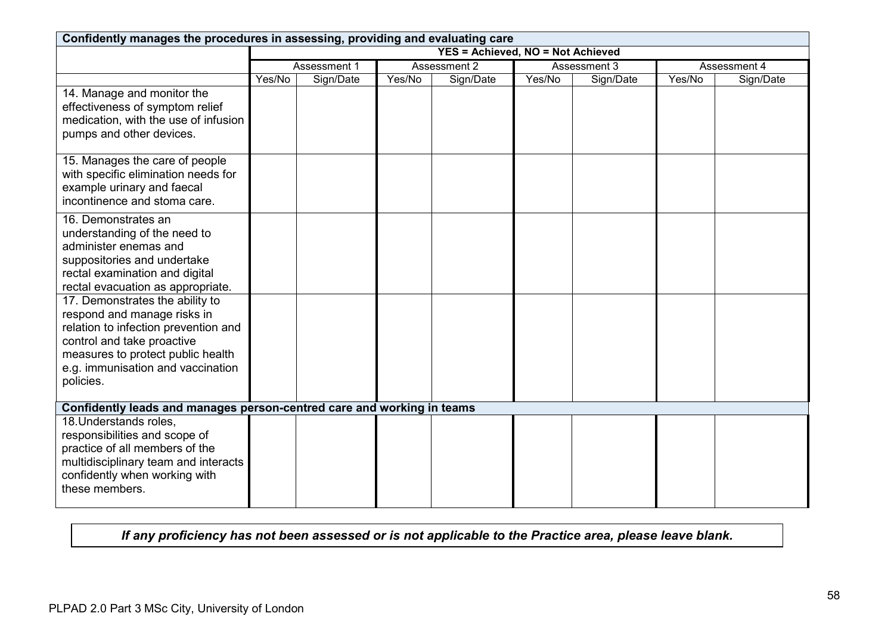| Confidently manages the procedures in assessing, providing and evaluating care                                                                                                                                              |        |              |              |                                   |              |           |              |           |
|-----------------------------------------------------------------------------------------------------------------------------------------------------------------------------------------------------------------------------|--------|--------------|--------------|-----------------------------------|--------------|-----------|--------------|-----------|
|                                                                                                                                                                                                                             |        |              |              | YES = Achieved, NO = Not Achieved |              |           |              |           |
|                                                                                                                                                                                                                             |        | Assessment 1 | Assessment 2 |                                   | Assessment 3 |           | Assessment 4 |           |
|                                                                                                                                                                                                                             | Yes/No | Sign/Date    | Yes/No       | Sign/Date                         | Yes/No       | Sign/Date | Yes/No       | Sign/Date |
| 14. Manage and monitor the<br>effectiveness of symptom relief<br>medication, with the use of infusion<br>pumps and other devices.                                                                                           |        |              |              |                                   |              |           |              |           |
| 15. Manages the care of people<br>with specific elimination needs for<br>example urinary and faecal<br>incontinence and stoma care.                                                                                         |        |              |              |                                   |              |           |              |           |
| 16. Demonstrates an<br>understanding of the need to<br>administer enemas and<br>suppositories and undertake<br>rectal examination and digital<br>rectal evacuation as appropriate.                                          |        |              |              |                                   |              |           |              |           |
| 17. Demonstrates the ability to<br>respond and manage risks in<br>relation to infection prevention and<br>control and take proactive<br>measures to protect public health<br>e.g. immunisation and vaccination<br>policies. |        |              |              |                                   |              |           |              |           |
| Confidently leads and manages person-centred care and working in teams                                                                                                                                                      |        |              |              |                                   |              |           |              |           |
| 18. Understands roles,<br>responsibilities and scope of<br>practice of all members of the<br>multidisciplinary team and interacts<br>confidently when working with<br>these members.                                        |        |              |              |                                   |              |           |              |           |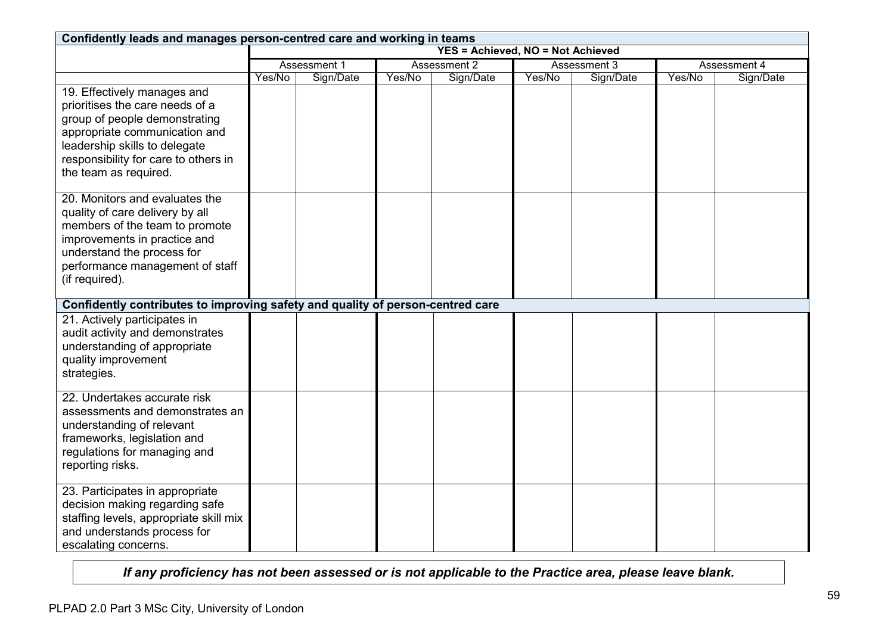| Confidently leads and manages person-centred care and working in teams                                                                                                                                                             |        |                                          |              |           |              |           |              |           |  |
|------------------------------------------------------------------------------------------------------------------------------------------------------------------------------------------------------------------------------------|--------|------------------------------------------|--------------|-----------|--------------|-----------|--------------|-----------|--|
|                                                                                                                                                                                                                                    |        | <b>YES = Achieved, NO = Not Achieved</b> |              |           |              |           |              |           |  |
|                                                                                                                                                                                                                                    |        | Assessment 1                             | Assessment 2 |           | Assessment 3 |           | Assessment 4 |           |  |
|                                                                                                                                                                                                                                    | Yes/No | Sign/Date                                | Yes/No       | Sign/Date | Yes/No       | Sign/Date | Yes/No       | Sign/Date |  |
| 19. Effectively manages and<br>prioritises the care needs of a<br>group of people demonstrating<br>appropriate communication and<br>leadership skills to delegate<br>responsibility for care to others in<br>the team as required. |        |                                          |              |           |              |           |              |           |  |
| 20. Monitors and evaluates the<br>quality of care delivery by all<br>members of the team to promote<br>improvements in practice and<br>understand the process for<br>performance management of staff<br>(if required).             |        |                                          |              |           |              |           |              |           |  |
| Confidently contributes to improving safety and quality of person-centred care                                                                                                                                                     |        |                                          |              |           |              |           |              |           |  |
| 21. Actively participates in<br>audit activity and demonstrates<br>understanding of appropriate<br>quality improvement<br>strategies.                                                                                              |        |                                          |              |           |              |           |              |           |  |
| 22. Undertakes accurate risk<br>assessments and demonstrates an<br>understanding of relevant<br>frameworks, legislation and<br>regulations for managing and<br>reporting risks.                                                    |        |                                          |              |           |              |           |              |           |  |
| 23. Participates in appropriate<br>decision making regarding safe<br>staffing levels, appropriate skill mix<br>and understands process for<br>escalating concerns.                                                                 |        |                                          |              |           |              |           |              |           |  |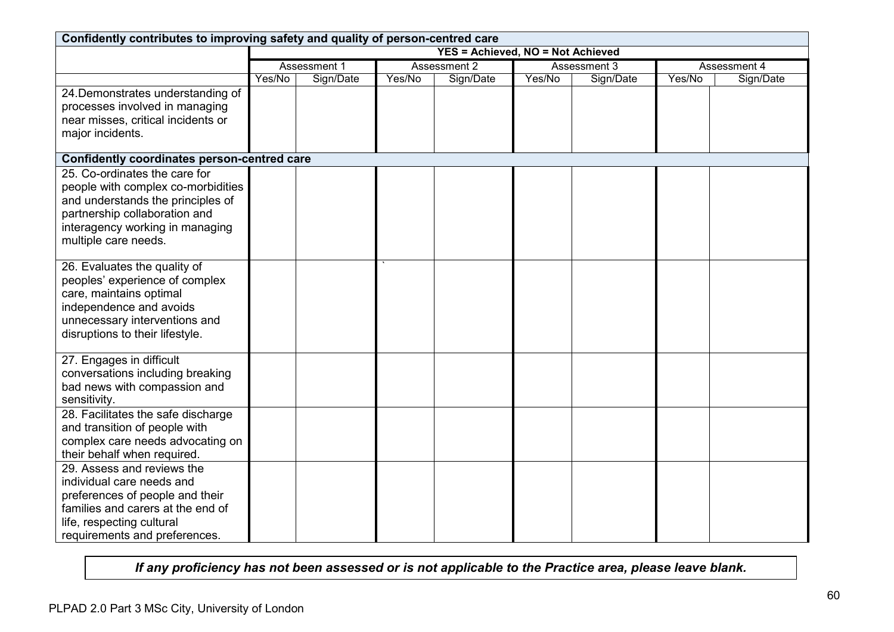| Confidently contributes to improving safety and quality of person-centred care                                                                                                                       |        |                                          |                              |           |        |           |              |           |
|------------------------------------------------------------------------------------------------------------------------------------------------------------------------------------------------------|--------|------------------------------------------|------------------------------|-----------|--------|-----------|--------------|-----------|
|                                                                                                                                                                                                      |        | <b>YES = Achieved, NO = Not Achieved</b> |                              |           |        |           |              |           |
|                                                                                                                                                                                                      |        | Assessment 1                             | Assessment 2<br>Assessment 3 |           |        |           | Assessment 4 |           |
|                                                                                                                                                                                                      | Yes/No | Sign/Date                                | Yes/No                       | Sign/Date | Yes/No | Sign/Date | Yes/No       | Sign/Date |
| 24. Demonstrates understanding of<br>processes involved in managing<br>near misses, critical incidents or<br>major incidents.                                                                        |        |                                          |                              |           |        |           |              |           |
| Confidently coordinates person-centred care                                                                                                                                                          |        |                                          |                              |           |        |           |              |           |
| 25. Co-ordinates the care for<br>people with complex co-morbidities<br>and understands the principles of<br>partnership collaboration and<br>interagency working in managing<br>multiple care needs. |        |                                          |                              |           |        |           |              |           |
| 26. Evaluates the quality of<br>peoples' experience of complex<br>care, maintains optimal<br>independence and avoids<br>unnecessary interventions and<br>disruptions to their lifestyle.             |        |                                          |                              |           |        |           |              |           |
| 27. Engages in difficult<br>conversations including breaking<br>bad news with compassion and<br>sensitivity.                                                                                         |        |                                          |                              |           |        |           |              |           |
| 28. Facilitates the safe discharge<br>and transition of people with<br>complex care needs advocating on<br>their behalf when required.                                                               |        |                                          |                              |           |        |           |              |           |
| 29. Assess and reviews the<br>individual care needs and<br>preferences of people and their<br>families and carers at the end of<br>life, respecting cultural<br>requirements and preferences.        |        |                                          |                              |           |        |           |              |           |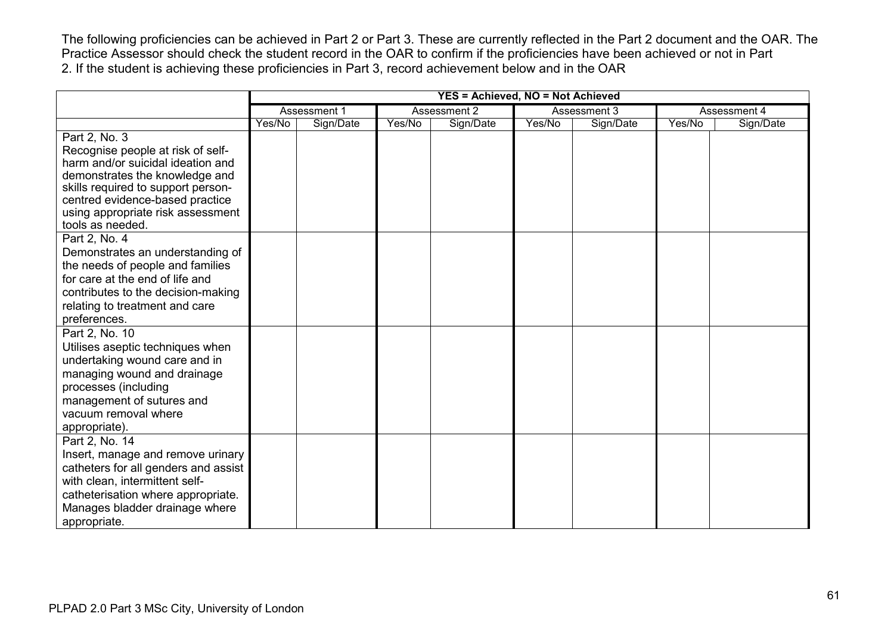The following proficiencies can be achieved in Part 2 or Part 3. These are currently reflected in the Part 2 document and the OAR. The Practice Assessor should check the student record in the OAR to confirm if the proficiencies have been achieved or not in Part 2. If the student is achieving these proficiencies in Part 3, record achievement below and in the OAR

|                                                                       |        |              |        | YES = Achieved, NO = Not Achieved |        |              |        |              |
|-----------------------------------------------------------------------|--------|--------------|--------|-----------------------------------|--------|--------------|--------|--------------|
|                                                                       |        | Assessment 1 |        | Assessment 2                      |        | Assessment 3 |        | Assessment 4 |
|                                                                       | Yes/No | Sign/Date    | Yes/No | Sign/Date                         | Yes/No | Sign/Date    | Yes/No | Sign/Date    |
| Part 2, No. 3                                                         |        |              |        |                                   |        |              |        |              |
| Recognise people at risk of self-                                     |        |              |        |                                   |        |              |        |              |
| harm and/or suicidal ideation and                                     |        |              |        |                                   |        |              |        |              |
| demonstrates the knowledge and                                        |        |              |        |                                   |        |              |        |              |
| skills required to support person-<br>centred evidence-based practice |        |              |        |                                   |        |              |        |              |
| using appropriate risk assessment                                     |        |              |        |                                   |        |              |        |              |
| tools as needed.                                                      |        |              |        |                                   |        |              |        |              |
| Part 2, No. 4                                                         |        |              |        |                                   |        |              |        |              |
| Demonstrates an understanding of                                      |        |              |        |                                   |        |              |        |              |
| the needs of people and families                                      |        |              |        |                                   |        |              |        |              |
| for care at the end of life and                                       |        |              |        |                                   |        |              |        |              |
| contributes to the decision-making                                    |        |              |        |                                   |        |              |        |              |
| relating to treatment and care                                        |        |              |        |                                   |        |              |        |              |
| preferences.                                                          |        |              |        |                                   |        |              |        |              |
| Part 2, No. 10                                                        |        |              |        |                                   |        |              |        |              |
| Utilises aseptic techniques when                                      |        |              |        |                                   |        |              |        |              |
| undertaking wound care and in                                         |        |              |        |                                   |        |              |        |              |
| managing wound and drainage                                           |        |              |        |                                   |        |              |        |              |
| processes (including                                                  |        |              |        |                                   |        |              |        |              |
| management of sutures and                                             |        |              |        |                                   |        |              |        |              |
| vacuum removal where                                                  |        |              |        |                                   |        |              |        |              |
| appropriate).                                                         |        |              |        |                                   |        |              |        |              |
| Part 2, No. 14<br>Insert, manage and remove urinary                   |        |              |        |                                   |        |              |        |              |
| catheters for all genders and assist                                  |        |              |        |                                   |        |              |        |              |
| with clean, intermittent self-                                        |        |              |        |                                   |        |              |        |              |
| catheterisation where appropriate.                                    |        |              |        |                                   |        |              |        |              |
| Manages bladder drainage where                                        |        |              |        |                                   |        |              |        |              |
| appropriate.                                                          |        |              |        |                                   |        |              |        |              |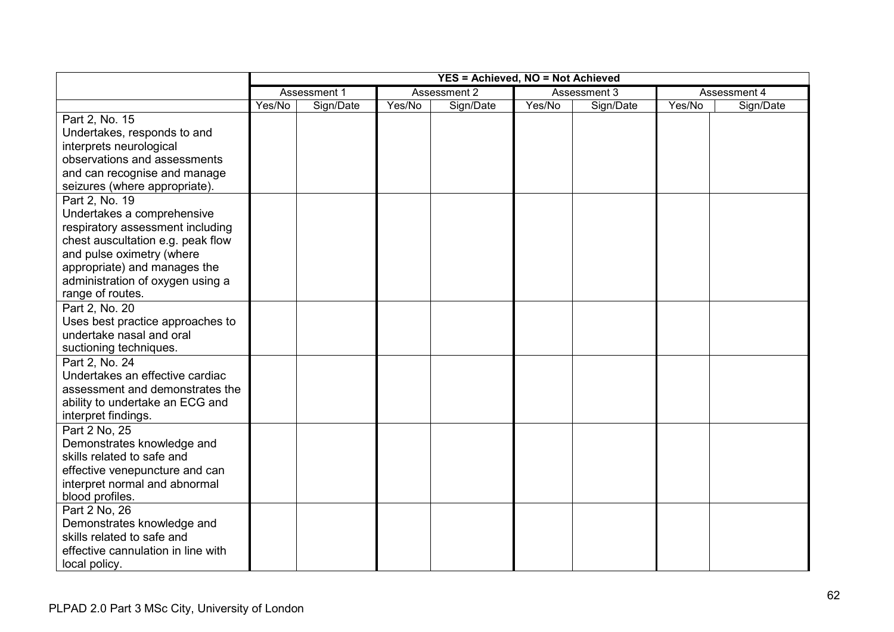|                                                                                                                                                                                                                                            |        |              |        | <b>YES = Achieved, NO = Not Achieved</b> |              |           |              |           |
|--------------------------------------------------------------------------------------------------------------------------------------------------------------------------------------------------------------------------------------------|--------|--------------|--------|------------------------------------------|--------------|-----------|--------------|-----------|
|                                                                                                                                                                                                                                            |        | Assessment 1 |        | Assessment 2                             | Assessment 3 |           | Assessment 4 |           |
|                                                                                                                                                                                                                                            | Yes/No | Sign/Date    | Yes/No | Sign/Date                                | Yes/No       | Sign/Date | Yes/No       | Sign/Date |
| Part 2, No. 15<br>Undertakes, responds to and<br>interprets neurological<br>observations and assessments<br>and can recognise and manage<br>seizures (where appropriate).                                                                  |        |              |        |                                          |              |           |              |           |
| Part 2, No. 19<br>Undertakes a comprehensive<br>respiratory assessment including<br>chest auscultation e.g. peak flow<br>and pulse oximetry (where<br>appropriate) and manages the<br>administration of oxygen using a<br>range of routes. |        |              |        |                                          |              |           |              |           |
| Part 2, No. 20<br>Uses best practice approaches to<br>undertake nasal and oral<br>suctioning techniques.                                                                                                                                   |        |              |        |                                          |              |           |              |           |
| Part 2, No. 24<br>Undertakes an effective cardiac<br>assessment and demonstrates the<br>ability to undertake an ECG and<br>interpret findings.                                                                                             |        |              |        |                                          |              |           |              |           |
| Part 2 No, 25<br>Demonstrates knowledge and<br>skills related to safe and<br>effective venepuncture and can<br>interpret normal and abnormal<br>blood profiles.                                                                            |        |              |        |                                          |              |           |              |           |
| Part 2 No, 26<br>Demonstrates knowledge and<br>skills related to safe and<br>effective cannulation in line with<br>local policy.                                                                                                           |        |              |        |                                          |              |           |              |           |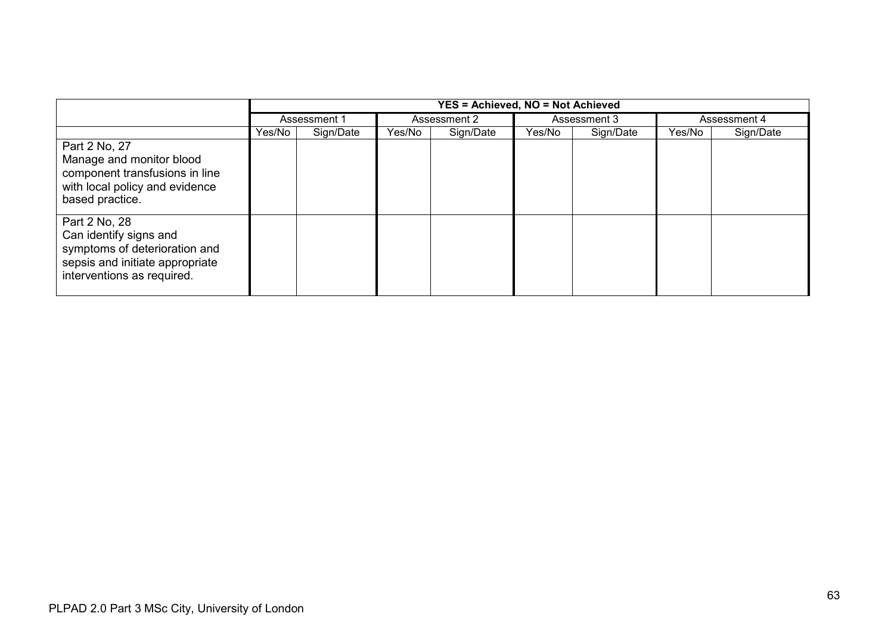|                                                                                                                                           | <b>YES = Achieved, NO = Not Achieved</b> |           |                     |  |                     |  |              |           |
|-------------------------------------------------------------------------------------------------------------------------------------------|------------------------------------------|-----------|---------------------|--|---------------------|--|--------------|-----------|
|                                                                                                                                           | Assessment 1                             |           | Assessment 2        |  | Assessment 3        |  | Assessment 4 |           |
|                                                                                                                                           | Yes/No                                   | Sign/Date | Sign/Date<br>Yes/No |  | Yes/No<br>Sign/Date |  | Yes/No       | Sign/Date |
| Part 2 No, 27<br>Manage and monitor blood<br>component transfusions in line<br>with local policy and evidence<br>based practice.          |                                          |           |                     |  |                     |  |              |           |
| Part 2 No, 28<br>Can identify signs and<br>symptoms of deterioration and<br>sepsis and initiate appropriate<br>interventions as required. |                                          |           |                     |  |                     |  |              |           |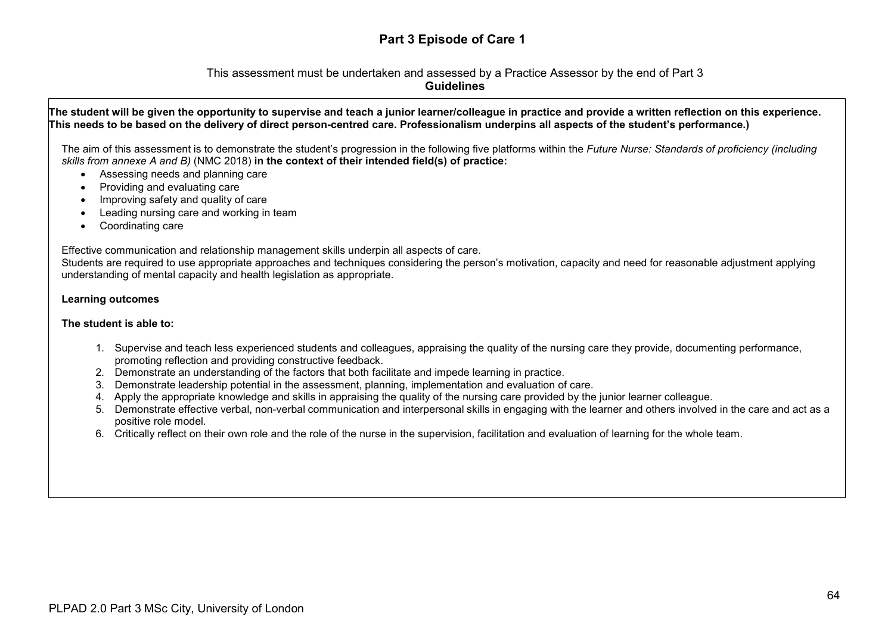# **Part 3 Episode of Care 1**

### This assessment must be undertaken and assessed by a Practice Assessor by the end of Part 3 **Guidelines**

### **The student will be given the opportunity to supervise and teach a junior learner/colleague in practice and provide a written reflection on this experience. This needs to be based on the delivery of direct person-centred care. Professionalism underpins all aspects of the student's performance.)**

The aim of this assessment is to demonstrate the student's progression in the following five platforms within the *Future Nurse: Standards of proficiency (including skills from annexe A and B)* (NMC 2018) **in the context of their intended field(s) of practice:**

- Assessing needs and planning care
- Providing and evaluating care
- Improving safety and quality of care
- Leading nursing care and working in team
- Coordinating care

Effective communication and relationship management skills underpin all aspects of care.

Students are required to use appropriate approaches and techniques considering the person's motivation, capacity and need for reasonable adjustment applying understanding of mental capacity and health legislation as appropriate.

### **Learning outcomes**

### **The student is able to:**

- 1. Supervise and teach less experienced students and colleagues, appraising the quality of the nursing care they provide, documenting performance, promoting reflection and providing constructive feedback.
- 2. Demonstrate an understanding of the factors that both facilitate and impede learning in practice.
- 3. Demonstrate leadership potential in the assessment, planning, implementation and evaluation of care.
- 4. Apply the appropriate knowledge and skills in appraising the quality of the nursing care provided by the junior learner colleague.
- 5. Demonstrate effective verbal, non-verbal communication and interpersonal skills in engaging with the learner and others involved in the care and act as a positive role model.
- 6. Critically reflect on their own role and the role of the nurse in the supervision, facilitation and evaluation of learning for the whole team.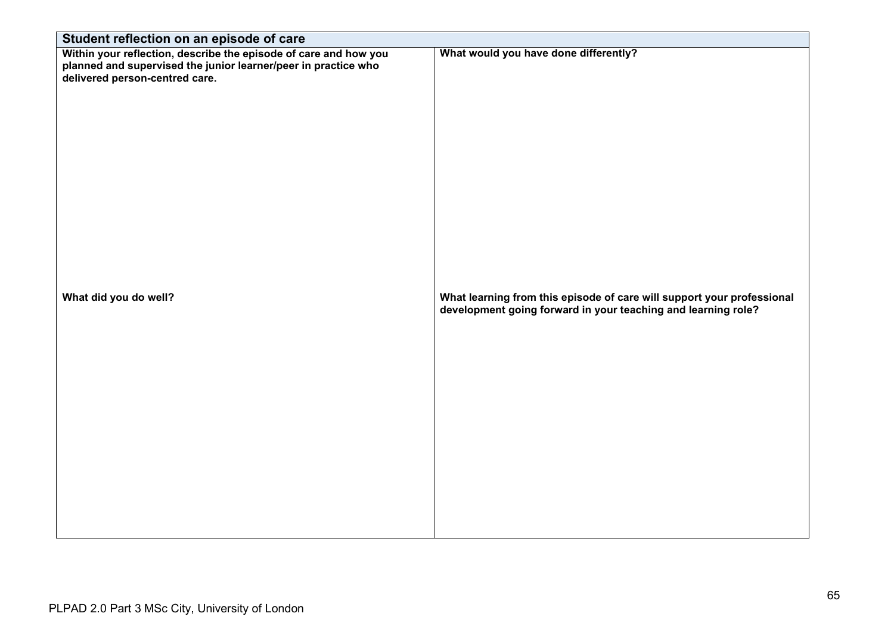| Student reflection on an episode of care                                                                                                                             |                                                                                                                                         |
|----------------------------------------------------------------------------------------------------------------------------------------------------------------------|-----------------------------------------------------------------------------------------------------------------------------------------|
| Within your reflection, describe the episode of care and how you<br>planned and supervised the junior learner/peer in practice who<br>delivered person-centred care. | What would you have done differently?                                                                                                   |
| What did you do well?                                                                                                                                                | What learning from this episode of care will support your professional<br>development going forward in your teaching and learning role? |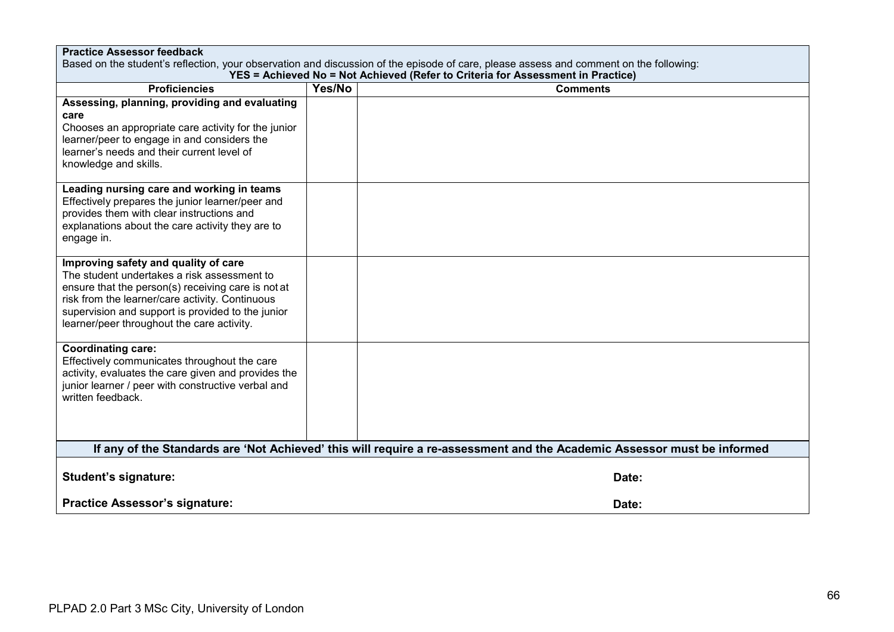| <b>Practice Assessor feedback</b><br>Based on the student's reflection, your observation and discussion of the episode of care, please assess and comment on the following:                                                                                                                     |        |                                                                                                                         |  |  |
|-------------------------------------------------------------------------------------------------------------------------------------------------------------------------------------------------------------------------------------------------------------------------------------------------|--------|-------------------------------------------------------------------------------------------------------------------------|--|--|
| YES = Achieved No = Not Achieved (Refer to Criteria for Assessment in Practice)                                                                                                                                                                                                                 |        |                                                                                                                         |  |  |
| <b>Proficiencies</b>                                                                                                                                                                                                                                                                            | Yes/No | <b>Comments</b>                                                                                                         |  |  |
| Assessing, planning, providing and evaluating<br>care<br>Chooses an appropriate care activity for the junior<br>learner/peer to engage in and considers the<br>learner's needs and their current level of<br>knowledge and skills.                                                              |        |                                                                                                                         |  |  |
| Leading nursing care and working in teams<br>Effectively prepares the junior learner/peer and<br>provides them with clear instructions and<br>explanations about the care activity they are to<br>engage in.                                                                                    |        |                                                                                                                         |  |  |
| Improving safety and quality of care<br>The student undertakes a risk assessment to<br>ensure that the person(s) receiving care is not at<br>risk from the learner/care activity. Continuous<br>supervision and support is provided to the junior<br>learner/peer throughout the care activity. |        |                                                                                                                         |  |  |
| <b>Coordinating care:</b><br>Effectively communicates throughout the care<br>activity, evaluates the care given and provides the<br>junior learner / peer with constructive verbal and<br>written feedback.                                                                                     |        |                                                                                                                         |  |  |
|                                                                                                                                                                                                                                                                                                 |        | If any of the Standards are 'Not Achieved' this will require a re-assessment and the Academic Assessor must be informed |  |  |
| <b>Student's signature:</b>                                                                                                                                                                                                                                                                     |        | Date:                                                                                                                   |  |  |
| <b>Practice Assessor's signature:</b>                                                                                                                                                                                                                                                           |        | Date:                                                                                                                   |  |  |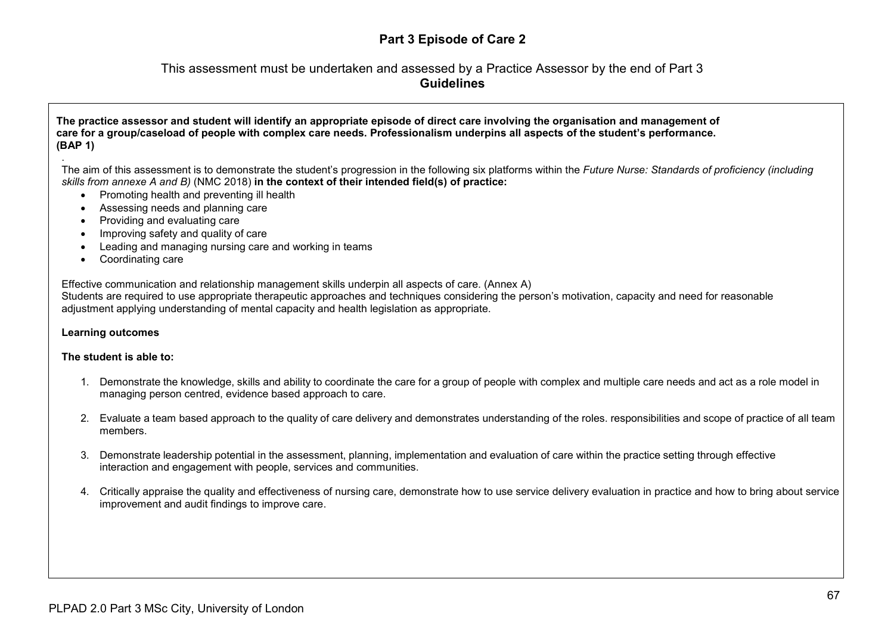# **Part 3 Episode of Care 2**

# This assessment must be undertaken and assessed by a Practice Assessor by the end of Part 3 **Guidelines**

### **The practice assessor and student will identify an appropriate episode of direct care involving the organisation and management of care for a group/caseload of people with complex care needs. Professionalism underpins all aspects of the student's performance. (BAP 1)**

. The aim of this assessment is to demonstrate the student's progression in the following six platforms within the *Future Nurse: Standards of proficiency (including skills from annexe A and B)* (NMC 2018) **in the context of their intended field(s) of practice:**

- Promoting health and preventing ill health
- Assessing needs and planning care
- Providing and evaluating care
- Improving safety and quality of care
- Leading and managing nursing care and working in teams
- Coordinating care

Effective communication and relationship management skills underpin all aspects of care. (Annex A)

Students are required to use appropriate therapeutic approaches and techniques considering the person's motivation, capacity and need for reasonable adjustment applying understanding of mental capacity and health legislation as appropriate.

### **Learning outcomes**

### **The student is able to:**

- 1. Demonstrate the knowledge, skills and ability to coordinate the care for a group of people with complex and multiple care needs and act as a role model in managing person centred, evidence based approach to care.
- 2. Evaluate a team based approach to the quality of care delivery and demonstrates understanding of the roles. responsibilities and scope of practice of all team members.
- 3. Demonstrate leadership potential in the assessment, planning, implementation and evaluation of care within the practice setting through effective interaction and engagement with people, services and communities.
- 4. Critically appraise the quality and effectiveness of nursing care, demonstrate how to use service delivery evaluation in practice and how to bring about service improvement and audit findings to improve care.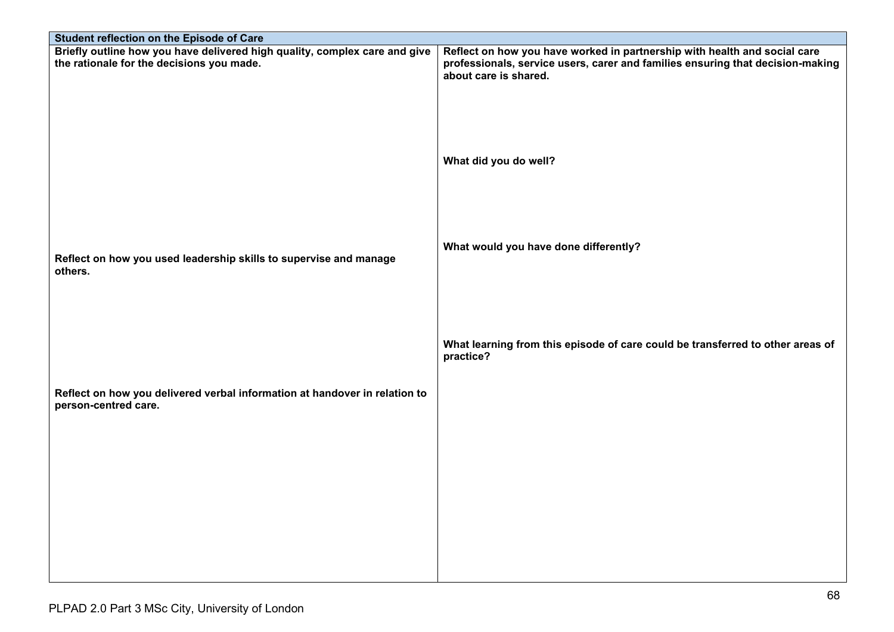| Student reflection on the Episode of Care                                                                               |                                                                                                                                                             |
|-------------------------------------------------------------------------------------------------------------------------|-------------------------------------------------------------------------------------------------------------------------------------------------------------|
| Briefly outline how you have delivered high quality, complex care and give<br>the rationale for the decisions you made. | Reflect on how you have worked in partnership with health and social care<br>professionals, service users, carer and families ensuring that decision-making |
|                                                                                                                         | about care is shared.                                                                                                                                       |
|                                                                                                                         |                                                                                                                                                             |
|                                                                                                                         |                                                                                                                                                             |
|                                                                                                                         |                                                                                                                                                             |
|                                                                                                                         | What did you do well?                                                                                                                                       |
|                                                                                                                         |                                                                                                                                                             |
|                                                                                                                         |                                                                                                                                                             |
|                                                                                                                         | What would you have done differently?                                                                                                                       |
| Reflect on how you used leadership skills to supervise and manage<br>others.                                            |                                                                                                                                                             |
|                                                                                                                         |                                                                                                                                                             |
|                                                                                                                         |                                                                                                                                                             |
|                                                                                                                         |                                                                                                                                                             |
|                                                                                                                         | What learning from this episode of care could be transferred to other areas of<br>practice?                                                                 |
|                                                                                                                         |                                                                                                                                                             |
| Reflect on how you delivered verbal information at handover in relation to                                              |                                                                                                                                                             |
| person-centred care.                                                                                                    |                                                                                                                                                             |
|                                                                                                                         |                                                                                                                                                             |
|                                                                                                                         |                                                                                                                                                             |
|                                                                                                                         |                                                                                                                                                             |
|                                                                                                                         |                                                                                                                                                             |
|                                                                                                                         |                                                                                                                                                             |
|                                                                                                                         |                                                                                                                                                             |
|                                                                                                                         |                                                                                                                                                             |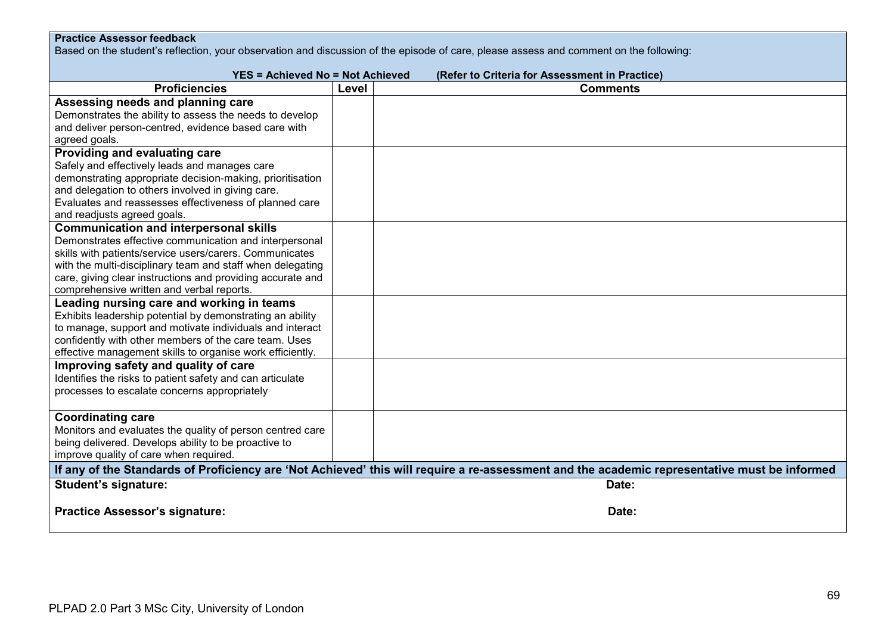# **Practice Assessor feedback**

Based on the student's reflection, your observation and discussion of the episode of care, please assess and comment on the following:

| <b>YES = Achieved No = Not Achieved</b>                    |       | (Refer to Criteria for Assessment in Practice)                                                                                               |
|------------------------------------------------------------|-------|----------------------------------------------------------------------------------------------------------------------------------------------|
| <b>Proficiencies</b>                                       | Level | <b>Comments</b>                                                                                                                              |
| Assessing needs and planning care                          |       |                                                                                                                                              |
| Demonstrates the ability to assess the needs to develop    |       |                                                                                                                                              |
| and deliver person-centred, evidence based care with       |       |                                                                                                                                              |
| agreed goals.                                              |       |                                                                                                                                              |
| Providing and evaluating care                              |       |                                                                                                                                              |
| Safely and effectively leads and manages care              |       |                                                                                                                                              |
| demonstrating appropriate decision-making, prioritisation  |       |                                                                                                                                              |
| and delegation to others involved in giving care.          |       |                                                                                                                                              |
| Evaluates and reassesses effectiveness of planned care     |       |                                                                                                                                              |
| and readjusts agreed goals.                                |       |                                                                                                                                              |
| <b>Communication and interpersonal skills</b>              |       |                                                                                                                                              |
| Demonstrates effective communication and interpersonal     |       |                                                                                                                                              |
| skills with patients/service users/carers. Communicates    |       |                                                                                                                                              |
| with the multi-disciplinary team and staff when delegating |       |                                                                                                                                              |
| care, giving clear instructions and providing accurate and |       |                                                                                                                                              |
| comprehensive written and verbal reports.                  |       |                                                                                                                                              |
| Leading nursing care and working in teams                  |       |                                                                                                                                              |
| Exhibits leadership potential by demonstrating an ability  |       |                                                                                                                                              |
| to manage, support and motivate individuals and interact   |       |                                                                                                                                              |
| confidently with other members of the care team. Uses      |       |                                                                                                                                              |
| effective management skills to organise work efficiently.  |       |                                                                                                                                              |
| Improving safety and quality of care                       |       |                                                                                                                                              |
| Identifies the risks to patient safety and can articulate  |       |                                                                                                                                              |
| processes to escalate concerns appropriately               |       |                                                                                                                                              |
| <b>Coordinating care</b>                                   |       |                                                                                                                                              |
| Monitors and evaluates the quality of person centred care  |       |                                                                                                                                              |
| being delivered. Develops ability to be proactive to       |       |                                                                                                                                              |
| improve quality of care when required.                     |       |                                                                                                                                              |
|                                                            |       | If any of the Standards of Proficiency are 'Not Achieved' this will require a re-assessment and the academic representative must be informed |
| <b>Student's signature:</b>                                |       | Date:                                                                                                                                        |
|                                                            |       |                                                                                                                                              |
| <b>Practice Assessor's signature:</b>                      |       | Date:                                                                                                                                        |
|                                                            |       |                                                                                                                                              |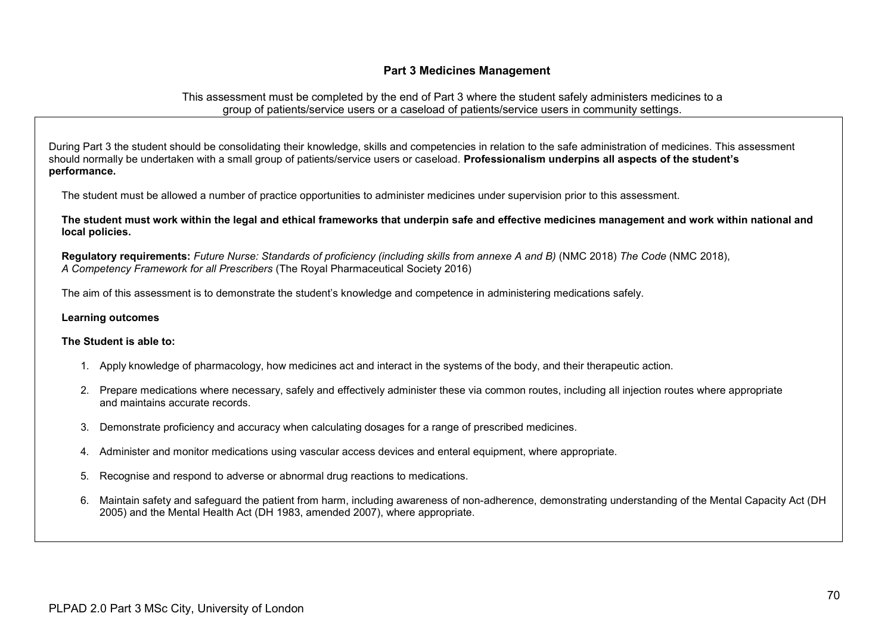## **Part 3 Medicines Management**

This assessment must be completed by the end of Part 3 where the student safely administers medicines to a group of patients/service users or a caseload of patients/service users in community settings.

During Part 3 the student should be consolidating their knowledge, skills and competencies in relation to the safe administration of medicines. This assessment should normally be undertaken with a small group of patients/service users or caseload. **Professionalism underpins all aspects of the student's performance.**

The student must be allowed a number of practice opportunities to administer medicines under supervision prior to this assessment.

**The student must work within the legal and ethical frameworks that underpin safe and effective medicines management and work within national and local policies.**

**Regulatory requirements:** *Future Nurse: Standards of proficiency (including skills from annexe A and B)* (NMC 2018) *The Code* (NMC 2018), *A Competency Framework for all Prescribers* (The Royal Pharmaceutical Society 2016)

The aim of this assessment is to demonstrate the student's knowledge and competence in administering medications safely.

#### **Learning outcomes**

### **The Student is able to:**

- 1. Apply knowledge of pharmacology, how medicines act and interact in the systems of the body, and their therapeutic action.
- 2. Prepare medications where necessary, safely and effectively administer these via common routes, including all injection routes where appropriate and maintains accurate records.
- 3. Demonstrate proficiency and accuracy when calculating dosages for a range of prescribed medicines.
- 4. Administer and monitor medications using vascular access devices and enteral equipment, where appropriate.
- 5. Recognise and respond to adverse or abnormal drug reactions to medications.
- 6. Maintain safety and safeguard the patient from harm, including awareness of non-adherence, demonstrating understanding of the Mental Capacity Act (DH 2005) and the Mental Health Act (DH 1983, amended 2007), where appropriate.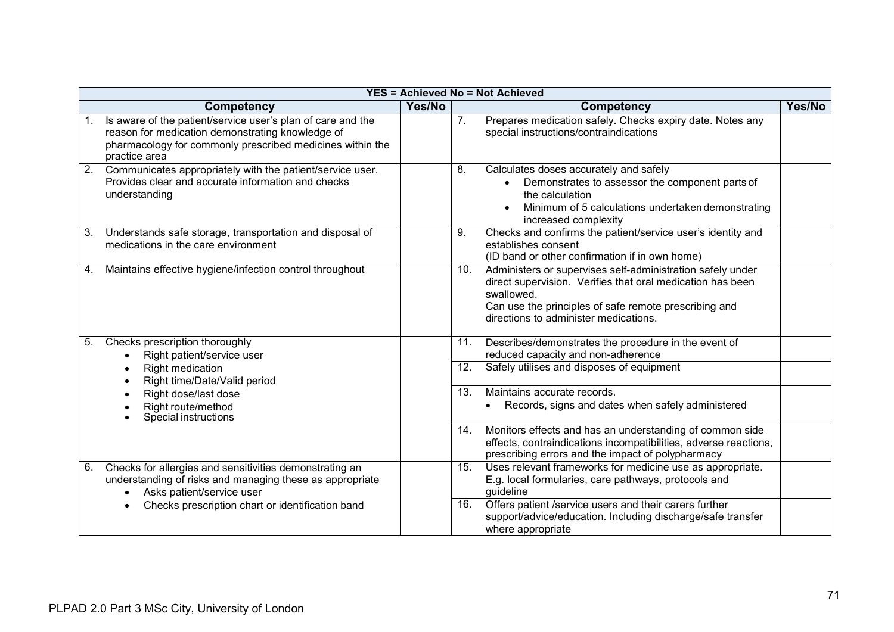|    | <b>YES = Achieved No = Not Achieved</b>                                                                                                                                                       |        |     |                                                                                                                                                                                                                                          |        |  |
|----|-----------------------------------------------------------------------------------------------------------------------------------------------------------------------------------------------|--------|-----|------------------------------------------------------------------------------------------------------------------------------------------------------------------------------------------------------------------------------------------|--------|--|
|    | <b>Competency</b>                                                                                                                                                                             | Yes/No |     | <b>Competency</b>                                                                                                                                                                                                                        | Yes/No |  |
| 1. | Is aware of the patient/service user's plan of care and the<br>reason for medication demonstrating knowledge of<br>pharmacology for commonly prescribed medicines within the<br>practice area |        | 7.  | Prepares medication safely. Checks expiry date. Notes any<br>special instructions/contraindications                                                                                                                                      |        |  |
| 2. | Communicates appropriately with the patient/service user.<br>Provides clear and accurate information and checks<br>understanding                                                              |        | 8.  | Calculates doses accurately and safely<br>Demonstrates to assessor the component parts of<br>the calculation<br>Minimum of 5 calculations undertaken demonstrating<br>$\bullet$<br>increased complexity                                  |        |  |
| 3. | Understands safe storage, transportation and disposal of<br>medications in the care environment                                                                                               |        | 9.  | Checks and confirms the patient/service user's identity and<br>establishes consent<br>(ID band or other confirmation if in own home)                                                                                                     |        |  |
| 4. | Maintains effective hygiene/infection control throughout                                                                                                                                      |        | 10. | Administers or supervises self-administration safely under<br>direct supervision. Verifies that oral medication has been<br>swallowed.<br>Can use the principles of safe remote prescribing and<br>directions to administer medications. |        |  |
| 5. | Checks prescription thoroughly<br>Right patient/service user                                                                                                                                  |        | 11. | Describes/demonstrates the procedure in the event of<br>reduced capacity and non-adherence                                                                                                                                               |        |  |
|    | Right medication<br>Right time/Date/Valid period                                                                                                                                              |        | 12. | Safely utilises and disposes of equipment                                                                                                                                                                                                |        |  |
|    | Right dose/last dose<br>Right route/method<br>Special instructions                                                                                                                            |        | 13. | Maintains accurate records.<br>Records, signs and dates when safely administered<br>$\bullet$                                                                                                                                            |        |  |
|    |                                                                                                                                                                                               |        | 14. | Monitors effects and has an understanding of common side<br>effects, contraindications incompatibilities, adverse reactions,<br>prescribing errors and the impact of polypharmacy                                                        |        |  |
| 6. | Checks for allergies and sensitivities demonstrating an<br>understanding of risks and managing these as appropriate<br>Asks patient/service user<br>$\bullet$                                 |        | 15. | Uses relevant frameworks for medicine use as appropriate.<br>E.g. local formularies, care pathways, protocols and<br>guideline                                                                                                           |        |  |
|    | Checks prescription chart or identification band                                                                                                                                              |        | 16. | Offers patient /service users and their carers further<br>support/advice/education. Including discharge/safe transfer<br>where appropriate                                                                                               |        |  |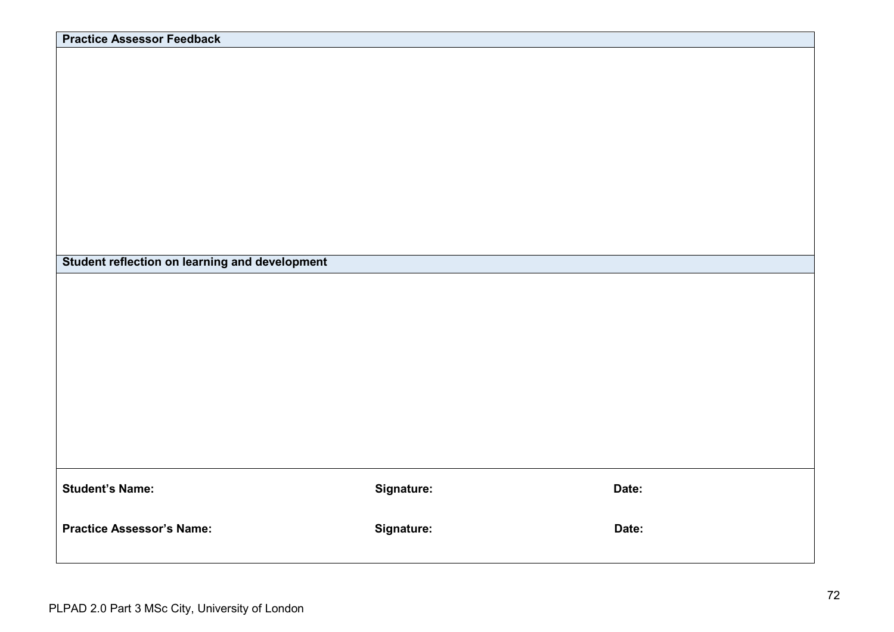| <b>Practice Assessor Feedback</b>              |            |       |
|------------------------------------------------|------------|-------|
|                                                |            |       |
|                                                |            |       |
|                                                |            |       |
|                                                |            |       |
|                                                |            |       |
|                                                |            |       |
|                                                |            |       |
|                                                |            |       |
|                                                |            |       |
|                                                |            |       |
|                                                |            |       |
|                                                |            |       |
|                                                |            |       |
|                                                |            |       |
|                                                |            |       |
|                                                |            |       |
|                                                |            |       |
| Student reflection on learning and development |            |       |
|                                                |            |       |
|                                                |            |       |
|                                                |            |       |
|                                                |            |       |
|                                                |            |       |
|                                                |            |       |
|                                                |            |       |
|                                                |            |       |
|                                                |            |       |
|                                                |            |       |
|                                                |            |       |
|                                                |            |       |
|                                                |            |       |
|                                                |            |       |
|                                                |            |       |
|                                                |            |       |
|                                                |            |       |
|                                                |            |       |
| <b>Student's Name:</b>                         | Signature: | Date: |
|                                                |            |       |
|                                                |            |       |
| <b>Practice Assessor's Name:</b>               | Signature: | Date: |
|                                                |            |       |
|                                                |            |       |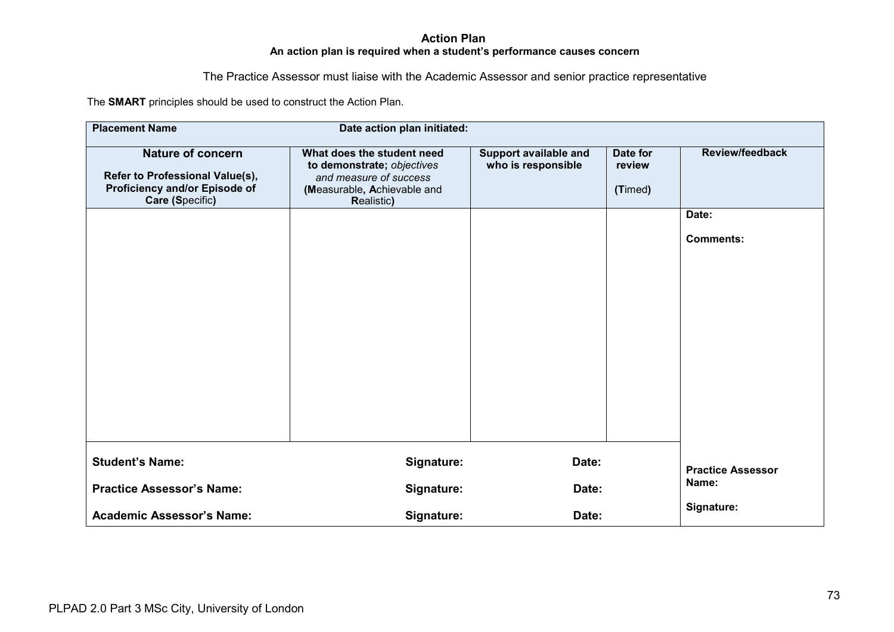### **Action Plan An action plan is required when a student's performance causes concern**

The Practice Assessor must liaise with the Academic Assessor and senior practice representative

The **SMART** principles should be used to construct the Action Plan.

| <b>Placement Name</b>                                                                                           | Date action plan initiated:                                                                                                            |                                             |                               |                                                     |  |
|-----------------------------------------------------------------------------------------------------------------|----------------------------------------------------------------------------------------------------------------------------------------|---------------------------------------------|-------------------------------|-----------------------------------------------------|--|
| <b>Nature of concern</b><br>Refer to Professional Value(s),<br>Proficiency and/or Episode of<br>Care (Specific) | What does the student need<br>to demonstrate; objectives<br>and measure of success<br>(Measurable, Achievable and<br><b>Realistic)</b> | Support available and<br>who is responsible | Date for<br>review<br>(Timed) | <b>Review/feedback</b><br>Date:<br><b>Comments:</b> |  |
| <b>Student's Name:</b>                                                                                          | Signature:                                                                                                                             | Date:                                       |                               | <b>Practice Assessor</b>                            |  |
| <b>Practice Assessor's Name:</b>                                                                                | Signature:                                                                                                                             |                                             | Date:                         |                                                     |  |
| <b>Academic Assessor's Name:</b>                                                                                | Signature:                                                                                                                             | Date:                                       | Signature:                    |                                                     |  |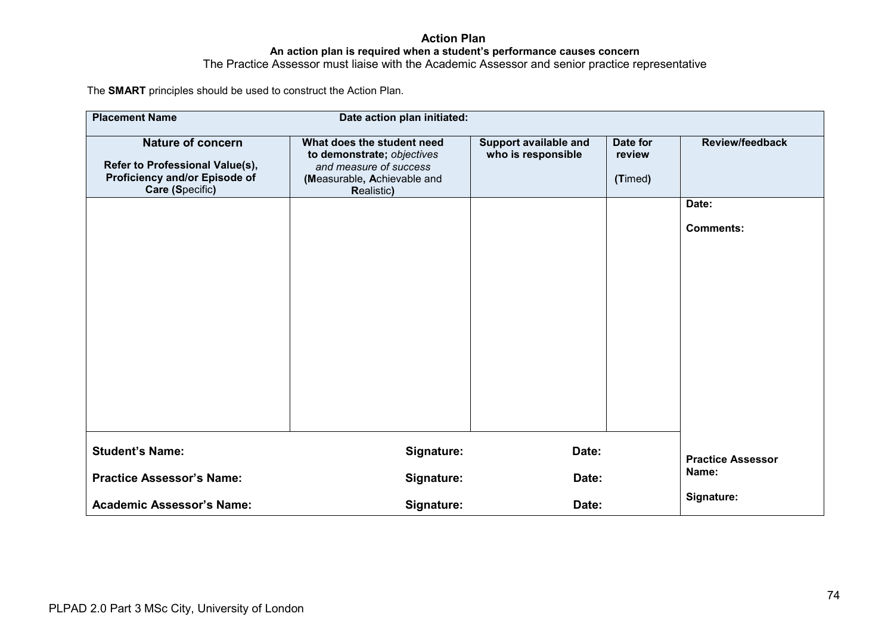### **Action Plan An action plan is required when a student's performance causes concern** The Practice Assessor must liaise with the Academic Assessor and senior practice representative

The **SMART** principles should be used to construct the Action Plan.

| <b>Placement Name</b>                                                                                           | Date action plan initiated:                                                                                                            |                                             |                               |                                                     |  |  |  |  |  |  |  |
|-----------------------------------------------------------------------------------------------------------------|----------------------------------------------------------------------------------------------------------------------------------------|---------------------------------------------|-------------------------------|-----------------------------------------------------|--|--|--|--|--|--|--|
| <b>Nature of concern</b><br>Refer to Professional Value(s),<br>Proficiency and/or Episode of<br>Care (Specific) | What does the student need<br>to demonstrate; objectives<br>and measure of success<br>(Measurable, Achievable and<br><b>Realistic)</b> | Support available and<br>who is responsible | Date for<br>review<br>(Timed) | <b>Review/feedback</b><br>Date:<br><b>Comments:</b> |  |  |  |  |  |  |  |
|                                                                                                                 |                                                                                                                                        |                                             |                               |                                                     |  |  |  |  |  |  |  |
| <b>Student's Name:</b>                                                                                          | Signature:                                                                                                                             | Date:                                       |                               | <b>Practice Assessor</b><br>Name:                   |  |  |  |  |  |  |  |
| <b>Practice Assessor's Name:</b>                                                                                | Signature:                                                                                                                             | Date:                                       |                               |                                                     |  |  |  |  |  |  |  |
| <b>Academic Assessor's Name:</b>                                                                                | Signature:                                                                                                                             | Date:                                       | Signature:                    |                                                     |  |  |  |  |  |  |  |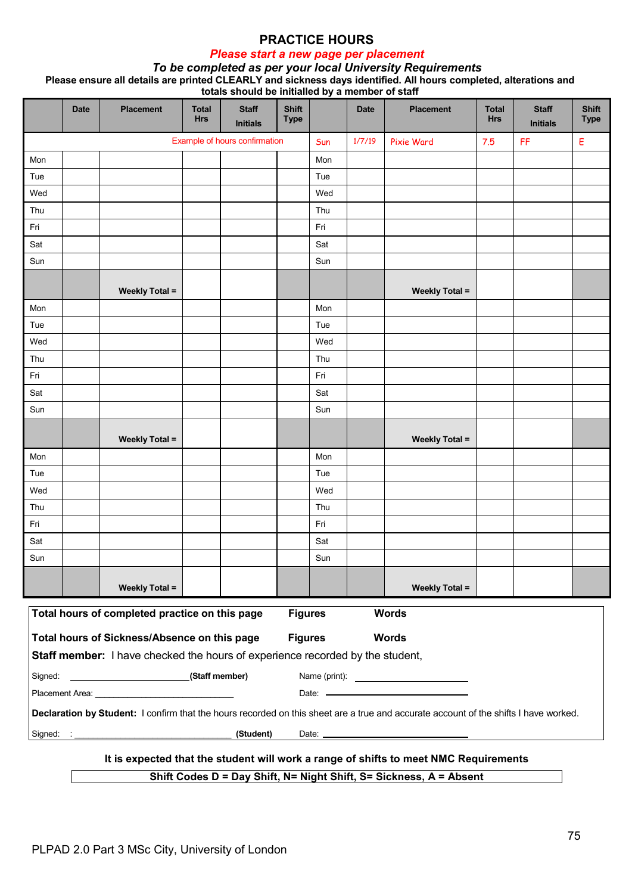# *Please start a new page per placement*

#### *To be completed as per your local University Requirements* **Please ensure all details are printed CLEARLY and sickness days identified. All hours completed, alterations and totals should be initialled by a member of staff**

|         | <b>Date</b>                                                                                     | <b>Placement</b>                                                                                                                                                                                                               | <b>Total</b><br><b>Hrs</b> | <b>Staff</b><br><b>Initials</b> | <b>Shift</b><br><b>Type</b> |     | 1.11<br><b>Date</b> | <b>Placement</b>                                                                                                                     | <b>Total</b><br><b>Hrs</b> | <b>Staff</b><br><b>Initials</b> | <b>Shift</b><br><b>Type</b> |
|---------|-------------------------------------------------------------------------------------------------|--------------------------------------------------------------------------------------------------------------------------------------------------------------------------------------------------------------------------------|----------------------------|---------------------------------|-----------------------------|-----|---------------------|--------------------------------------------------------------------------------------------------------------------------------------|----------------------------|---------------------------------|-----------------------------|
|         |                                                                                                 |                                                                                                                                                                                                                                |                            | Example of hours confirmation   |                             | Sun | 1/7/19              | Pixie Ward                                                                                                                           | 7.5                        | FF                              | Е                           |
| Mon     |                                                                                                 |                                                                                                                                                                                                                                |                            |                                 |                             | Mon |                     |                                                                                                                                      |                            |                                 |                             |
| Tue     |                                                                                                 |                                                                                                                                                                                                                                |                            |                                 |                             | Tue |                     |                                                                                                                                      |                            |                                 |                             |
| Wed     |                                                                                                 |                                                                                                                                                                                                                                |                            |                                 |                             | Wed |                     |                                                                                                                                      |                            |                                 |                             |
| Thu     |                                                                                                 |                                                                                                                                                                                                                                |                            |                                 |                             | Thu |                     |                                                                                                                                      |                            |                                 |                             |
| Fri     |                                                                                                 |                                                                                                                                                                                                                                |                            |                                 |                             | Fri |                     |                                                                                                                                      |                            |                                 |                             |
| Sat     |                                                                                                 |                                                                                                                                                                                                                                |                            |                                 |                             | Sat |                     |                                                                                                                                      |                            |                                 |                             |
| Sun     |                                                                                                 |                                                                                                                                                                                                                                |                            |                                 |                             | Sun |                     |                                                                                                                                      |                            |                                 |                             |
|         |                                                                                                 | <b>Weekly Total =</b>                                                                                                                                                                                                          |                            |                                 |                             |     |                     | <b>Weekly Total =</b>                                                                                                                |                            |                                 |                             |
| Mon     |                                                                                                 |                                                                                                                                                                                                                                |                            |                                 |                             | Mon |                     |                                                                                                                                      |                            |                                 |                             |
| Tue     |                                                                                                 |                                                                                                                                                                                                                                |                            |                                 |                             | Tue |                     |                                                                                                                                      |                            |                                 |                             |
| Wed     |                                                                                                 |                                                                                                                                                                                                                                |                            |                                 |                             | Wed |                     |                                                                                                                                      |                            |                                 |                             |
| Thu     |                                                                                                 |                                                                                                                                                                                                                                |                            |                                 |                             | Thu |                     |                                                                                                                                      |                            |                                 |                             |
| Fri     |                                                                                                 |                                                                                                                                                                                                                                |                            |                                 |                             | Fri |                     |                                                                                                                                      |                            |                                 |                             |
| Sat     |                                                                                                 |                                                                                                                                                                                                                                |                            |                                 |                             | Sat |                     |                                                                                                                                      |                            |                                 |                             |
| Sun     |                                                                                                 |                                                                                                                                                                                                                                |                            |                                 |                             | Sun |                     |                                                                                                                                      |                            |                                 |                             |
|         |                                                                                                 | <b>Weekly Total =</b>                                                                                                                                                                                                          |                            |                                 |                             |     |                     | <b>Weekly Total =</b>                                                                                                                |                            |                                 |                             |
| Mon     |                                                                                                 |                                                                                                                                                                                                                                |                            |                                 |                             | Mon |                     |                                                                                                                                      |                            |                                 |                             |
| Tue     |                                                                                                 |                                                                                                                                                                                                                                |                            |                                 |                             | Tue |                     |                                                                                                                                      |                            |                                 |                             |
| Wed     |                                                                                                 |                                                                                                                                                                                                                                |                            |                                 |                             | Wed |                     |                                                                                                                                      |                            |                                 |                             |
| Thu     |                                                                                                 |                                                                                                                                                                                                                                |                            |                                 |                             | Thu |                     |                                                                                                                                      |                            |                                 |                             |
| Fri     |                                                                                                 |                                                                                                                                                                                                                                |                            |                                 |                             | Fri |                     |                                                                                                                                      |                            |                                 |                             |
| Sat     |                                                                                                 |                                                                                                                                                                                                                                |                            |                                 |                             | Sat |                     |                                                                                                                                      |                            |                                 |                             |
| Sun     |                                                                                                 |                                                                                                                                                                                                                                |                            |                                 |                             | Sun |                     |                                                                                                                                      |                            |                                 |                             |
|         |                                                                                                 | <b>Weekly Total =</b>                                                                                                                                                                                                          |                            |                                 |                             |     |                     | <b>Weekly Total =</b>                                                                                                                |                            |                                 |                             |
|         |                                                                                                 | Total hours of completed practice on this page                                                                                                                                                                                 |                            |                                 | <b>Figures</b>              |     |                     | <b>Words</b>                                                                                                                         |                            |                                 |                             |
|         |                                                                                                 | Total hours of Sickness/Absence on this page<br>Staff member: I have checked the hours of experience recorded by the student,                                                                                                  |                            |                                 | <b>Figures</b>              |     |                     | <b>Words</b>                                                                                                                         |                            |                                 |                             |
| Signed: |                                                                                                 | (Staff member)                                                                                                                                                                                                                 |                            |                                 |                             |     |                     |                                                                                                                                      |                            |                                 |                             |
|         |                                                                                                 | Placement Area: University of the Area and the Area and the Area and the Area and the Area and the Area and the Area and the Area and the Area and the Area and the Area and the Area and the Area and the Area and the Area a |                            |                                 |                             |     |                     |                                                                                                                                      |                            |                                 |                             |
|         |                                                                                                 |                                                                                                                                                                                                                                |                            |                                 |                             |     |                     | Declaration by Student: I confirm that the hours recorded on this sheet are a true and accurate account of the shifts I have worked. |                            |                                 |                             |
|         |                                                                                                 |                                                                                                                                                                                                                                |                            | (Student)                       |                             |     |                     |                                                                                                                                      |                            |                                 |                             |
|         | Signed:<br>It is expected that the student will work a range of shifts to meet NMC Requirements |                                                                                                                                                                                                                                |                            |                                 |                             |     |                     |                                                                                                                                      |                            |                                 |                             |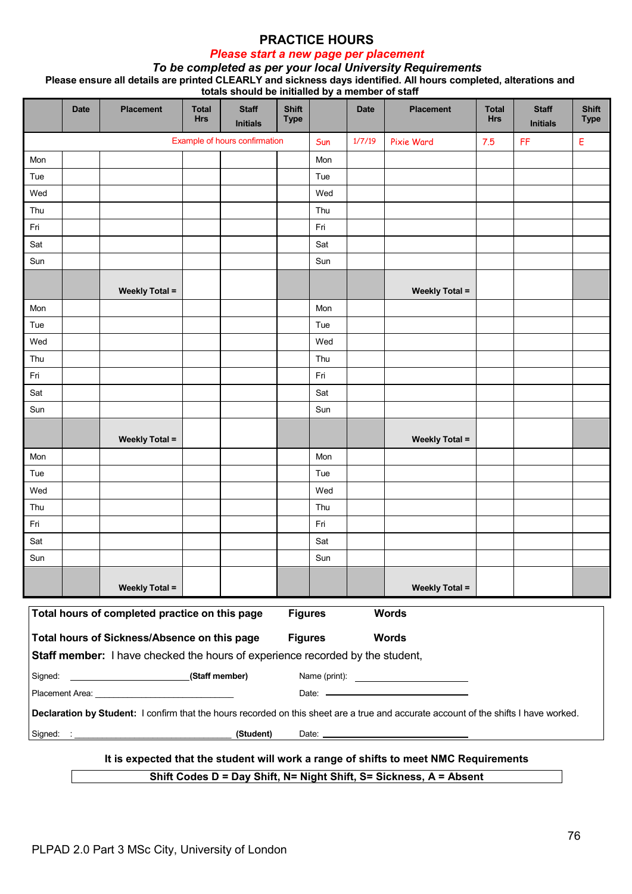# *Please start a new page per placement*

#### *To be completed as per your local University Requirements* **Please ensure all details are printed CLEARLY and sickness days identified. All hours completed, alterations and totals should be initialled by a member of staff**

|         | <b>Date</b>                                                                                     | <b>Placement</b>                                                                                                                                                                                                               | <b>Total</b><br><b>Hrs</b> | <b>Staff</b><br><b>Initials</b> | <b>Shift</b><br><b>Type</b> |     | 1.11<br><b>Date</b> | <b>Placement</b>                                                                                                                     | <b>Total</b><br><b>Hrs</b> | <b>Staff</b><br><b>Initials</b> | <b>Shift</b><br><b>Type</b> |
|---------|-------------------------------------------------------------------------------------------------|--------------------------------------------------------------------------------------------------------------------------------------------------------------------------------------------------------------------------------|----------------------------|---------------------------------|-----------------------------|-----|---------------------|--------------------------------------------------------------------------------------------------------------------------------------|----------------------------|---------------------------------|-----------------------------|
|         |                                                                                                 |                                                                                                                                                                                                                                |                            | Example of hours confirmation   |                             | Sun | 1/7/19              | Pixie Ward                                                                                                                           | 7.5                        | FF                              | Е                           |
| Mon     |                                                                                                 |                                                                                                                                                                                                                                |                            |                                 |                             | Mon |                     |                                                                                                                                      |                            |                                 |                             |
| Tue     |                                                                                                 |                                                                                                                                                                                                                                |                            |                                 |                             | Tue |                     |                                                                                                                                      |                            |                                 |                             |
| Wed     |                                                                                                 |                                                                                                                                                                                                                                |                            |                                 |                             | Wed |                     |                                                                                                                                      |                            |                                 |                             |
| Thu     |                                                                                                 |                                                                                                                                                                                                                                |                            |                                 |                             | Thu |                     |                                                                                                                                      |                            |                                 |                             |
| Fri     |                                                                                                 |                                                                                                                                                                                                                                |                            |                                 |                             | Fri |                     |                                                                                                                                      |                            |                                 |                             |
| Sat     |                                                                                                 |                                                                                                                                                                                                                                |                            |                                 |                             | Sat |                     |                                                                                                                                      |                            |                                 |                             |
| Sun     |                                                                                                 |                                                                                                                                                                                                                                |                            |                                 |                             | Sun |                     |                                                                                                                                      |                            |                                 |                             |
|         |                                                                                                 | <b>Weekly Total =</b>                                                                                                                                                                                                          |                            |                                 |                             |     |                     | <b>Weekly Total =</b>                                                                                                                |                            |                                 |                             |
| Mon     |                                                                                                 |                                                                                                                                                                                                                                |                            |                                 |                             | Mon |                     |                                                                                                                                      |                            |                                 |                             |
| Tue     |                                                                                                 |                                                                                                                                                                                                                                |                            |                                 |                             | Tue |                     |                                                                                                                                      |                            |                                 |                             |
| Wed     |                                                                                                 |                                                                                                                                                                                                                                |                            |                                 |                             | Wed |                     |                                                                                                                                      |                            |                                 |                             |
| Thu     |                                                                                                 |                                                                                                                                                                                                                                |                            |                                 |                             | Thu |                     |                                                                                                                                      |                            |                                 |                             |
| Fri     |                                                                                                 |                                                                                                                                                                                                                                |                            |                                 |                             | Fri |                     |                                                                                                                                      |                            |                                 |                             |
| Sat     |                                                                                                 |                                                                                                                                                                                                                                |                            |                                 |                             | Sat |                     |                                                                                                                                      |                            |                                 |                             |
| Sun     |                                                                                                 |                                                                                                                                                                                                                                |                            |                                 |                             | Sun |                     |                                                                                                                                      |                            |                                 |                             |
|         |                                                                                                 | <b>Weekly Total =</b>                                                                                                                                                                                                          |                            |                                 |                             |     |                     | <b>Weekly Total =</b>                                                                                                                |                            |                                 |                             |
| Mon     |                                                                                                 |                                                                                                                                                                                                                                |                            |                                 |                             | Mon |                     |                                                                                                                                      |                            |                                 |                             |
| Tue     |                                                                                                 |                                                                                                                                                                                                                                |                            |                                 |                             | Tue |                     |                                                                                                                                      |                            |                                 |                             |
| Wed     |                                                                                                 |                                                                                                                                                                                                                                |                            |                                 |                             | Wed |                     |                                                                                                                                      |                            |                                 |                             |
| Thu     |                                                                                                 |                                                                                                                                                                                                                                |                            |                                 |                             | Thu |                     |                                                                                                                                      |                            |                                 |                             |
| Fri     |                                                                                                 |                                                                                                                                                                                                                                |                            |                                 |                             | Fri |                     |                                                                                                                                      |                            |                                 |                             |
| Sat     |                                                                                                 |                                                                                                                                                                                                                                |                            |                                 |                             | Sat |                     |                                                                                                                                      |                            |                                 |                             |
| Sun     |                                                                                                 |                                                                                                                                                                                                                                |                            |                                 |                             | Sun |                     |                                                                                                                                      |                            |                                 |                             |
|         |                                                                                                 | <b>Weekly Total =</b>                                                                                                                                                                                                          |                            |                                 |                             |     |                     | <b>Weekly Total =</b>                                                                                                                |                            |                                 |                             |
|         |                                                                                                 | Total hours of completed practice on this page                                                                                                                                                                                 |                            |                                 | <b>Figures</b>              |     |                     | <b>Words</b>                                                                                                                         |                            |                                 |                             |
|         |                                                                                                 | Total hours of Sickness/Absence on this page<br>Staff member: I have checked the hours of experience recorded by the student,                                                                                                  |                            |                                 | <b>Figures</b>              |     |                     | <b>Words</b>                                                                                                                         |                            |                                 |                             |
| Signed: |                                                                                                 | (Staff member)                                                                                                                                                                                                                 |                            |                                 |                             |     |                     |                                                                                                                                      |                            |                                 |                             |
|         |                                                                                                 | Placement Area: University of the Area and the Area and the Area and the Area and the Area and the Area and the Area and the Area and the Area and the Area and the Area and the Area and the Area and the Area and the Area a |                            |                                 |                             |     |                     |                                                                                                                                      |                            |                                 |                             |
|         |                                                                                                 |                                                                                                                                                                                                                                |                            |                                 |                             |     |                     | Declaration by Student: I confirm that the hours recorded on this sheet are a true and accurate account of the shifts I have worked. |                            |                                 |                             |
|         |                                                                                                 |                                                                                                                                                                                                                                |                            | (Student)                       |                             |     |                     |                                                                                                                                      |                            |                                 |                             |
|         | Signed:<br>It is expected that the student will work a range of shifts to meet NMC Requirements |                                                                                                                                                                                                                                |                            |                                 |                             |     |                     |                                                                                                                                      |                            |                                 |                             |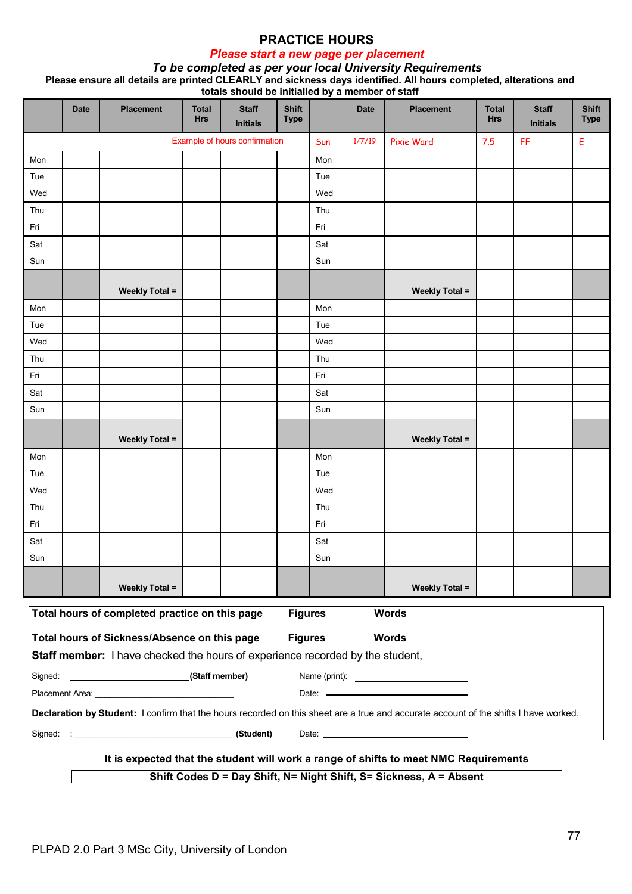# *Please start a new page per placement*

#### *To be completed as per your local University Requirements* **Please ensure all details are printed CLEARLY and sickness days identified. All hours completed, alterations and totals should be initialled by a member of staff**

|         | <b>Date</b>                                                                                     | <b>Placement</b>                                                                                                                                                                                                               | <b>Total</b><br><b>Hrs</b> | <b>Staff</b><br><b>Initials</b> | <b>Shift</b><br><b>Type</b> |     | 1.11<br><b>Date</b> | <b>Placement</b>                                                                                                                     | <b>Total</b><br><b>Hrs</b> | <b>Staff</b><br><b>Initials</b> | <b>Shift</b><br><b>Type</b> |
|---------|-------------------------------------------------------------------------------------------------|--------------------------------------------------------------------------------------------------------------------------------------------------------------------------------------------------------------------------------|----------------------------|---------------------------------|-----------------------------|-----|---------------------|--------------------------------------------------------------------------------------------------------------------------------------|----------------------------|---------------------------------|-----------------------------|
|         |                                                                                                 |                                                                                                                                                                                                                                |                            | Example of hours confirmation   |                             | Sun | 1/7/19              | Pixie Ward                                                                                                                           | 7.5                        | FF                              | Е                           |
| Mon     |                                                                                                 |                                                                                                                                                                                                                                |                            |                                 |                             | Mon |                     |                                                                                                                                      |                            |                                 |                             |
| Tue     |                                                                                                 |                                                                                                                                                                                                                                |                            |                                 |                             | Tue |                     |                                                                                                                                      |                            |                                 |                             |
| Wed     |                                                                                                 |                                                                                                                                                                                                                                |                            |                                 |                             | Wed |                     |                                                                                                                                      |                            |                                 |                             |
| Thu     |                                                                                                 |                                                                                                                                                                                                                                |                            |                                 |                             | Thu |                     |                                                                                                                                      |                            |                                 |                             |
| Fri     |                                                                                                 |                                                                                                                                                                                                                                |                            |                                 |                             | Fri |                     |                                                                                                                                      |                            |                                 |                             |
| Sat     |                                                                                                 |                                                                                                                                                                                                                                |                            |                                 |                             | Sat |                     |                                                                                                                                      |                            |                                 |                             |
| Sun     |                                                                                                 |                                                                                                                                                                                                                                |                            |                                 |                             | Sun |                     |                                                                                                                                      |                            |                                 |                             |
|         |                                                                                                 | <b>Weekly Total =</b>                                                                                                                                                                                                          |                            |                                 |                             |     |                     | <b>Weekly Total =</b>                                                                                                                |                            |                                 |                             |
| Mon     |                                                                                                 |                                                                                                                                                                                                                                |                            |                                 |                             | Mon |                     |                                                                                                                                      |                            |                                 |                             |
| Tue     |                                                                                                 |                                                                                                                                                                                                                                |                            |                                 |                             | Tue |                     |                                                                                                                                      |                            |                                 |                             |
| Wed     |                                                                                                 |                                                                                                                                                                                                                                |                            |                                 |                             | Wed |                     |                                                                                                                                      |                            |                                 |                             |
| Thu     |                                                                                                 |                                                                                                                                                                                                                                |                            |                                 |                             | Thu |                     |                                                                                                                                      |                            |                                 |                             |
| Fri     |                                                                                                 |                                                                                                                                                                                                                                |                            |                                 |                             | Fri |                     |                                                                                                                                      |                            |                                 |                             |
| Sat     |                                                                                                 |                                                                                                                                                                                                                                |                            |                                 |                             | Sat |                     |                                                                                                                                      |                            |                                 |                             |
| Sun     |                                                                                                 |                                                                                                                                                                                                                                |                            |                                 |                             | Sun |                     |                                                                                                                                      |                            |                                 |                             |
|         |                                                                                                 | <b>Weekly Total =</b>                                                                                                                                                                                                          |                            |                                 |                             |     |                     | <b>Weekly Total =</b>                                                                                                                |                            |                                 |                             |
| Mon     |                                                                                                 |                                                                                                                                                                                                                                |                            |                                 |                             | Mon |                     |                                                                                                                                      |                            |                                 |                             |
| Tue     |                                                                                                 |                                                                                                                                                                                                                                |                            |                                 |                             | Tue |                     |                                                                                                                                      |                            |                                 |                             |
| Wed     |                                                                                                 |                                                                                                                                                                                                                                |                            |                                 |                             | Wed |                     |                                                                                                                                      |                            |                                 |                             |
| Thu     |                                                                                                 |                                                                                                                                                                                                                                |                            |                                 |                             | Thu |                     |                                                                                                                                      |                            |                                 |                             |
| Fri     |                                                                                                 |                                                                                                                                                                                                                                |                            |                                 |                             | Fri |                     |                                                                                                                                      |                            |                                 |                             |
| Sat     |                                                                                                 |                                                                                                                                                                                                                                |                            |                                 |                             | Sat |                     |                                                                                                                                      |                            |                                 |                             |
| Sun     |                                                                                                 |                                                                                                                                                                                                                                |                            |                                 |                             | Sun |                     |                                                                                                                                      |                            |                                 |                             |
|         |                                                                                                 | <b>Weekly Total =</b>                                                                                                                                                                                                          |                            |                                 |                             |     |                     | <b>Weekly Total =</b>                                                                                                                |                            |                                 |                             |
|         |                                                                                                 | Total hours of completed practice on this page                                                                                                                                                                                 |                            |                                 | <b>Figures</b>              |     |                     | <b>Words</b>                                                                                                                         |                            |                                 |                             |
|         |                                                                                                 | Total hours of Sickness/Absence on this page<br>Staff member: I have checked the hours of experience recorded by the student,                                                                                                  |                            |                                 | <b>Figures</b>              |     |                     | <b>Words</b>                                                                                                                         |                            |                                 |                             |
| Signed: |                                                                                                 | (Staff member)                                                                                                                                                                                                                 |                            |                                 |                             |     |                     |                                                                                                                                      |                            |                                 |                             |
|         |                                                                                                 | Placement Area: University of the Area and the Area and the Area and the Area and the Area and the Area and the Area and the Area and the Area and the Area and the Area and the Area and the Area and the Area and the Area a |                            |                                 |                             |     |                     |                                                                                                                                      |                            |                                 |                             |
|         |                                                                                                 |                                                                                                                                                                                                                                |                            |                                 |                             |     |                     | Declaration by Student: I confirm that the hours recorded on this sheet are a true and accurate account of the shifts I have worked. |                            |                                 |                             |
|         |                                                                                                 |                                                                                                                                                                                                                                |                            | (Student)                       |                             |     |                     |                                                                                                                                      |                            |                                 |                             |
|         | Signed:<br>It is expected that the student will work a range of shifts to meet NMC Requirements |                                                                                                                                                                                                                                |                            |                                 |                             |     |                     |                                                                                                                                      |                            |                                 |                             |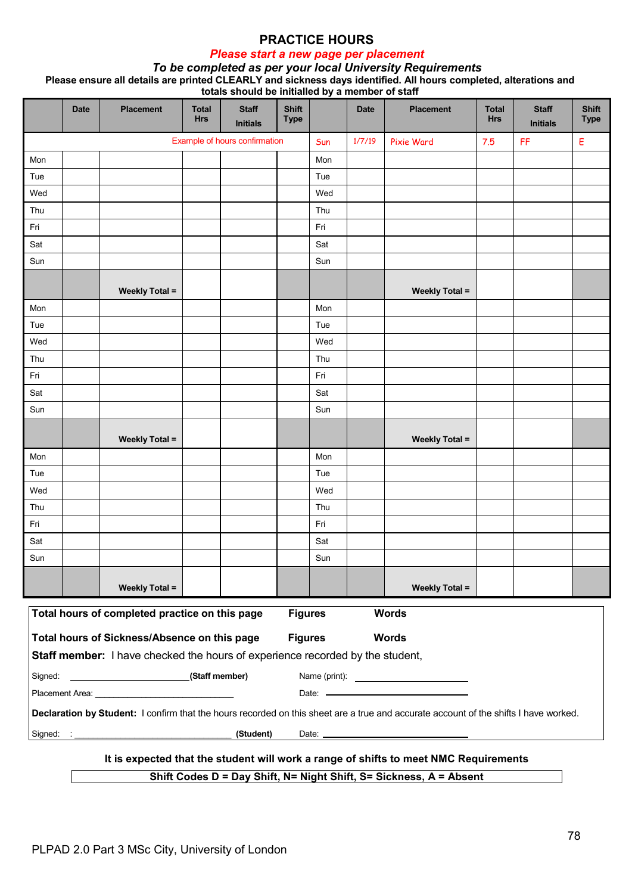# *Please start a new page per placement*

#### *To be completed as per your local University Requirements* **Please ensure all details are printed CLEARLY and sickness days identified. All hours completed, alterations and totals should be initialled by a member of staff**

|         | <b>Date</b>                                                                                     | <b>Placement</b>                                                                                                                                                                                                               | <b>Total</b><br><b>Hrs</b> | <b>Staff</b><br><b>Initials</b> | <b>Shift</b><br><b>Type</b> |     | 1.11<br><b>Date</b> | <b>Placement</b>                                                                                                                     | <b>Total</b><br><b>Hrs</b> | <b>Staff</b><br><b>Initials</b> | <b>Shift</b><br><b>Type</b> |
|---------|-------------------------------------------------------------------------------------------------|--------------------------------------------------------------------------------------------------------------------------------------------------------------------------------------------------------------------------------|----------------------------|---------------------------------|-----------------------------|-----|---------------------|--------------------------------------------------------------------------------------------------------------------------------------|----------------------------|---------------------------------|-----------------------------|
|         |                                                                                                 |                                                                                                                                                                                                                                |                            | Example of hours confirmation   |                             | Sun | 1/7/19              | Pixie Ward                                                                                                                           | 7.5                        | FF                              | Е                           |
| Mon     |                                                                                                 |                                                                                                                                                                                                                                |                            |                                 |                             | Mon |                     |                                                                                                                                      |                            |                                 |                             |
| Tue     |                                                                                                 |                                                                                                                                                                                                                                |                            |                                 |                             | Tue |                     |                                                                                                                                      |                            |                                 |                             |
| Wed     |                                                                                                 |                                                                                                                                                                                                                                |                            |                                 |                             | Wed |                     |                                                                                                                                      |                            |                                 |                             |
| Thu     |                                                                                                 |                                                                                                                                                                                                                                |                            |                                 |                             | Thu |                     |                                                                                                                                      |                            |                                 |                             |
| Fri     |                                                                                                 |                                                                                                                                                                                                                                |                            |                                 |                             | Fri |                     |                                                                                                                                      |                            |                                 |                             |
| Sat     |                                                                                                 |                                                                                                                                                                                                                                |                            |                                 |                             | Sat |                     |                                                                                                                                      |                            |                                 |                             |
| Sun     |                                                                                                 |                                                                                                                                                                                                                                |                            |                                 |                             | Sun |                     |                                                                                                                                      |                            |                                 |                             |
|         |                                                                                                 | <b>Weekly Total =</b>                                                                                                                                                                                                          |                            |                                 |                             |     |                     | <b>Weekly Total =</b>                                                                                                                |                            |                                 |                             |
| Mon     |                                                                                                 |                                                                                                                                                                                                                                |                            |                                 |                             | Mon |                     |                                                                                                                                      |                            |                                 |                             |
| Tue     |                                                                                                 |                                                                                                                                                                                                                                |                            |                                 |                             | Tue |                     |                                                                                                                                      |                            |                                 |                             |
| Wed     |                                                                                                 |                                                                                                                                                                                                                                |                            |                                 |                             | Wed |                     |                                                                                                                                      |                            |                                 |                             |
| Thu     |                                                                                                 |                                                                                                                                                                                                                                |                            |                                 |                             | Thu |                     |                                                                                                                                      |                            |                                 |                             |
| Fri     |                                                                                                 |                                                                                                                                                                                                                                |                            |                                 |                             | Fri |                     |                                                                                                                                      |                            |                                 |                             |
| Sat     |                                                                                                 |                                                                                                                                                                                                                                |                            |                                 |                             | Sat |                     |                                                                                                                                      |                            |                                 |                             |
| Sun     |                                                                                                 |                                                                                                                                                                                                                                |                            |                                 |                             | Sun |                     |                                                                                                                                      |                            |                                 |                             |
|         |                                                                                                 | <b>Weekly Total =</b>                                                                                                                                                                                                          |                            |                                 |                             |     |                     | <b>Weekly Total =</b>                                                                                                                |                            |                                 |                             |
| Mon     |                                                                                                 |                                                                                                                                                                                                                                |                            |                                 |                             | Mon |                     |                                                                                                                                      |                            |                                 |                             |
| Tue     |                                                                                                 |                                                                                                                                                                                                                                |                            |                                 |                             | Tue |                     |                                                                                                                                      |                            |                                 |                             |
| Wed     |                                                                                                 |                                                                                                                                                                                                                                |                            |                                 |                             | Wed |                     |                                                                                                                                      |                            |                                 |                             |
| Thu     |                                                                                                 |                                                                                                                                                                                                                                |                            |                                 |                             | Thu |                     |                                                                                                                                      |                            |                                 |                             |
| Fri     |                                                                                                 |                                                                                                                                                                                                                                |                            |                                 |                             | Fri |                     |                                                                                                                                      |                            |                                 |                             |
| Sat     |                                                                                                 |                                                                                                                                                                                                                                |                            |                                 |                             | Sat |                     |                                                                                                                                      |                            |                                 |                             |
| Sun     |                                                                                                 |                                                                                                                                                                                                                                |                            |                                 |                             | Sun |                     |                                                                                                                                      |                            |                                 |                             |
|         |                                                                                                 | <b>Weekly Total =</b>                                                                                                                                                                                                          |                            |                                 |                             |     |                     | <b>Weekly Total =</b>                                                                                                                |                            |                                 |                             |
|         |                                                                                                 | Total hours of completed practice on this page                                                                                                                                                                                 |                            |                                 | <b>Figures</b>              |     |                     | <b>Words</b>                                                                                                                         |                            |                                 |                             |
|         |                                                                                                 | Total hours of Sickness/Absence on this page<br>Staff member: I have checked the hours of experience recorded by the student,                                                                                                  |                            |                                 | <b>Figures</b>              |     |                     | <b>Words</b>                                                                                                                         |                            |                                 |                             |
| Signed: |                                                                                                 | (Staff member)                                                                                                                                                                                                                 |                            |                                 |                             |     |                     |                                                                                                                                      |                            |                                 |                             |
|         |                                                                                                 | Placement Area: University of the Area and the Area and the Area and the Area and the Area and the Area and the Area and the Area and the Area and the Area and the Area and the Area and the Area and the Area and the Area a |                            |                                 |                             |     |                     |                                                                                                                                      |                            |                                 |                             |
|         |                                                                                                 |                                                                                                                                                                                                                                |                            |                                 |                             |     |                     | Declaration by Student: I confirm that the hours recorded on this sheet are a true and accurate account of the shifts I have worked. |                            |                                 |                             |
|         |                                                                                                 |                                                                                                                                                                                                                                |                            | (Student)                       |                             |     |                     |                                                                                                                                      |                            |                                 |                             |
|         | Signed:<br>It is expected that the student will work a range of shifts to meet NMC Requirements |                                                                                                                                                                                                                                |                            |                                 |                             |     |                     |                                                                                                                                      |                            |                                 |                             |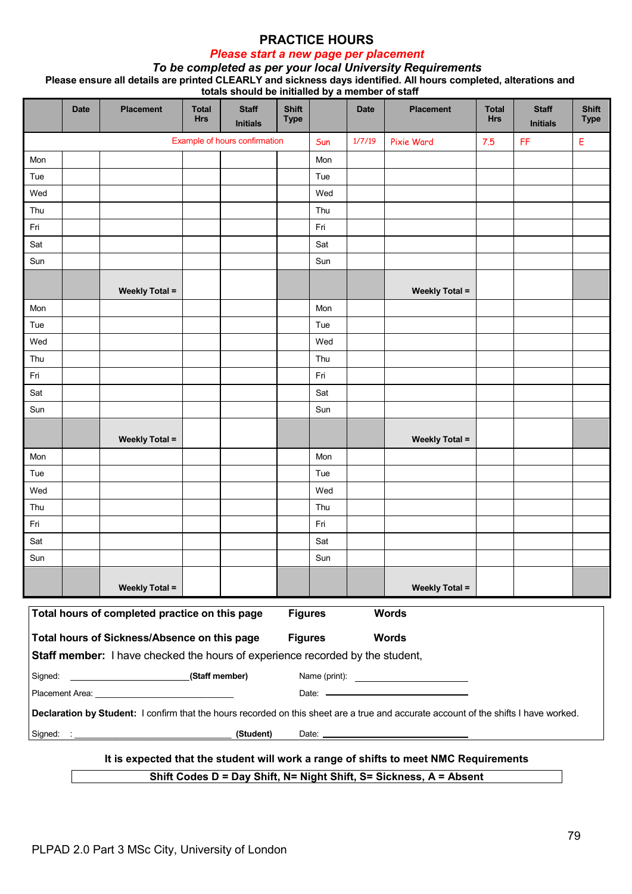# *Please start a new page per placement*

#### *To be completed as per your local University Requirements* **Please ensure all details are printed CLEARLY and sickness days identified. All hours completed, alterations and totals should be initialled by a member of staff**

|         | <b>Date</b>                                                                                     | <b>Placement</b>                                                                                                                                                                                                               | <b>Total</b><br><b>Hrs</b> | <b>Staff</b><br><b>Initials</b> | <b>Shift</b><br><b>Type</b> |     | 1.11<br><b>Date</b> | <b>Placement</b>                                                                                                                     | <b>Total</b><br><b>Hrs</b> | <b>Staff</b><br><b>Initials</b> | <b>Shift</b><br><b>Type</b> |
|---------|-------------------------------------------------------------------------------------------------|--------------------------------------------------------------------------------------------------------------------------------------------------------------------------------------------------------------------------------|----------------------------|---------------------------------|-----------------------------|-----|---------------------|--------------------------------------------------------------------------------------------------------------------------------------|----------------------------|---------------------------------|-----------------------------|
|         |                                                                                                 |                                                                                                                                                                                                                                |                            | Example of hours confirmation   |                             | Sun | 1/7/19              | Pixie Ward                                                                                                                           | 7.5                        | FF                              | Е                           |
| Mon     |                                                                                                 |                                                                                                                                                                                                                                |                            |                                 |                             | Mon |                     |                                                                                                                                      |                            |                                 |                             |
| Tue     |                                                                                                 |                                                                                                                                                                                                                                |                            |                                 |                             | Tue |                     |                                                                                                                                      |                            |                                 |                             |
| Wed     |                                                                                                 |                                                                                                                                                                                                                                |                            |                                 |                             | Wed |                     |                                                                                                                                      |                            |                                 |                             |
| Thu     |                                                                                                 |                                                                                                                                                                                                                                |                            |                                 |                             | Thu |                     |                                                                                                                                      |                            |                                 |                             |
| Fri     |                                                                                                 |                                                                                                                                                                                                                                |                            |                                 |                             | Fri |                     |                                                                                                                                      |                            |                                 |                             |
| Sat     |                                                                                                 |                                                                                                                                                                                                                                |                            |                                 |                             | Sat |                     |                                                                                                                                      |                            |                                 |                             |
| Sun     |                                                                                                 |                                                                                                                                                                                                                                |                            |                                 |                             | Sun |                     |                                                                                                                                      |                            |                                 |                             |
|         |                                                                                                 | <b>Weekly Total =</b>                                                                                                                                                                                                          |                            |                                 |                             |     |                     | <b>Weekly Total =</b>                                                                                                                |                            |                                 |                             |
| Mon     |                                                                                                 |                                                                                                                                                                                                                                |                            |                                 |                             | Mon |                     |                                                                                                                                      |                            |                                 |                             |
| Tue     |                                                                                                 |                                                                                                                                                                                                                                |                            |                                 |                             | Tue |                     |                                                                                                                                      |                            |                                 |                             |
| Wed     |                                                                                                 |                                                                                                                                                                                                                                |                            |                                 |                             | Wed |                     |                                                                                                                                      |                            |                                 |                             |
| Thu     |                                                                                                 |                                                                                                                                                                                                                                |                            |                                 |                             | Thu |                     |                                                                                                                                      |                            |                                 |                             |
| Fri     |                                                                                                 |                                                                                                                                                                                                                                |                            |                                 |                             | Fri |                     |                                                                                                                                      |                            |                                 |                             |
| Sat     |                                                                                                 |                                                                                                                                                                                                                                |                            |                                 |                             | Sat |                     |                                                                                                                                      |                            |                                 |                             |
| Sun     |                                                                                                 |                                                                                                                                                                                                                                |                            |                                 |                             | Sun |                     |                                                                                                                                      |                            |                                 |                             |
|         |                                                                                                 | <b>Weekly Total =</b>                                                                                                                                                                                                          |                            |                                 |                             |     |                     | <b>Weekly Total =</b>                                                                                                                |                            |                                 |                             |
| Mon     |                                                                                                 |                                                                                                                                                                                                                                |                            |                                 |                             | Mon |                     |                                                                                                                                      |                            |                                 |                             |
| Tue     |                                                                                                 |                                                                                                                                                                                                                                |                            |                                 |                             | Tue |                     |                                                                                                                                      |                            |                                 |                             |
| Wed     |                                                                                                 |                                                                                                                                                                                                                                |                            |                                 |                             | Wed |                     |                                                                                                                                      |                            |                                 |                             |
| Thu     |                                                                                                 |                                                                                                                                                                                                                                |                            |                                 |                             | Thu |                     |                                                                                                                                      |                            |                                 |                             |
| Fri     |                                                                                                 |                                                                                                                                                                                                                                |                            |                                 |                             | Fri |                     |                                                                                                                                      |                            |                                 |                             |
| Sat     |                                                                                                 |                                                                                                                                                                                                                                |                            |                                 |                             | Sat |                     |                                                                                                                                      |                            |                                 |                             |
| Sun     |                                                                                                 |                                                                                                                                                                                                                                |                            |                                 |                             | Sun |                     |                                                                                                                                      |                            |                                 |                             |
|         |                                                                                                 | <b>Weekly Total =</b>                                                                                                                                                                                                          |                            |                                 |                             |     |                     | <b>Weekly Total =</b>                                                                                                                |                            |                                 |                             |
|         |                                                                                                 | Total hours of completed practice on this page                                                                                                                                                                                 |                            |                                 | <b>Figures</b>              |     |                     | <b>Words</b>                                                                                                                         |                            |                                 |                             |
|         |                                                                                                 | Total hours of Sickness/Absence on this page<br>Staff member: I have checked the hours of experience recorded by the student,                                                                                                  |                            |                                 | <b>Figures</b>              |     |                     | <b>Words</b>                                                                                                                         |                            |                                 |                             |
| Signed: |                                                                                                 | (Staff member)                                                                                                                                                                                                                 |                            |                                 |                             |     |                     |                                                                                                                                      |                            |                                 |                             |
|         |                                                                                                 | Placement Area: University of the Area and the Area and the Area and the Area and the Area and the Area and the Area and the Area and the Area and the Area and the Area and the Area and the Area and the Area and the Area a |                            |                                 |                             |     |                     |                                                                                                                                      |                            |                                 |                             |
|         |                                                                                                 |                                                                                                                                                                                                                                |                            |                                 |                             |     |                     | Declaration by Student: I confirm that the hours recorded on this sheet are a true and accurate account of the shifts I have worked. |                            |                                 |                             |
|         |                                                                                                 |                                                                                                                                                                                                                                |                            | (Student)                       |                             |     |                     |                                                                                                                                      |                            |                                 |                             |
|         | Signed:<br>It is expected that the student will work a range of shifts to meet NMC Requirements |                                                                                                                                                                                                                                |                            |                                 |                             |     |                     |                                                                                                                                      |                            |                                 |                             |